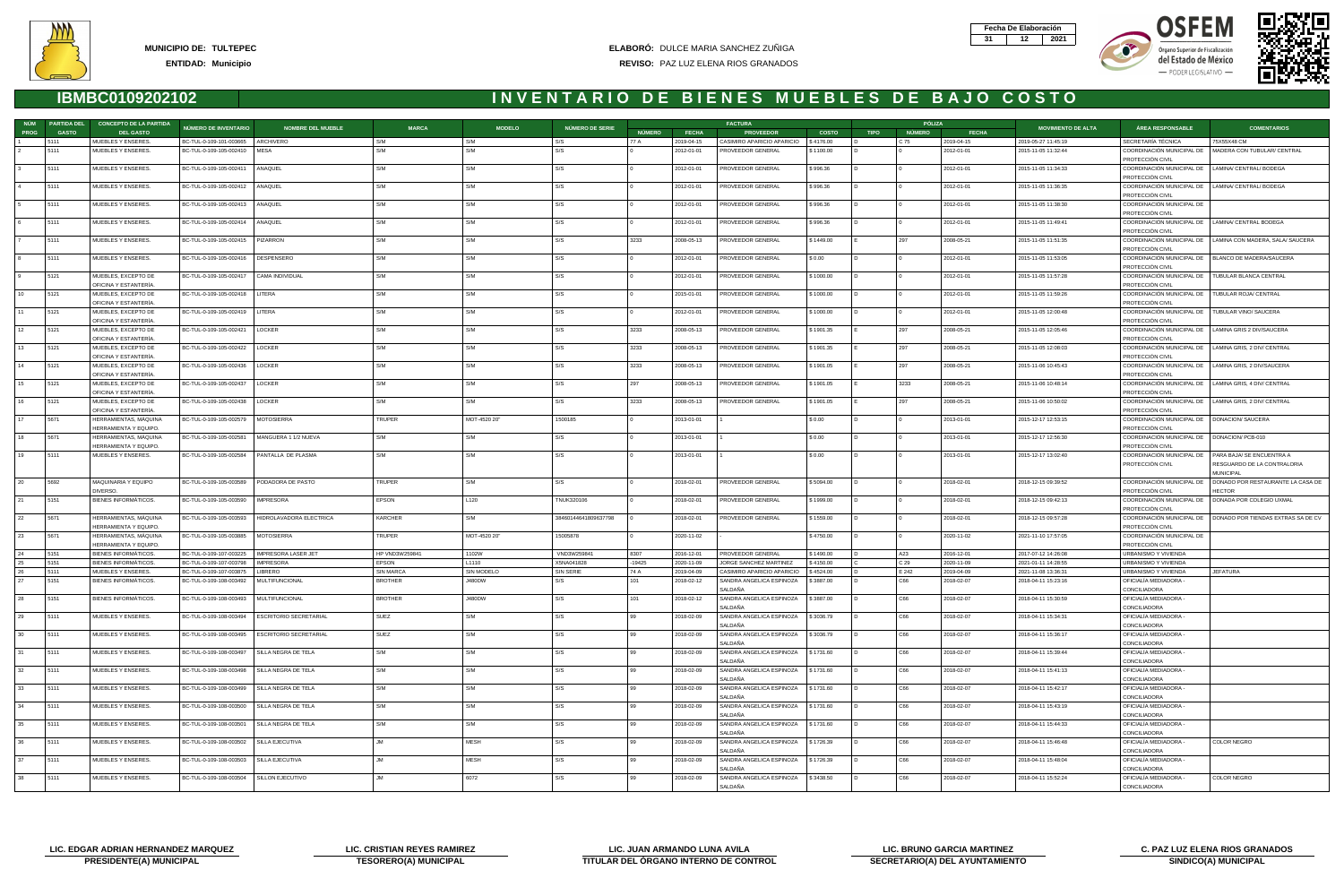| Fecha De Elaboración |     |
|----------------------|-----|
|                      | N21 |







| NÚM         | <b>PARTIDA DEL</b> | <b>CONCEPTO DE LA PARTIDA</b>                 |                                                    |                                                |                         |                   |                           |               |                          | <b>FACTURA</b>                              |                        |             | PÓLIZA        |                          |                                            |                                                                             |                                                                                |
|-------------|--------------------|-----------------------------------------------|----------------------------------------------------|------------------------------------------------|-------------------------|-------------------|---------------------------|---------------|--------------------------|---------------------------------------------|------------------------|-------------|---------------|--------------------------|--------------------------------------------|-----------------------------------------------------------------------------|--------------------------------------------------------------------------------|
| <b>PROG</b> | <b>GASTO</b>       | <b>DEL GASTO</b>                              | NÚMERO DE INVENTARIO                               | <b>NOMBRE DEL MUEBLE</b>                       | <b>MARCA</b>            | <b>MODELO</b>     | NÚMERO DE SERIE           | <b>NÚMERO</b> | <b>FECHA</b>             | <b>PROVEEDOR</b>                            | <b>COSTO</b>           | <b>TIPO</b> | NÚMERO        | <b>FECHA</b>             | <b>MOVIMIENTO DE ALTA</b>                  | <b>ÁREA RESPONSABLE</b>                                                     | <b>COMENTARIOS</b>                                                             |
|             | 5111               | MUEBLES Y ENSERES.                            | BC-TUL-0-109-101-003665                            | ARCHIVERO                                      | S/M                     | S/M               | S/S                       | 77 A          | 2019-04-15               | CASIMIRO APARICIO APARICIO                  | \$4176.00              |             | C 75          | 2019-04-15               | 2019-05-27 11:45:19                        | SECRETARÍA TÉCNICA                                                          | 75X55X48 CM                                                                    |
|             | 5111               | MUEBLES Y ENSERES.                            | BC-TUL-0-109-105-002410                            | MESA                                           | S/M                     | S/M               | S/S                       |               | 2012-01-01               | PROVEEDOR GENERAL                           | \$1100.00              |             |               | 2012-01-01               | 2015-11-05 11:32:44                        |                                                                             | COORDINACIÓN MUNICIPAL DE   MADERA CON TUBULAR/ CENTRAL                        |
|             |                    |                                               |                                                    |                                                |                         |                   |                           |               |                          |                                             |                        |             |               |                          |                                            | PROTECCIÓN CIVIL                                                            |                                                                                |
|             | 5111               | MUEBLES Y ENSERES.                            | BC-TUL-0-109-105-002411                            | ANAQUEL                                        | S/M                     | S/M               | S/S                       |               | 2012-01-01               | PROVEEDOR GENERAL                           | \$996.36               |             |               | 2012-01-01               | 2015-11-05 11:34:33                        | COORDINACIÓN MUNICIPAL DE   LAMINA/ CENTRAL/ BODEGA                         |                                                                                |
|             |                    |                                               |                                                    |                                                |                         |                   |                           |               |                          |                                             |                        |             |               |                          |                                            | PROTECCIÓN CIVIL                                                            |                                                                                |
|             | 5111               | MUEBLES Y ENSERES.                            | BC-TUL-0-109-105-002412                            | ANAQUEL                                        | S/M                     | S/M               | S/S                       |               | 2012-01-01               | PROVEEDOR GENERAL                           | \$996.36               |             |               | 2012-01-01               | 2015-11-05 11:36:35                        | COORDINACIÓN MUNICIPAL DE   LAMINA/ CENTRAL/ BODEGA<br>PROTECCIÓN CIVIL     |                                                                                |
|             | 5111               | MUEBLES Y ENSERES.                            | BC-TUL-0-109-105-002413                            | ANAQUEL                                        | S/M                     | S/M               | S/S                       |               | 2012-01-01               | PROVEEDOR GENERAL                           | \$996.36               |             |               | 2012-01-01               | 2015-11-05 11:38:30                        | COORDINACIÓN MUNICIPAL DE                                                   |                                                                                |
|             |                    |                                               |                                                    |                                                |                         |                   |                           |               |                          |                                             |                        |             |               |                          |                                            | PROTECCIÓN CIVIL                                                            |                                                                                |
|             | 5111               | MUEBLES Y ENSERES.                            | BC-TUL-0-109-105-002414   ANAQUEL                  |                                                | S/M                     | S/M               | S/S                       |               | 2012-01-01               | PROVEEDOR GENERAL                           | \$996.36               |             |               | 2012-01-01               | 2015-11-05 11:49:41                        | COORDINACIÓN MUNICIPAL DE   LAMINA/ CENTRAL BODEGA                          |                                                                                |
|             |                    |                                               |                                                    |                                                |                         |                   |                           |               |                          |                                             |                        |             |               |                          |                                            | PROTECCIÓN CIVIL                                                            |                                                                                |
|             | 5111               | MUEBLES Y ENSERES.                            | BC-TUL-0-109-105-002415                            | PIZARRON                                       | S/M                     | S/M               | S/S                       | 3233          | 2008-05-13               | PROVEEDOR GENERAL                           | \$1449.00              |             | 297           | 2008-05-21               | 2015-11-05 11:51:35                        |                                                                             | COORDINACIÓN MUNICIPAL DE   LAMINA CON MADERA, SALA/ SAUCERA                   |
|             |                    |                                               |                                                    |                                                |                         |                   |                           |               |                          |                                             |                        |             |               |                          |                                            | PROTECCIÓN CIVIL                                                            |                                                                                |
|             | 5111               | MUEBLES Y ENSERES.                            | BC-TUL-0-109-105-002416                            | DESPENSERO                                     | S/M                     | S/M               | S/S                       |               | 2012-01-01               | PROVEEDOR GENERAL                           | \$0.00                 |             |               | 2012-01-01               | 2015-11-05 11:53:05                        | COORDINACIÓN MUNICIPAL DE   BLANCO DE MADERA/SAUCERA<br>PROTECCIÓN CIVIL    |                                                                                |
|             | 5121               | MUEBLES, EXCEPTO DE                           | BC-TUL-0-109-105-002417                            | CAMA INDIVIDUAL                                | S/M                     | S/M               | S/S                       |               | 2012-01-01               | PROVEEDOR GENERAL                           | \$1000.00              |             |               | 2012-01-01               | 2015-11-05 11:57:28                        | COORDINACIÓN MUNICIPAL DE   TUBULAR BLANCA CENTRAL                          |                                                                                |
|             |                    | OFICINA Y ESTANTERÍA                          |                                                    |                                                |                         |                   |                           |               |                          |                                             |                        |             |               |                          |                                            | PROTECCIÓN CIVIL                                                            |                                                                                |
| 10          | 5121               | MUEBLES, EXCEPTO DE                           | BC-TUL-0-109-105-002418                            | LITERA                                         | S/M                     | S/M               | S/S                       |               | 2015-01-01               | PROVEEDOR GENERAL                           | \$1000.00              |             |               | 2012-01-01               | 2015-11-05 11:59:26                        | COORDINACIÓN MUNICIPAL DE   TUBULAR ROJA/ CENTRAL                           |                                                                                |
|             |                    | OFICINA Y ESTANTERÍA                          |                                                    |                                                |                         |                   |                           |               |                          |                                             |                        |             |               |                          |                                            | PROTECCIÓN CIVIL                                                            |                                                                                |
|             | 5121               | MUEBLES, EXCEPTO DE                           | BC-TUL-0-109-105-002419                            | LITERA                                         | S/M                     | S/M               | S/S                       |               | 2012-01-01               | PROVEEDOR GENERAL                           | \$1000.00              |             |               | 2012-01-01               | 2015-11-05 12:00:48                        | COORDINACIÓN MUNICIPAL DE   TUBULAR VINO/ SAUCERA                           |                                                                                |
|             |                    | OFICINA Y ESTANTERÍA                          |                                                    |                                                |                         |                   |                           |               |                          |                                             |                        |             |               |                          |                                            | PROTECCIÓN CIVIL                                                            |                                                                                |
| 12          | 5121               | MUEBLES, EXCEPTO DE                           | BC-TUL-0-109-105-002421                            | LOCKER                                         | S/M                     | S/M               | S/S                       | 3233          | 2008-05-13               | PROVEEDOR GENERAL                           | \$1901.35              |             | 297           | 2008-05-21               | 2015-11-05 12:05:46                        | COORDINACIÓN MUNICIPAL DE LAMINA GRIS 2 DIV/SAUCERA                         |                                                                                |
| 13          | 5121               | OFICINA Y ESTANTERÍA<br>MUEBLES, EXCEPTO DE   | BC-TUL-0-109-105-002422                            | LOCKER                                         | S/M                     | S/M               | S/S                       | 3233          | 2008-05-13               | PROVEEDOR GENERAL                           | \$1901.35              |             | 297           | 2008-05-21               | 2015-11-05 12:08:03                        | PROTECCIÓN CIVIL<br>COORDINACIÓN MUNICIPAL DE   LAMINA GRIS, 2 DIV/ CENTRAL |                                                                                |
|             |                    | OFICINA Y ESTANTERÍA                          |                                                    |                                                |                         |                   |                           |               |                          |                                             |                        |             |               |                          |                                            | PROTECCIÓN CIVIL                                                            |                                                                                |
| 14          | 5121               | MUEBLES, EXCEPTO DE                           | BC-TUL-0-109-105-002436                            | LOCKER                                         | S/M                     | S/M               | S/S                       | 3233          | 2008-05-13               | PROVEEDOR GENERAL                           | \$1901.05              |             | 297           | 2008-05-21               | 2015-11-06 10:45:43                        | COORDINACIÓN MUNICIPAL DE   LAMINA GRIS, 2 DIV/SAUCERA                      |                                                                                |
|             |                    | OFICINA Y ESTANTERÍA                          |                                                    |                                                |                         |                   |                           |               |                          |                                             |                        |             |               |                          |                                            | PROTECCIÓN CIVIL                                                            |                                                                                |
| 15          | 5121               | MUEBLES, EXCEPTO DE                           | BC-TUL-0-109-105-002437                            | LOCKER                                         | S/M                     | S/M               | S/S                       | 297           | 2008-05-13               | PROVEEDOR GENERAL                           | \$1901.05              |             | 3233          | 2008-05-21               | 2015-11-06 10:48:14                        | COORDINACIÓN MUNICIPAL DE LAMINA GRIS, 4 DIV/ CENTRAL                       |                                                                                |
|             |                    | OFICINA Y ESTANTERÍA                          |                                                    |                                                |                         |                   |                           |               |                          |                                             |                        |             |               |                          |                                            | PROTECCIÓN CIVIL                                                            |                                                                                |
| 16          | 5121               | MUEBLES, EXCEPTO DE                           | BC-TUL-0-109-105-002438                            | LOCKER                                         | S/M                     | S/M               | S/S                       | 3233          | 2008-05-13               | PROVEEDOR GENERAL                           | \$1901.05              |             | 297           | 2008-05-21               | 2015-11-06 10:50:02                        | COORDINACIÓN MUNICIPAL DE   LAMINA GRIS, 2 DIV/ CENTRAL                     |                                                                                |
|             | 5671               | OFICINA Y ESTANTERÍA<br>HERRAMIENTAS, MÁQUINA | BC-TUL-0-109-105-002579                            |                                                | TRUPER                  | MOT-4520 20"      | 1500185                   |               | 2013-01-01               |                                             | \$0.00                 |             |               | 2013-01-01               | 2015-12-17 12:53:15                        | PROTECCIÓN CIVIL<br>COORDINACIÓN MUNICIPAL DE   DONACION/ SAUCERA           |                                                                                |
|             |                    | HERRAMIENTA Y EQUIPO.                         |                                                    | <b>MOTOSIERRA</b>                              |                         |                   |                           |               |                          |                                             |                        |             |               |                          |                                            | PROTECCIÓN CIVIL                                                            |                                                                                |
| 18          | 5671               | HERRAMIENTAS, MAQUINA                         | BC-TUL-0-109-105-002581                            | MANGUERA 1 1/2 NUEVA                           | S/M                     | S/M               | S/S                       |               | 2013-01-01               |                                             | \$0.00                 |             |               | 2013-01-01               | 2015-12-17 12:56:30                        | COORDINACIÓN MUNICIPAL DE   DONACION/ PCB-010                               |                                                                                |
|             |                    | HERRAMIENTA Y EQUIPO.                         |                                                    |                                                |                         |                   |                           |               |                          |                                             |                        |             |               |                          |                                            | PROTECCIÓN CIVIL                                                            |                                                                                |
| 19          | 5111               | MUEBLES Y ENSERES.                            | BC-TUL-0-109-105-002584                            | PANTALLA DE PLASMA                             | S/M                     | S/M               | S/S                       |               | 2013-01-01               |                                             | \$0.00                 |             |               | 2013-01-01               | 2015-12-17 13:02:40                        | COORDINACIÓN MUNICIPAL DE   PARA BAJA/ SE ENCUENTRA A                       |                                                                                |
|             |                    |                                               |                                                    |                                                |                         |                   |                           |               |                          |                                             |                        |             |               |                          |                                            | PROTECCIÓN CIVIL                                                            | RESGUARDO DE LA CONTRALORIA                                                    |
|             |                    |                                               |                                                    |                                                |                         |                   |                           |               |                          |                                             |                        |             |               |                          |                                            |                                                                             | <b>MUNICIPAL</b>                                                               |
| 20          | 5692               | MAQUINARIA Y EQUIPO<br>DIVERSO.               | BC-TUL-0-109-105-003589                            | PODADORA DE PASTO                              | TRUPER                  | S/M               | S/S                       |               | 2018-02-01               | PROVEEDOR GENERAL                           | \$5094.00              |             |               | 2018-02-01               | 2018-12-15 09:39:52                        |                                                                             | COORDINACIÓN MUNICIPAL DE   DONADO POR RESTAURANTE LA CASA DE<br><b>HECTOR</b> |
| 21          | 5151               | BIENES INFORMÁTICOS.                          | BC-TUL-0-109-105-003590                            | <b>IMPRESORA</b>                               | EPSON                   | L <sub>120</sub>  | TNUK320106                |               | 2018-02-01               | PROVEEDOR GENERAL                           | \$1999.00              |             |               | 2018-02-01               | 2018-12-15 09:42:13                        | PROTECCIÓN CIVIL<br>COORDINACIÓN MUNICIPAL DE   DONADA POR COLEGIO UXMAL    |                                                                                |
|             |                    |                                               |                                                    |                                                |                         |                   |                           |               |                          |                                             |                        |             |               |                          |                                            | PROTECCIÓN CIVIL                                                            |                                                                                |
| 22          | 5671               | HERRAMIENTAS, MÁQUINA                         | BC-TUL-0-109-105-003593                            | HIDROLAVADORA ELECTRICA                        | KARCHER                 | S/M               | 38460144641809637798      |               | 2018-02-01               | PROVEEDOR GENERAL                           | \$1559.00              |             |               | 2018-02-01               | 2018-12-15 09:57:28                        |                                                                             | COORDINACIÓN MUNICIPAL DE   DONADO POR TIENDAS EXTRAS SA DE CV                 |
|             |                    | HERRAMIENTA Y EQUIPO.                         |                                                    |                                                |                         |                   |                           |               |                          |                                             |                        |             |               |                          |                                            | PROTECCIÓN CIVIL                                                            |                                                                                |
| 23          | 5671               | HERRAMIENTAS, MÁQUINA                         | BC-TUL-0-109-105-003885                            | MOTOSIERRA                                     | TRUPER                  | MOT-4520 20"      | 15005878                  |               | 2020-11-02               |                                             | \$4750.00              |             |               | 2020-11-02               | 2021-11-10 17:57:05                        | COORDINACIÓN MUNICIPAL DE                                                   |                                                                                |
|             |                    | HERRAMIENTA Y EQUIPO.                         |                                                    |                                                |                         |                   |                           |               |                          |                                             |                        |             |               |                          |                                            | PROTECCIÓN CIVIL                                                            |                                                                                |
|             | 5151<br>5151       | BIENES INFORMÁTICOS.<br>BIENES INFORMÁTICOS   | BC-TUL-0-109-107-003225<br>BC-TUL-0-109-107-003798 | <b>IMPRESORA LASER JET</b><br><b>IMPRESORA</b> | HP VND3W259841<br>EPSON | 1102W<br>L1110    | VND3W259841<br>X5NA041828 | 8307<br>19425 | 2016-12-01<br>2020-11-09 | PROVEEDOR GENERAL<br>JORGE SANCHEZ MARTINEZ | \$1490.00<br>\$4150.00 |             | A23           | 2016-12-01<br>2020-11-09 | 2017-07-12 14:26:08<br>2021-01-11 14:28:55 | URBANISMO Y VIVIENDA<br>URBANISMO Y VIVIENDA                                |                                                                                |
| 26          | 5111               | MUEBLES Y ENSERES                             | BC-TUL-0-109-107-00387                             | LIBRERO                                        | <b>SIN MARCA</b>        | <b>SIN MODELO</b> | <b>SIN SERIE</b>          | 74 A          | 2019-04-09               | CASIMIRO APARICIO APARICIO                  | \$4524.00              |             | C 29<br>E 242 | 2019-04-09               | 2021-11-08 13:36:31                        | URBANISMO Y VIVIENDA                                                        | <b>JEFATURA</b>                                                                |
|             | 5151               | <b>BIENES INFORMÁTICOS.</b>                   | BC-TUL-0-109-108-003492                            | MULTIFUNCIONAL                                 | <b>BROTHER</b>          | J480DW            | S/S                       | 101           | 2018-02-12               | SANDRA ANGELICA ESPINOZA                    | \$3887.00              |             | C66           | 2018-02-07               | 2018-04-11 15:23:16                        | OFICIALÍA MEDIADORA -                                                       |                                                                                |
|             |                    |                                               |                                                    |                                                |                         |                   |                           |               |                          | SALDANA                                     |                        |             |               |                          |                                            | <b>CONCILIADORA</b>                                                         |                                                                                |
| 28          | 5151               | BIENES INFORMATICOS.                          | BC-TUL-0-109-108-003493                            | MULTIFUNCIONAL                                 | BROTHER                 | J480DW            | S/S                       | 101           | 2018-02-12               | SANDRA ANGELICA ESPINOZA                    | \$3887.00              |             | C66           | 2018-02-07               | 2018-04-11 15:30:59                        | OFICIALIA MEDIADORA -                                                       |                                                                                |
|             |                    |                                               |                                                    |                                                |                         |                   |                           |               |                          | SALDAÑA                                     |                        |             |               |                          |                                            | CONCILIADORA                                                                |                                                                                |
| 29          | 5111               | MUEBLES Y ENSERES.                            | BC-TUL-0-109-108-003494                            | <b>ESCRITORIO SECRETARIAL</b>                  | SUEZ                    | S/M               | S/S                       | 99            | 2018-02-09               | SANDRA ANGELICA ESPINOZA                    | \$3036.79              |             | C66           | 2018-02-07               | 2018-04-11 15:34:31                        | OFICIALÍA MEDIADORA -                                                       |                                                                                |
| 30          | 5111               | MUEBLES Y ENSERES.                            | BC-TUL-0-109-108-003495                            | ESCRITORIO SECRETARIAL                         | SUEZ                    | S/M               | S/S                       | 99            | 2018-02-09               | SALDAÑA<br>SANDRA ANGELICA ESPINOZA         | \$3036.79              |             | C66           | 2018-02-07               | 2018-04-11 15:36:17                        | CONCILIADORA<br>OFICIALÍA MEDIADORA -                                       |                                                                                |
|             |                    |                                               |                                                    |                                                |                         |                   |                           |               |                          | SALDAÑA                                     |                        |             |               |                          |                                            | CONCILIADORA                                                                |                                                                                |
| 31          | 5111               | MUEBLES Y ENSERES.                            | BC-TUL-0-109-108-003497                            | SILLA NEGRA DE TELA                            | S/M                     | S/M               | S/S                       | 99            | 2018-02-09               | SANDRA ANGELICA ESPINOZA                    | \$1731.60              |             | C66           | 2018-02-07               | 2018-04-11 15:39:44                        | OFICIALIA MEDIADORA -                                                       |                                                                                |
|             |                    |                                               |                                                    |                                                |                         |                   |                           |               |                          | SALDAÑA                                     |                        |             |               |                          |                                            | CONCILIADORA                                                                |                                                                                |
| 32          | 5111               | MUEBLES Y ENSERES.                            | BC-TUL-0-109-108-003498                            | SILLA NEGRA DE TELA                            | S/M                     | S/M               | S/S                       | 99            | 2018-02-09               | SANDRA ANGELICA ESPINOZA                    | \$1731.60              |             | C66           | 2018-02-07               | 2018-04-11 15:41:13                        | OFICIALÍA MEDIADORA -                                                       |                                                                                |
|             |                    |                                               |                                                    |                                                |                         |                   |                           |               |                          | SALDAÑA                                     |                        |             |               |                          |                                            | CONCILIADORA                                                                |                                                                                |
| 33          | 5111               | MUEBLES Y ENSERES.                            | BC-TUL-0-109-108-003499                            | SILLA NEGRA DE TELA                            | S/M                     | S/M               | S/S                       | 99            | 2018-02-09               | SANDRA ANGELICA ESPINOZA                    | \$1731.60              |             | C66           | 2018-02-07               | 2018-04-11 15:42:17                        | OFICIALÍA MEDIADORA -                                                       |                                                                                |
| 34          | 5111               | MUEBLES Y ENSERES.                            | BC-TUL-0-109-108-003500                            | SILLA NEGRA DE TELA                            | S/M                     | S/M               | S/S                       | 99            | 2018-02-09               | SALDAÑA<br>SANDRA ANGELICA ESPINOZA         | \$1731.60              |             | C66           | 2018-02-07               | 2018-04-11 15:43:19                        | CONCILIADORA<br>OFICIALIA MEDIADORA -                                       |                                                                                |
|             |                    |                                               |                                                    |                                                |                         |                   |                           |               |                          | SALDAÑA                                     |                        |             |               |                          |                                            | CONCILIADORA                                                                |                                                                                |
| 35          | 5111               | MUEBLES Y ENSERES.                            | BC-TUL-0-109-108-003501                            | SILLA NEGRA DE TELA                            | S/M                     | S/M               | S/S                       |               | 2018-02-09               | SANDRA ANGELICA ESPINOZA                    | \$1731.60              |             | C66           | 2018-02-07               | 2018-04-11 15:44:33                        | OFICIALÍA MEDIADORA -                                                       |                                                                                |
|             |                    |                                               |                                                    |                                                |                         |                   |                           |               |                          | SALDAÑA                                     |                        |             |               |                          |                                            | CONCILIADORA                                                                |                                                                                |
| 36          | 5111               | MUEBLES Y ENSERES.                            | BC-TUL-0-109-108-003502                            | SILLA EJECUTIVA                                | .JM                     | <b>MESH</b>       | S/S                       | QQ            | 2018-02-09               | SANDRA ANGELICA ESPINOZA                    | \$1726.39              |             | C66           | 2018-02-07               | 2018-04-11 15:46:48                        | OFICIALÍA MEDIADORA -                                                       | COLOR NEGRO                                                                    |
|             |                    |                                               |                                                    |                                                |                         |                   |                           |               |                          | SALDAÑA                                     |                        |             |               |                          |                                            | CONCILIADORA                                                                |                                                                                |
| 37          | 5111               | MUEBLES Y ENSERES.                            | BC-TUL-0-109-108-003503                            | SILLA EJECUTIVA                                | JM                      | MESH              | S/S                       | 99            | 2018-02-09               | SANDRA ANGELICA ESPINOZA                    | \$1726.39              |             | C66           | 2018-02-07               | 2018-04-11 15:48:04                        | OFICIALÍA MEDIADORA -                                                       |                                                                                |
| 38          | 5111               | MUEBLES Y ENSERES.                            | BC-TUL-0-109-108-003504                            | SILLON EJECUTIVO                               | JM                      | 6072              | S/S                       |               | 2018-02-09               | SALDAÑA<br>SANDRA ANGELICA ESPINOZA         | \$3438.50              |             | C66           | 2018-02-07               | 2018-04-11 15:52:24                        | CONCILIADORA<br>OFICIALÍA MEDIADORA -                                       | COLOR NEGRO                                                                    |
|             |                    |                                               |                                                    |                                                |                         |                   |                           |               |                          | SALDAÑA                                     |                        |             |               |                          |                                            | CONCILIADORA                                                                |                                                                                |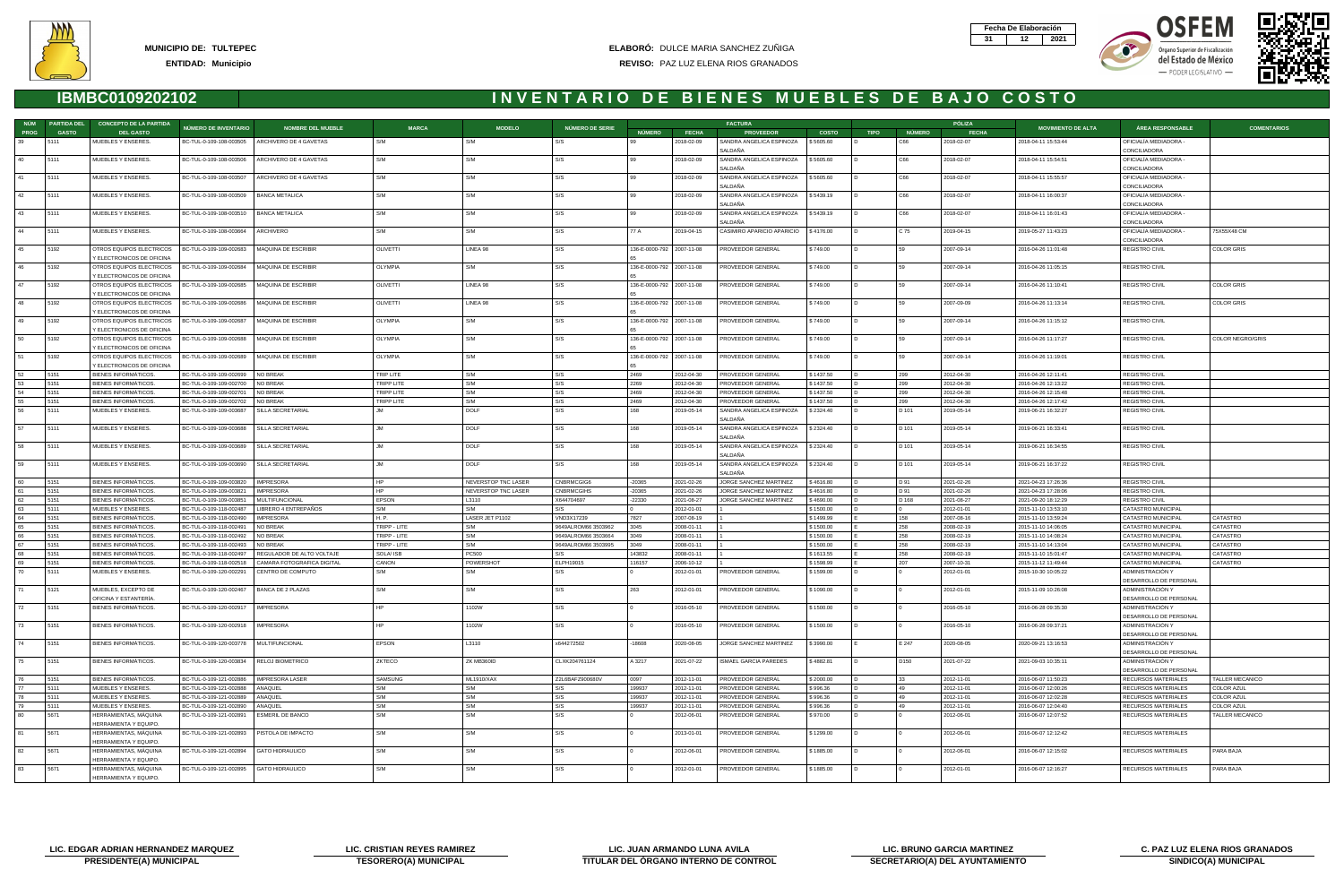







|             | NÚM PARTIDA DEL | <b>CONCEPTO DE LA PARTIDA</b>                                                                         |                                                    |                                                  |                   |                              |                                 |                           |                          | <b>FACTURA</b>                                   |                        |             |               | PÓLIZA                   |                                            |                                            |                    |
|-------------|-----------------|-------------------------------------------------------------------------------------------------------|----------------------------------------------------|--------------------------------------------------|-------------------|------------------------------|---------------------------------|---------------------------|--------------------------|--------------------------------------------------|------------------------|-------------|---------------|--------------------------|--------------------------------------------|--------------------------------------------|--------------------|
| <b>PROG</b> | <b>GASTO</b>    | <b>DEL GASTO</b>                                                                                      | NÚMERO DE INVENTARIO                               | <b>NOMBRE DEL MUEBLE</b>                         | <b>MARCA</b>      | <b>MODELO</b>                | <b>NÚMERO DE SERIE</b>          | <b>NÚMERO</b>             | <b>FECHA</b>             | <b>PROVEEDOR</b>                                 | <b>COSTO</b>           | <b>TIPO</b> | <b>NÚMERO</b> | <b>FECHA</b>             | <b>MOVIMIENTO DE ALTA</b>                  | <b>ÁREA RESPONSABLE</b>                    | <b>COMENTARIOS</b> |
| 39          | 5111            | MUEBLES Y ENSERES.                                                                                    |                                                    | BC-TUL-0-109-108-003505   ARCHIVERO DE 4 GAVETAS | S/M               | S/M                          | S/S                             | 99                        | 2018-02-09               | SANDRA ANGELICA ESPINOZA                         | \$5605.60              |             | C66           | 2018-02-07               | 2018-04-11 15:53:44                        | OFICIALÍA MEDIADORA -                      |                    |
|             |                 |                                                                                                       |                                                    |                                                  |                   |                              |                                 |                           |                          | SALDAÑA                                          |                        |             |               |                          |                                            | CONCILIADORA                               |                    |
| 40          | 5111            | MUEBLES Y ENSERES.                                                                                    | BC-TUL-0-109-108-003506                            | ARCHIVERO DE 4 GAVETAS                           | S/M               | S/M                          | S/S                             | l 99                      | 2018-02-09               | SANDRA ANGELICA ESPINOZA                         | \$5605.60              |             | C66           | 2018-02-07               | 2018-04-11 15:54:51                        | OFICIALIA MEDIADORA -                      |                    |
|             |                 |                                                                                                       |                                                    |                                                  |                   | S/M                          |                                 | l 99                      |                          | SALDAÑA                                          |                        |             |               |                          |                                            | CONCILIADORA                               |                    |
|             | 5111            | MUEBLES Y ENSERES.                                                                                    | BC-TUL-0-109-108-003507                            | ARCHIVERO DE 4 GAVETAS                           | S/M               |                              | S/S                             |                           | 2018-02-09               | SANDRA ANGELICA ESPINOZA<br>SALDANA              | \$5605.60              |             | C66           | 2018-02-07               | 2018-04-11 15:55:57                        | OFICIALÍA MEDIADORA -<br>CONCILIADORA      |                    |
| 42          | 5111            | MUEBLES Y ENSERES.                                                                                    | BC-TUL-0-109-108-003509                            | <b>BANCA METALICA</b>                            | S/M               | S/M                          | S/S                             | 99                        | 2018-02-09               | SANDRA ANGELICA ESPINOZA                         | \$5439.19              |             | C66           | 2018-02-07               | 2018-04-11 16:00:37                        | OFICIALIA MEDIADORA -                      |                    |
|             |                 |                                                                                                       |                                                    |                                                  |                   |                              |                                 |                           |                          | SALDAÑA                                          |                        |             |               |                          |                                            | CONCILIADORA                               |                    |
| 43          | 5111            | MUEBLES Y ENSERES.                                                                                    | BC-TUL-0-109-108-003510                            | <b>BANCA METALICA</b>                            | S/M               | S/M                          | S/S                             | $\frac{99}{3}$            | 2018-02-09               | SANDRA ANGELICA ESPINOZA                         | \$5439.19              |             | C66           | 2018-02-07               | 2018-04-11 16:01:43                        | OFICIALÍA MEDIADORA -                      |                    |
|             |                 |                                                                                                       |                                                    |                                                  |                   |                              |                                 |                           |                          | SALDAÑA                                          |                        |             |               |                          |                                            | CONCILIADORA                               |                    |
| 44          | 5111            | MUEBLES Y ENSERES.                                                                                    | BC-TUL-0-109-108-003664   ARCHIVERO                |                                                  | S/M               | S/M                          | S/S                             | 77 A                      | 2019-04-15               | CASIMIRO APARICIO APARICIO \$4176.00             |                        |             | C 75          | 2019-04-15               | 2019-05-27 11:43:23                        | OFICIALÍA MEDIADORA -                      | 75X55X48 CM        |
|             |                 |                                                                                                       |                                                    |                                                  |                   |                              |                                 |                           |                          |                                                  |                        |             |               |                          |                                            | CONCILIADORA                               |                    |
| 45          | 5192            | OTROS EQUIPOS ELECTRICOS   BC-TUL-0-109-109-002683   MAQUINA DE ESCRIBIR<br>Y ELECTRONICOS DE OFICINA |                                                    |                                                  | OLIVETTI          | LINEA 98                     | S/S                             | 136-E-0000-792 2007-11-08 |                          | PROVEEDOR GENERAL                                | \$749.00               |             | 59            | 2007-09-14               | 2016-04-26 11:01:48                        | <b>REGISTRO CIVIL</b>                      | COLOR GRIS         |
|             | 5192            | OTROS EQUIPOS ELECTRICOS   BC-TUL-0-109-109-002684   MAQUINA DE ESCRIBIR                              |                                                    |                                                  | <b>OLYMPIA</b>    | S/M                          | S/S                             | 136-E-0000-792 2007-11-08 |                          | PROVEEDOR GENERAL                                | \$749.00               |             | 59            | 2007-09-14               | 2016-04-26 11:05:15                        | <b>REGISTRO CIVIL</b>                      |                    |
|             |                 | Y ELECTRONICOS DE OFICINA                                                                             |                                                    |                                                  |                   |                              |                                 |                           |                          |                                                  |                        |             |               |                          |                                            |                                            |                    |
|             | 5192            | OTROS EQUIPOS ELECTRICOS                                                                              | BC-TUL-0-109-109-002685                            | MAQUINA DE ESCRIBIR                              | <b>OLIVETTI</b>   | LINEA 98                     | S/S                             | 136-E-0000-792 2007-11-08 |                          | PROVEEDOR GENERAL                                | \$749.00               |             |               | 2007-09-14               | 2016-04-26 11:10:41                        | REGISTRO CIVIL                             | <b>COLOR GRIS</b>  |
|             |                 | Y ELECTRONICOS DE OFICINA                                                                             |                                                    |                                                  |                   |                              |                                 |                           |                          |                                                  |                        |             |               |                          |                                            |                                            |                    |
| 48          | 5192            | OTROS EQUIPOS ELECTRICOS                                                                              | BC-TUL-0-109-109-002686                            | MAQUINA DE ESCRIBIR                              | OLIVETTI          | LINEA 98                     | S/S                             | 136-E-0000-792 2007-11-08 |                          | PROVEEDOR GENERAL                                | \$749.00               |             | 59            | 2007-09-09               | 2016-04-26 11:13:14                        | <b>REGISTRO CIVIL</b>                      | COLOR GRIS         |
|             |                 | Y ELECTRONICOS DE OFICINA                                                                             |                                                    |                                                  |                   |                              |                                 |                           |                          |                                                  |                        |             |               |                          |                                            |                                            |                    |
| 49          | 5192            | OTROS EQUIPOS ELECTRICOS                                                                              | BC-TUL-0-109-109-002687                            | <b>MAQUINA DE ESCRIBIR</b>                       | <b>OLYMPIA</b>    | S/M                          | S/S                             | 136-E-0000-792 2007-11-08 |                          | PROVEEDOR GENERAL                                | \$749.00               |             | 59            | 2007-09-14               | 2016-04-26 11:15:12                        | <b>REGISTRO CIVIL</b>                      |                    |
| 50          | 5192            | Y ELECTRONICOS DE OFICINA<br>OTROS EQUIPOS ELECTRICOS                                                 | BC-TUL-0-109-109-002688                            | MAQUINA DE ESCRIBIR                              | <b>OLYMPIA</b>    | S/M                          | S/S                             | 136-E-0000-792 2007-11-08 |                          | PROVEEDOR GENERAL                                | \$749.00               |             |               | 2007-09-14               | 2016-04-26 11:17:27                        | REGISTRO CIVIL                             | COLOR NEGRO/GRIS   |
|             |                 | Y ELECTRONICOS DE OFICINA                                                                             |                                                    |                                                  |                   |                              |                                 |                           |                          |                                                  |                        |             |               |                          |                                            |                                            |                    |
|             | 5192            | OTROS EQUIPOS ELECTRICOS   BC-TUL-0-109-109-002689   MAQUINA DE ESCRIBIR                              |                                                    |                                                  | OLYMPIA           | S/M                          | S/S                             | 136-E-0000-792 2007-11-08 |                          | PROVEEDOR GENERAL                                | \$749.00               |             | 59            | 2007-09-14               | 2016-04-26 11:19:01                        | <b>REGISTRO CIVIL</b>                      |                    |
|             |                 | Y ELECTRONICOS DE OFICINA                                                                             |                                                    |                                                  |                   |                              |                                 |                           |                          |                                                  |                        |             |               |                          |                                            |                                            |                    |
|             | 5151            | BIENES INFORMÁTICOS.                                                                                  | BC-TUL-0-109-109-002699                            | NO BREAK                                         | TRIP LITE         | S/M                          | S/S                             | 2469                      | 2012-04-30               | PROVEEDOR GENERAL                                | \$1437.50              |             | 299           | 2012-04-30               | 2016-04-26 12:11:41                        | <b>REGISTRO CIVIL</b>                      |                    |
| 53          | 5151            | <b>BIENES INFORMÁTICOS</b>                                                                            | BC-TUL-0-109-109-002700                            | NO BREAK                                         | <b>TRIPP LITE</b> | S/M                          | S/S                             | 2269                      | 2012-04-30               | PROVEEDOR GENERAL                                | \$1437.50              |             | 299           | 2012-04-30               | 2016-04-26 12:13:22                        | REGISTRO CIVIL                             |                    |
|             | 5151            | <b>BIENES INFORMÁTICOS</b>                                                                            | BC-TUL-0-109-109-002701                            | NO BREAK                                         | <b>TRIPP LITE</b> | S/M                          | S/S                             | 2469                      | 2012-04-30               | PROVEEDOR GENERAL                                | \$1437.50              |             | 299           | 2012-04-30               | 2016-04-26 12:15:48                        | <b>REGISTRO CIVIL</b>                      |                    |
|             | 5151            | <b>BIENES INFORMÁTICOS</b>                                                                            | BC-TUL-0-109-109-002702                            | NO BREAK                                         | <b>TRIPP LITE</b> | S/M                          | S/S                             | 2469                      | 2012-04-30               | PROVEEDOR GENERAL                                | \$1437.50              |             | 299           | 2012-04-30               | 2016-04-26 12:17:42                        | <b>REGISTRO CIVIL</b>                      |                    |
|             | 5111            | MUEBLES Y ENSERES.                                                                                    | BC-TUL-0-109-109-003687                            | SILLA SECRETARIAL                                |                   | DOLF                         | l S/S                           | 168                       | 2019-05-14               | SANDRA ANGELICA ESPINOZA<br>SALDAÑA              | \$2324.40              |             | D 101         | 2019-05-14               | 2019-06-21 16:32:27                        | <b>REGISTRO CIVIL</b>                      |                    |
| 57          | 5111            | MUEBLES Y ENSERES.                                                                                    | BC-TUL-0-109-109-003688                            | SILLA SECRETARIAL                                |                   | <b>DOLF</b>                  | S/S                             | 168                       | 2019-05-14               | SANDRA ANGELICA ESPINOZA                         | \$2324.40              |             | D 101         | 2019-05-14               | 2019-06-21 16:33:41                        | <b>REGISTRO CIVIL</b>                      |                    |
|             |                 |                                                                                                       |                                                    |                                                  |                   |                              |                                 |                           |                          | SALDAÑA                                          |                        |             |               |                          |                                            |                                            |                    |
| 58          | 5111            | MUEBLES Y ENSERES.                                                                                    | BC-TUL-0-109-109-003689                            | SILLA SECRETARIAL                                |                   | <b>DOLF</b>                  | S/S                             | 168                       | 2019-05-14               | SANDRA ANGELICA ESPINOZA \$2324.40               |                        |             | D 101         | 2019-05-14               | 2019-06-21 16:34:55                        | REGISTRO CIVIL                             |                    |
|             |                 |                                                                                                       |                                                    |                                                  |                   |                              |                                 |                           |                          | SALDAÑA                                          |                        |             |               |                          |                                            |                                            |                    |
| 59          | 5111            | MUEBLES Y ENSERES.                                                                                    | BC-TUL-0-109-109-003690                            | SILLA SECRETARIAL                                |                   | DOLF                         | S/S                             | 168                       | 2019-05-14               | SANDRA ANGELICA ESPINOZA \\$2324.40              |                        |             | D 101         | 2019-05-14               | 2019-06-21 16:37:22                        | <b>REGISTRO CIVIL</b>                      |                    |
|             |                 |                                                                                                       |                                                    |                                                  |                   |                              |                                 |                           |                          | SALDAÑA                                          |                        |             |               |                          |                                            |                                            |                    |
|             | 5151            | <b>BIENES INFORMÁTICOS</b>                                                                            | BC-TUL-0-109-109-003820                            | <b>IMPRESORA</b>                                 |                   | NEVERSTOP TNC LASER          | CNBRMCGIG6                      | $-20365$                  | 2021-02-26               | JORGE SANCHEZ MARTINEZ                           | \$4616.80              |             | D 91          | 2021-02-26               | 2021-04-23 17:26:36                        | <b>REGISTRO CIVIL</b>                      |                    |
| 62          | 5151<br>5151    | <b>BIENES INFORMÁTICOS</b><br><b>BIENES INFORMÁTICOS</b>                                              | BC-TUL-0-109-109-003821<br>BC-TUL-0-109-109-003851 | <b>IMPRESORA</b><br>MULTIFUNCIONAL               | <b>EPSON</b>      | NEVERSTOP TNC LASER<br>L3110 | <b>CNBRMCGIHS</b><br>X644704697 | $-20365$<br>$-22330$      | 2021-02-26<br>2021-08-27 | JORGE SANCHEZ MARTINEZ<br>JORGE SANCHEZ MARTINEZ | \$4616.80<br>\$4690.00 |             | D 91<br>D 168 | 2021-02-26<br>2021-08-27 | 2021-04-23 17:28:06<br>2021-09-20 18:12:29 | <b>REGISTRO CIVIL</b><br>REGISTRO CIVIL    |                    |
| 63          | 5111            | MUEBLES Y ENSERES.                                                                                    | BC-TUL-0-109-118-002487                            | LIBRERO 4 ENTREPAÑOS                             | S/M               | S/M                          | S/S                             |                           | 2012-01-01               |                                                  | \$1500.00              |             |               | 2012-01-01               | 2015-11-10 13:53:10                        | CATASTRO MUNICIPAL                         |                    |
| 64          | 5151            | <b>BIENES INFORMATICOS</b>                                                                            | BC-TUL-0-109-118-002490                            | <b>IMPRESORA</b>                                 | H. P.             | LASER JET P1102              | VND3X17239                      | 7827                      | 2007-08-19               |                                                  | \$1499.99              |             | 158           | 2007-08-16               | 2015-11-10 13:59:24                        | CATASTRO MUNICIPAL                         | CATASTRO           |
|             | 5151            | <b>BIENES INFORMÁTICOS</b>                                                                            | BC-TUL-0-109-118-002491                            | NO BREAK                                         | TRIPP - LITE      | S/M                          | 9649ALROM66 3503962             | 3045                      | 2008-01-11               |                                                  | \$1500.00              |             | 258           | 2008-02-19               | 2015-11-10 14:06:05                        | CATASTRO MUNICIPAL                         | CATASTRO           |
|             | 5151            | BIENES INFORMÁTICOS                                                                                   | BC-TUL-0-109-118-002492                            | NO BREAK                                         | TRIPP - LITE      | S/M                          | 9649ALROM66 3503664             | 3049                      | 2008-01-11               |                                                  | \$1500.00              |             | 258           | 2008-02-19               | 2015-11-10 14:08:24                        | CATASTRO MUNICIPAL                         | CATASTRO           |
|             | 5151            | <b>BIENES INFORMATICOS</b>                                                                            | BC-TUL-0-109-118-002493                            | NO BREAK                                         | TRIPP - LITE      | S/M                          | 9649ALROM66 3503995             | 3049                      | 2008-01-11               |                                                  | \$1500.00              |             | 258           | 2008-02-19               | 2015-11-10 14:13:04                        | CATASTRO MUNICIPAL                         | CATASTRO           |
|             | 5151            | <b>BIENES INFORMÁTICOS</b>                                                                            | BC-TUL-0-109-118-002497                            | REGULADOR DE ALTO VOLTAJE                        | SOLA/ ISB         | PC500                        | S/S                             | 143832                    | 2008-01-11               |                                                  | \$1613.55              |             | 258           | 2008-02-19               | 2015-11-10 15:01:47                        | CATASTRO MUNICIPAL                         | CATASTRO           |
|             | 5151            | <b>BIENES INFORMÁTICOS</b>                                                                            | BC-TUL-0-109-118-002518                            | CAMARA FOTOGRAFICA DIGITAL                       | CANON             | <b>POWERSHOT</b>             | ELPH19015                       | 116157                    | 2006-10-12               |                                                  | \$1598.99              |             | 207           | 2007-10-31               | 2015-11-12 11:49:44                        | CATASTRO MUNICIPAL                         | CATASTRO           |
| 70          | 5111            | MUEBLES Y ENSERES.                                                                                    | BC-TUL-0-109-120-002291                            | CENTRO DE COMPUTO                                | S/M               | S/M                          | S/S                             |                           | 2012-01-01               | PROVEEDOR GENERAL                                | \$1599.00              |             |               | 2012-01-01               | 2015-10-30 10:05:22                        | ADMINISTRACIÓN Y<br>DESARROLLO DE PERSONAL |                    |
|             | 5121            | MUEBLES, EXCEPTO DE                                                                                   | BC-TUL-0-109-120-002467 BANCA DE 2 PLAZAS          |                                                  |                   | 5/M                          |                                 |                           | 2012-01-01               | PROVEEDOR GENERAL                                | \$1090.00              |             |               | 2012-01-01               | 2015-11-09 10:26:08                        | ADMINISTRACION Y                           |                    |
|             |                 | OFICINA Y ESTANTERÍA                                                                                  |                                                    |                                                  |                   |                              |                                 |                           |                          |                                                  |                        |             |               |                          |                                            | DESARROLLO DE PERSONAL                     |                    |
| 72          | 5151            | BIENES INFORMÁTICOS.                                                                                  | BC-TUL-0-109-120-002917   IMPRESORA                |                                                  |                   | 1102W                        | S/S                             |                           | 2016-05-10               | PROVEEDOR GENERAL                                | \$1500.00              |             |               | 2016-05-10               | 2016-06-28 09:35:30                        | ADMINISTRACIÓN Y                           |                    |
|             |                 |                                                                                                       |                                                    |                                                  |                   |                              |                                 |                           |                          |                                                  |                        |             |               |                          |                                            | DESARROLLO DE PERSONAL                     |                    |
| 73          | 5151            | BIENES INFORMATICOS.                                                                                  | BC-TUL-0-109-120-002918   IMPRESORA                |                                                  |                   | 1102W                        | S/S                             |                           | 2016-05-10               | PROVEEDOR GENERAL                                | \$1500.00              |             |               | 2016-05-10               | 2016-06-28 09:37:21                        | ADMINISTRACIÓN Y                           |                    |
| 74          | 5151            | BIENES INFORMÁTICOS.                                                                                  | BC-TUL-0-109-120-003778 MULTIFUNCIONAL             |                                                  | <b>EPSON</b>      | L3110                        | x644272502                      | $-18608$                  | 2020-08-05               | JORGE SANCHEZ MARTINEZ                           | \$3990.00              |             | E 247         | 2020-08-05               | 2020-09-21 13:16:53                        | DESARROLLO DE PERSONAL<br>ADMINISTRACIÓN Y |                    |
|             |                 |                                                                                                       |                                                    |                                                  |                   |                              |                                 |                           |                          |                                                  |                        |             |               |                          |                                            | DESARROLLO DE PERSONAL                     |                    |
| 75          | 5151            | <b>BIENES INFORMÁTICOS.</b>                                                                           | BC-TUL-0-109-120-003834   RELOJ BIOMETRICO         |                                                  | ZKTECO            | ZK MB360ID                   | CLXK204761124                   | A 3217                    | 2021-07-22               | <b>ISMAEL GARCIA PAREDES</b>                     | \$4882.81              |             | D150          | 2021-07-22               | 2021-09-03 10:35:11                        | ADMINISTRACIÓN Y                           |                    |
|             |                 |                                                                                                       |                                                    |                                                  |                   |                              |                                 |                           |                          |                                                  |                        |             |               |                          |                                            | DESARROLLO DE PERSONAL                     |                    |
| 76          | 5151            | BIENES INFORMATICOS.                                                                                  | BC-TUL-0-109-121-002886   IMPRESORA LASER          |                                                  | <b>SAMSUNG</b>    | <b>ML1910/XAX</b>            | Z2L6BAFZ900680V                 | 0097                      | 2012-11-01               | PROVEEDOR GENERAL                                | \$2000.00              |             | 33            | 2012-11-01               | 2016-06-07 11:50:23                        | RECURSOS MATERIALES                        | TALLER MECANICO    |
| 77          | 5111            | MUEBLES Y ENSERES.                                                                                    | BC-TUL-0-109-121-002888 ANAQUEL                    |                                                  | S/M               | S/M                          | S/S                             | 199937                    | 2012-11-01               | PROVEEDOR GENERAL                                | \$996.36               |             | 49            | 2012-11-01               | 2016-06-07 12:00:26                        | RECURSOS MATERIALES                        | COLOR AZUL         |
| 78          | 5111            | MUEBLES Y ENSERES.                                                                                    | BC-TUL-0-109-121-002889                            | ANAQUEL                                          | S/M               | S/M                          | S/S                             | 199937                    | 2012-11-01               | PROVEEDOR GENERAL                                | \$996.36               |             | 49            | 2012-11-01               | 2016-06-07 12:02:28                        | RECURSOS MATERIALES                        | <b>COLOR AZUL</b>  |
| 79          | 5111            | MUEBLES Y ENSERES.                                                                                    | BC-TUL-0-109-121-002890                            | ANAQUEL                                          | S/M               | S/M                          | S/S                             | 199937                    | 2012-11-01               | PROVEEDOR GENERAL                                | \$996.36               |             | 49            | 2012-11-01               | 2016-06-07 12:04:40                        | RECURSOS MATERIALES                        | <b>COLOR AZUL</b>  |
| 80          | 5671            | HERRAMIENTAS, MÁQUINA<br>HERRAMIENTA Y EQUIPO.                                                        | BC-TUL-0-109-121-002891                            | <b>ESMERIL DE BANCO</b>                          | S/M               | S/M                          | S/S                             |                           | 2012-06-01               | PROVEEDOR GENERAL                                | \$970.00               |             |               | 2012-06-01               | 2016-06-07 12:07:52                        | RECURSOS MATERIALES                        | TALLER MECANICO    |
| 81          | 5671            | HERRAMIENTAS, MÁQUINA                                                                                 | BC-TUL-0-109-121-002893                            | PISTOLA DE IMPACTO                               | S/M               | S/M                          | S/S                             |                           | 2013-01-01               | PROVEEDOR GENERAL                                | \$1299.00              |             |               | 2012-06-01               | 2016-06-07 12:12:42                        | RECURSOS MATERIALES                        |                    |
|             |                 | HERRAMIENTA Y EQUIPO.                                                                                 |                                                    |                                                  |                   |                              |                                 |                           |                          |                                                  |                        |             |               |                          |                                            |                                            |                    |
| 82          | 5671            | HERRAMIENTAS, MÁQUINA                                                                                 | BC-TUL-0-109-121-002894   GATO HIDRAULICO          |                                                  | S/M               | S/M                          | S/S                             |                           | 2012-06-01               | PROVEEDOR GENERAL                                | \$1885.00              |             |               | 2012-06-01               | 2016-06-07 12:15:02                        | RECURSOS MATERIALES                        | PARA BAJA          |
|             |                 | HERRAMIENTA Y EQUIPO.                                                                                 |                                                    |                                                  |                   |                              |                                 |                           |                          |                                                  |                        |             |               |                          |                                            |                                            |                    |
| 83          | 5671            | HERRAMIENTAS, MÁQUINA                                                                                 | BC-TUL-0-109-121-002895   GATO HIDRAULICO          |                                                  | S/M               | S/M                          | S/S                             |                           | 2012-01-01               | PROVEEDOR GENERAL                                | \$1885.00              |             |               | 2012-01-01               | 2016-06-07 12:16:27                        | RECURSOS MATERIALES                        | PARA BAJA          |
|             |                 | HERRAMIENTA Y EQUIPO.                                                                                 |                                                    |                                                  |                   |                              |                                 |                           |                          |                                                  |                        |             |               |                          |                                            |                                            |                    |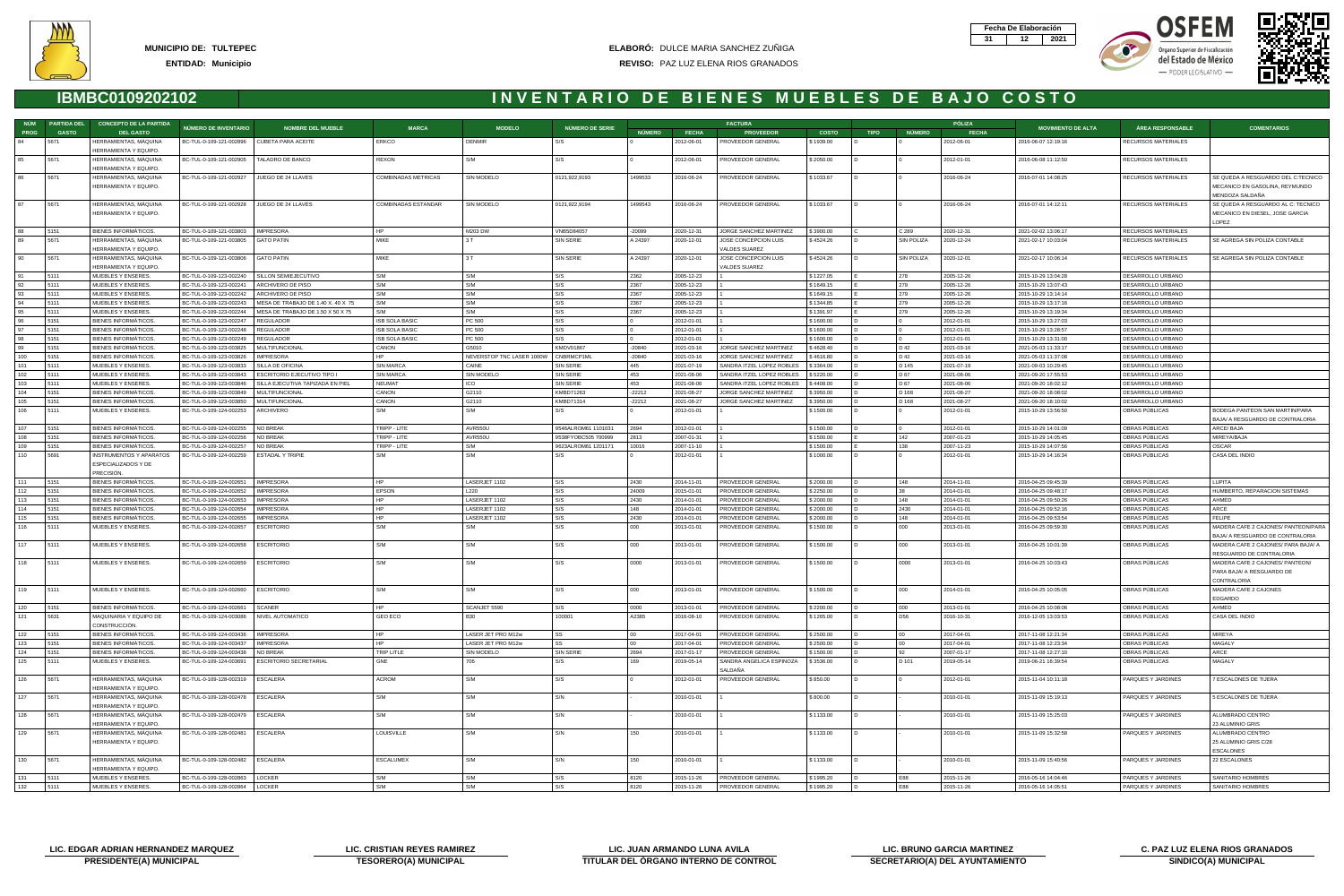







|             | NÚM PARTIDA DEL | <b>CONCEPTO DE LA PARTIDA</b>                                       |                                                    |                                                                 |                       |                                    |                        |               |                          | <b>FACTURA</b>                                         |                        |             |                | PÓLIZA                   |                                            |                                        |                                                                                         |
|-------------|-----------------|---------------------------------------------------------------------|----------------------------------------------------|-----------------------------------------------------------------|-----------------------|------------------------------------|------------------------|---------------|--------------------------|--------------------------------------------------------|------------------------|-------------|----------------|--------------------------|--------------------------------------------|----------------------------------------|-----------------------------------------------------------------------------------------|
| <b>PROG</b> | <b>GASTO</b>    | <b>DEL GASTO</b>                                                    | NÚMERO DE INVENTARIO                               | <b>NOMBRE DEL MUEBLE</b>                                        | <b>MARCA</b>          | <b>MODELO</b>                      | NÚMERO DE SERIE        | <b>NÚMERO</b> | <b>FECHA</b>             | <b>PROVEEDOR</b>                                       | <b>COSTO</b>           | <b>TIPO</b> | <b>NÚMERO</b>  | <b>FECHA</b>             | <b>MOVIMIENTO DE ALTA</b>                  | <b>ÁREA RESPONSABLE</b>                | <b>COMENTARIOS</b>                                                                      |
| 84          | 5671            | HERRAMIENTAS, MÁQUINA<br>HERRAMIENTA Y EQUIPO.                      | BC-TUL-0-109-121-002896   CUBETA PARA ACEITE       |                                                                 | ERKCO                 | <b>DENMIR</b>                      | S/S                    |               | 2012-06-01               | PROVEEDOR GENERAL                                      | \$1939.00              |             |                | 2012-06-01               | 2016-06-07 12:19:16                        | RECURSOS MATERIALES                    |                                                                                         |
| 85          | 5671            | HERRAMIENTAS, MAQUINA                                               | BC-TUL-0-109-121-002905                            | TALADRO DE BANCO                                                | REXON                 | S/M                                | S/S                    |               | 2012-06-01               | PROVEEDOR GENERAL                                      | \$2050.00              |             |                | 2012-01-01               | 2016-06-08 11:12:50                        | RECURSOS MATERIALES                    |                                                                                         |
|             |                 | HERRAMIENTA Y EQUIPO.                                               |                                                    |                                                                 |                       |                                    |                        |               |                          |                                                        |                        |             |                |                          |                                            |                                        |                                                                                         |
|             | 5671            | HERRAMIENTAS, MÁQUINA<br>HERRAMIENTA Y EQUIPO.                      | BC-TUL-0-109-121-002927                            | JUEGO DE 24 LLAVES                                              | COMBINADAS METRICAS   | SIN MODELO                         | 0121,922,9193          | 1499533       | 2016-06-24               | PROVEEDOR GENERAL                                      | \$1033.67              |             |                | 2016-06-24               | 2016-07-01 14:08:25                        | RECURSOS MATERIALES                    | SE QUEDA A RESGUARDO DEL C:TECNICO<br>MECANICO EN GASOLINA, REYMUNDO<br>MENDOZA SALDAÑA |
| 87          | 5671            | HERRAMIENTAS, MÁQUINA<br>HERRAMIENTA Y EQUIPO.                      | BC-TUL-0-109-121-002928                            | JUEGO DE 24 LLAVES                                              | COMBINADAS ESTANDAR   | SIN MODELO                         | 0121,922,9194          | 1499543       | 2016-06-24               | PROVEEDOR GENERAL                                      | \$1033.67              |             |                | 2016-06-24               | 2016-07-01 14:12:11                        | RECURSOS MATERIALES                    | SE QUEDA A RESGUARDO AL C: TECNICO<br>MECANICO EN DIESEL, JOSE GARCIA                   |
|             |                 |                                                                     |                                                    |                                                                 |                       |                                    |                        |               |                          |                                                        |                        |             |                |                          |                                            |                                        | LOPEZ                                                                                   |
|             | 5151            | BIENES INFORMÁTICOS.                                                | BC-TUL-0-109-121-003803                            | <b>IMPRESORA</b>                                                | <b>HP</b>             | M203 DW                            | VNB5D84057             | -20099        | 2020-12-31               | JORGE SANCHEZ MARTINEZ                                 | \$3900.00              |             | C 289          | 2020-12-31               | 2021-02-02 13:06:17                        | RECURSOS MATERIALES                    |                                                                                         |
|             | 5671            | HERRAMIENTAS, MÁQUINA<br>HERRAMIENTA Y EQUIPO.                      | BC-TUL-0-109-121-003805                            | <b>GATO PATIN</b>                                               | MIKE                  | 3T                                 | SIN SERIE              | A 24397       | 2020-12-01               | JOSE CONCEPCION LUIS<br>VALDES SUAREZ                  | \$ 4524.26             |             | SIN POLIZA     | 2020-12-24               | 2021-02-17 10:03:04                        | RECURSOS MATERIALES                    | SE AGREGA SIN POLIZA CONTABLE                                                           |
| 90          | 5671            | HERRAMIENTAS, MÁQUINA<br>HERRAMIENTA Y EQUIPO.                      | BC-TUL-0-109-121-003806                            | GATO PATIN                                                      | MIKE                  | 3T                                 | SIN SERIE              | A 24397       | 2020-12-01               | JOSE CONCEPCION LUIS<br>VALDES SUAREZ                  | \$4524.26              |             | SIN POLIZA     | 2020-12-01               | 2021-02-17 10:06:14                        | RECURSOS MATERIALES                    | SE AGREGA SIN POLIZA CONTABLE                                                           |
|             | 5111            | MUEBLES Y ENSERES.                                                  | BC-TUL-0-109-123-002240                            | SILLON SEMIEJECUTIVO                                            | S/M                   | S/M                                | S/S                    | 2362          | 2005-12-23               |                                                        | \$1227.05              |             | 278            | 2005-12-26               | 2015-10-29 13:04:28                        | DESARROLLO URBANO                      |                                                                                         |
|             | 5111            | MUEBLES Y ENSERES.                                                  | BC-TUL-0-109-123-002241                            | ARCHIVERO DE PISO                                               | S/M                   | S/M                                | S/S                    | 2367          | 2005-12-23               |                                                        | \$1649.15              |             | 279            | 2005-12-26               | 2015-10-29 13:07:43                        | DESARROLLO URBANO                      |                                                                                         |
|             | 5111            | MUEBLES Y ENSERES.                                                  | BC-TUL-0-109-123-002242                            | ARCHIVERO DE PISO                                               | S/M                   | S/M                                | S/S                    | 2367          | 2005-12-23               |                                                        | \$1649.15              |             | 279            | 2005-12-26               | 2015-10-29 13:14:14                        | DESARROLLO URBANO                      |                                                                                         |
|             | 5111            | MUEBLES Y ENSERES.                                                  | BC-TUL-0-109-123-002243                            | MESA DE TRABAJO DE 1.40 X. 40 X 75                              | S/M                   | S/M                                | S/S                    | 2367          | 2005-12-23               |                                                        | \$1344.85              |             | 279            | 2005-12-26               | 2015-10-29 13:17:16                        | DESARROLLO URBANO                      |                                                                                         |
|             | 5111            | MUEBLES Y ENSERES.                                                  | BC-TUL-0-109-123-002244                            | MESA DE TRABAJO DE 1.50 X 50 X 75                               | S/M                   | S/M                                | S/S                    | 2367          | 2005-12-23               |                                                        | \$1391.97              |             | 279            | 2005-12-26               | 2015-10-29 13:19:34                        | DESARROLLO URBANO                      |                                                                                         |
|             | 5151            | BIENES INFORMATICOS.                                                | BC-TUL-0-109-123-002247                            | REGULADOR                                                       | <b>ISB SOLA BASIC</b> | PC 500                             | S/S                    |               | 2012-01-01               |                                                        | \$1600.00              |             |                | 2012-01-01               | 2015-10-29 13:27:03                        | DESARROLLO URBANO                      |                                                                                         |
|             | 5151            | BIENES INFORMÁTICOS.                                                | BC-TUL-0-109-123-002248                            | REGULADOR                                                       | <b>ISB SOLA BASIC</b> | PC 500                             | S/S                    |               | 2012-01-01               |                                                        | \$1600.00              |             |                | 2012-01-01               | 2015-10-29 13:28:57                        | DESARROLLO URBANO                      |                                                                                         |
|             | 5151            | BIENES INFORMÁTICOS.                                                | BC-TUL-0-109-123-002249                            | <b>REGULADOR</b>                                                | <b>ISB SOLA BASIC</b> | PC 500                             | S/S                    |               | 2012-01-01               |                                                        | \$1600.00              |             |                | 2012-01-01               | 2015-10-29 13:31:00                        | DESARROLLO URBANO                      |                                                                                         |
|             | 5151            | BIENES INFORMÁTICOS.                                                | BC-TUL-0-109-123-003825                            | MULTIFUNCIONAL                                                  | CANON<br>HP.          | G5010                              | KMDV01867              | $-20840$      | 2021-03-16               | JORGE SANCHEZ MARTINEZ                                 | \$4628.40              |             | D 42           | 2021-03-16               | 2021-05-03 11:33:17                        | DESARROLLO URBANO                      |                                                                                         |
| 100<br>101  | 5151<br>5111    | BIENES INFORMÁTICOS.<br>MUEBLES Y ENSERES.                          | BC-TUL-0-109-123-003826                            | <b>IMPRESORA</b><br>SILLA DE OFICINA                            | <b>SIN MARCA</b>      | NEVERSTOP TNC LASER 1000W<br>CAINE | CNBRMCP1ML             | $-20840$      | 2021-03-16               | JORGE SANCHEZ MARTINEZ                                 | \$4616.80              |             | D 42<br>D 145  | 2021-03-16<br>2021-07-19 | 2021-05-03 11:37:08                        | DESARROLLO URBANO<br>DESARROLLO URBANO |                                                                                         |
| 102         | 5111            |                                                                     | BC-TUL-0-109-123-003833<br>BC-TUL-0-109-123-003843 |                                                                 | <b>SIN MARCA</b>      |                                    | <b>SIN SERIE</b>       | 445<br>453    | 2021-07-19               | SANDRA ITZEL LOPEZ ROBLES<br>SANDRA ITZEL LOPEZ ROBLES | \$3364.00              |             | D 67           | 2021-08-06               | 2021-09-03 10:29:45                        |                                        |                                                                                         |
| 103         | 5111            | MUEBLES Y ENSERES.<br>MUEBLES Y ENSERES.                            | BC-TUL-0-109-123-003846                            | ESCRITORIO EJECUTIVO TIPO I<br>SILLA EJECUTIVA TAPIZADA EN PIEL | NEUMAT                | <b>SIN MODELO</b><br>ICO           | SIN SERIE<br>SIN SERIE | 453           | 2021-08-06<br>2021-08-06 | SANDRA ITZEL LOPEZ ROBLES                              | \$5220.00<br>\$4408.00 |             | D 67           | 2021-08-06               | 2021-09-20 17:55:53<br>2021-09-20 18:02:12 | DESARROLLO URBANO<br>DESARROLLO URBANO |                                                                                         |
| 104         | 5151            | BIENES INFORMÁTICOS.                                                | BC-TUL-0-109-123-003849                            | MULTIFUNCIONAL                                                  | CANON                 | G2110                              | KMBD71263              | $-22212$      | 2021-08-27               | JORGE SANCHEZ MARTINEZ                                 | \$3950.00              |             | D 168          | 2021-08-27               | 2021-09-20 18:08:02                        | DESARROLLO URBANO                      |                                                                                         |
| 105         | 5151            | BIENES INFORMATICOS.                                                | BC-TUL-0-109-123-003850                            | MULTIFUNCIONAL                                                  | CANON                 | G2110                              | KMBD71314              | $-22212$      | 2021-08-27               | JORGE SANCHEZ MARTINEZ                                 | \$3950.00              |             | D 168          | 2021-08-27               | 2021-09-20 18:10:02                        | DESARROLLO URBANO                      |                                                                                         |
| 106         | 5111            | MUEBLES Y ENSERES.                                                  | BC-TUL-0-109-124-002253                            | ARCHIVERO                                                       | S/M                   | S/M                                | S/S                    |               | 2012-01-01               |                                                        | \$1500.00              |             |                | 2012-01-01               | 2015-10-29 13:56:50                        | OBRAS PÚBLICAS                         | BODEGA PANTEON SAN MARTIN/PARA                                                          |
|             |                 |                                                                     |                                                    |                                                                 |                       |                                    |                        |               |                          |                                                        |                        |             |                |                          |                                            |                                        | BAJA/ A RESGUARDO DE CONTRALORIA                                                        |
| 107         | 5151            | BIENES INFORMATICOS.                                                | BC-TUL-0-109-124-002255                            | NO BREAK                                                        | TRIPP - LITE          | AVR550U                            | 9546ALROM61 1101031    | 2694          | 2012-01-01               |                                                        | \$1500.00              |             |                | 2012-01-01               | 2015-10-29 14:01:09                        | OBRAS PUBLICAS                         | ARCE/BAJA                                                                               |
| 108         | 5151            | BIENES INFORMÁTICOS.                                                | BC-TUL-0-109-124-002256                            | NO BREAK                                                        | TRIPP - LITE          | AVR550U                            | 9538FYOBC505 700999    | 2813          | 2007-01-31               |                                                        | \$1500.00              |             | 142            | 2007-01-23               | 2015-10-29 14:05:45                        | OBRAS PÚBLICAS                         | MIREYA/BAJA                                                                             |
| 109         | 5151            | BIENES INFORMÁTICOS.                                                | BC-TUL-0-109-124-002257                            | NO BREAK                                                        | TRIPP - LITE          | S/M                                | 9623ALROM61 1201171    | 10016         | 2007-11-10               |                                                        | \$1500.00              |             | 138            | 2007-11-23               | 2015-10-29 14:07:56                        | OBRAS PUBLICAS                         | OSCAR                                                                                   |
| 110         | 5691            | <b>INSTRUMENTOS Y APARATOS</b><br>ESPECIALIZADOS Y DE<br>PRECISIÓN. | BC-TUL-0-109-124-002259                            | <b>ESTADAL Y TRIPIE</b>                                         | S/M                   | S/M                                | S/S                    |               | 2012-01-01               |                                                        | \$1000.00              |             |                | 2012-01-01               | 2015-10-29 14:16:34                        | OBRAS PÚBLICAS                         | CASA DEL INDIO                                                                          |
| 111         | 5151            | BIENES INFORMATICOS.                                                | BC-TUL-0-109-124-002651                            | <b>IMPRESORA</b>                                                | <b>HP</b>             | LASERJET 1102                      | S/S                    | 2430          | 2014-11-01               | PROVEEDOR GENERAL                                      | \$2000.00              |             | 148            | 2014-11-01               | 2016-04-25 09:45:39                        | OBRAS PUBLICAS                         | LUPITA                                                                                  |
| 112         | 5151            | BIENES INFORMÁTICOS.                                                | BC-TUL-0-109-124-002652                            | <b>IMPRESORA</b>                                                | <b>EPSON</b>          | L220                               | S/S                    | 24009         | 2015-01-01               | PROVEEDOR GENERAL                                      | \$2250.00              |             | 38             | 2014-01-01               | 2016-04-25 09:48:17                        | OBRAS PÚBLICAS                         | HUMBERTO, REPARACION SISTEMAS                                                           |
| 113         | 5151            | BIENES INFORMÁTICOS.                                                | BC-TUL-0-109-124-002653                            | <b>IMPRESORA</b>                                                | <b>HP</b>             | LASERJET 1102                      | S/S                    | 2430          | 2014-01-01               | PROVEEDOR GENERAL                                      | \$2000.00              |             | 148            | 2014-01-01               | 2016-04-25 09:50:26                        | OBRAS PÚBLICAS                         | AHMED                                                                                   |
| 114         | 5151            | BIENES INFORMATICOS.                                                | BC-TUL-0-109-124-002654                            | <b>IMPRESORA</b>                                                | HP                    | LASERJET 1102                      | S/S                    | 148           | 2014-01-01               | PROVEEDOR GENERAL                                      | \$2000.00              |             | 2430           | 2014-01-01               | 2016-04-25 09:52:16                        | OBRAS PUBLICAS                         | ARCE                                                                                    |
| 115         | 5151            | BIENES INFORMÁTICOS.                                                | BC-TUL-0-109-124-002655                            | <b>IMPRESORA</b>                                                | <b>HP</b>             | LASERJET 1102                      | S/S                    | 2430          | 2014-01-01               | PROVEEDOR GENERAL                                      | \$2000.00              |             | 148            | 2014-01-01               | 2016-04-25 09:53:54                        | OBRAS PÚBLICAS                         | FELIPE                                                                                  |
| 116         | 5111            | MUEBLES Y ENSERES.                                                  | BC-TUL-0-109-124-002657                            | <b>ESCRITORIO</b>                                               | S/M                   | S/M                                | S/S                    | 000           | 2013-01-01               | PROVEEDOR GENERAL                                      | \$1500.00              |             | 000            | 2013-01-01               | 2016-04-25 09:59:30                        | OBRAS PÚBLICAS                         | MADERA CAFE 2 CAJONES/ PANTEON/PARA<br>BAJA/ A RESGUARDO DE CONTRALORIA                 |
| 117         | 5111            | MUEBLES Y ENSERES.                                                  | BC-TUL-0-109-124-002658                            | <b>ESCRITORIO</b>                                               | S/M                   | S/M                                | S/S                    | 000           | 2013-01-01               | PROVEEDOR GENERAL                                      | \$1500.00              |             | 000            | 2013-01-01               | 2016-04-25 10:01:39                        | OBRAS PUBLICAS                         | MADERA CAFE 2 CAJONES/ PARA BAJA/ A<br>RESGUARDO DE CONTRALORIA                         |
| 118         | 5111            | MUEBLES Y ENSERES.                                                  | BC-TUL-0-109-124-002659                            | <b>ESCRITORIO</b>                                               | S/M                   | S/M                                | S/S                    | 0000          | 2013-01-01               | PROVEEDOR GENERAL                                      | \$1500.00              |             | 0000           | 2013-01-01               | 2016-04-25 10:03:43                        | OBRAS PUBLICAS                         | MADERA CAFE 2 CAJONES/ PANTEON/                                                         |
|             |                 |                                                                     |                                                    |                                                                 |                       |                                    |                        |               |                          |                                                        |                        |             |                |                          |                                            |                                        | PARA BAJA/ A RESGUARDO DE<br>CONTRALORIA                                                |
| 119 5111    |                 | MUEBLES Y ENSERES.                                                  | BC-TUL-0-109-124-002660                            | <b>ESCRITORIO</b>                                               |                       |                                    |                        |               | 2013-01-01               | PROVEEDOR GENERAL                                      | \$1500.00              |             | $\sim$         | $2014 - 01 - 01$         | 2016-04-25 10:05:05                        | OBRAS PÚBLICAS                         | MADERA CAFE 2 CAJONES<br>EDGARDO                                                        |
| 120         | 5151            | BIENES INFORMÁTICOS.                                                | BC-TUL-0-109-124-002661                            | SCANER                                                          | l HP                  | SCANJET 5590                       | S/S                    | 0000          | 2013-01-01               | PROVEEDOR GENERAL                                      | \$2200.00              |             | 000            | 2013-01-01               | 2016-04-25 10:08:06                        | OBRAS PÚBLICAS                         | AHMED                                                                                   |
| 121         | 5631            | MAQUINARIA Y EQUIPO DE<br>CONSTRUCCIÓN.                             | BC-TUL-0-109-124-003086                            | NIVEL AUTOMATICO                                                | <b>GEO ECO</b>        | <b>B30</b>                         | 100001                 | A2365         | 2016-08-10               | PROVEEDOR GENERAL                                      | \$1265.00              |             | D56            | 2016-10-31               | 2016-12-05 13:03:53                        | OBRAS PÚBLICAS                         | CASA DEL INDIO                                                                          |
| 122         | 5151            | BIENES INFORMÁTICOS.                                                | BC-TUL-0-109-124-003436                            | <b>IMPRESORA</b>                                                | HP.                   | LASER JET PRO M12w                 | SS                     | 00            | 2017-04-01               | PROVEEDOR GENERAL                                      | \$2500.00              |             | 0 <sup>0</sup> | 2017-04-01               | 2017-11-08 12:21:34                        | OBRAS PÚBLICAS                         | MIREYA                                                                                  |
| 123         | 5151            | BIENES INFORMATICOS.                                                | BC-TUL-0-109-124-003437                            | <b>IMPRESORA</b>                                                | HP.                   | LASER JET PRO M12w                 |                        |               | 2017-04-01               | PROVEEDOR GENERAL                                      | \$2500.00              |             | 00             | 2017-04-01               | 2017-11-08 12:23:34                        | OBRAS PUBLICAS                         | MAGALY                                                                                  |
| 124         | 5151            | BIENES INFORMÁTICOS.                                                | BC-TUL-0-109-124-003438                            | NO BREAK                                                        | TRIP LITLE            | SIN MODELO                         | <b>SIN SERIE</b>       | 2694          | 2017-01-17               | PROVEEDOR GENERAL                                      | \$1500.00              |             | 92             | 2007-01-17               | 2017-11-08 12:27:10                        | OBRAS PÚBLICAS                         | ARCE                                                                                    |
| 125         | 5111            | MUEBLES Y ENSERES.                                                  | BC-TUL-0-109-124-003691                            | ESCRITORIO SECRETARIAL                                          | GNE                   | 706                                | S/S                    | 169           | 2019-05-14               | SANDRA ANGELICA ESPINOZA<br>SALDAÑA                    | \$3536.00              |             | D 101          | 2019-05-14               | 2019-06-21 16:39:54                        | OBRAS PÚBLICAS                         | MAGALY                                                                                  |
| 126         | 5671            | HERRAMIENTAS, MÁQUINA<br>HERRAMIENTA Y EQUIPO.                      | BC-TUL-0-109-128-002319                            | ESCALERA                                                        | ACROM                 | S/M                                | S/S                    |               | 2012-01-01               | PROVEEDOR GENERAL                                      | \$850.00               |             |                | 2012-01-01               | 2015-11-04 10:11:18                        | PARQUES Y JARDINES                     | 7 ESCALONES DE TIJERA                                                                   |
| 127         | 5671            | HERRAMIENTAS, MÁQUINA<br>HERRAMIENTA Y EQUIPO.                      | BC-TUL-0-109-128-002478                            | ESCALERA                                                        | S/M                   | S/M                                | S/N                    |               | 2010-01-01               |                                                        | \$800.00               |             |                | 2010-01-01               | 2015-11-09 15:19:13                        | PARQUES Y JARDINES                     | 5 ESCALONES DE TIJERA                                                                   |
| 128         | 5671            | HERRAMIENTAS, MÁQUINA<br>HERRAMIENTA Y EQUIPO.                      | BC-TUL-0-109-128-002479                            | ESCALERA                                                        | S/M                   | S/M                                | S/N                    |               | 2010-01-01               |                                                        | \$1133.00              |             |                | 2010-01-01               | 2015-11-09 15:25:03                        | PARQUES Y JARDINES                     | ALUMBRADO CENTRO<br>23 ALUMINIO GRIS                                                    |
| 129         | 5671            | HERRAMIENTAS, MÁQUINA                                               | BC-TUL-0-109-128-002481                            | ESCALERA                                                        | <b>LOUISVILLE</b>     | S/M                                | S/N                    | 150           | 2010-01-01               |                                                        | \$1133.00              |             |                | 2010-01-01               | 2015-11-09 15:32:58                        | PARQUES Y JARDINES                     | ALUMBRADO CENTRO                                                                        |
|             |                 | HERRAMIENTA Y EQUIPO.                                               |                                                    |                                                                 |                       |                                    |                        |               |                          |                                                        |                        |             |                |                          |                                            |                                        | 25 ALUMINIO GRIS C/28<br><b>ESCALONES</b>                                               |
| 130         | 5671            | HERRAMIENTAS, MÁQUINA<br>HERRAMIENTA Y EQUIPO.                      | BC-TUL-0-109-128-002482                            | ESCALERA                                                        | <b>ESCALUMEX</b>      | S/M                                | S/N                    | 150           | 2010-01-01               |                                                        | \$1133.00              |             |                | 2010-01-01               | 2015-11-09 15:40:56                        | PARQUES Y JARDINES                     | 22 ESCALONES                                                                            |
| 131         | 5111            | MUEBLES Y ENSERES.                                                  | BC-TUL-0-109-128-002863                            | LOCKER                                                          | S/M                   | S/M                                | S/S                    | 8120          | 2015-11-26               | <b>PROVEEDOR GENERAL</b>                               | \$1995.20              |             | E88            | 2015-11-26               | 2016-05-16 14:04:46                        | PARQUES Y JARDINES                     | SANITARIO HOMBRES                                                                       |
| 132         | 5111            | MUEBLES Y ENSERES.                                                  | BC-TUL-0-109-128-002864                            | LOCKER                                                          | S/M                   | S/M                                | S/S                    | 8120          | 2015-11-26               | <b>PROVEEDOR GENERAL</b>                               | \$1995.20              |             | E88            | 2015-11-26               | 2016-05-16 14:05:51                        | PARQUES Y JARDINES                     | SANITARIO HOMBRES                                                                       |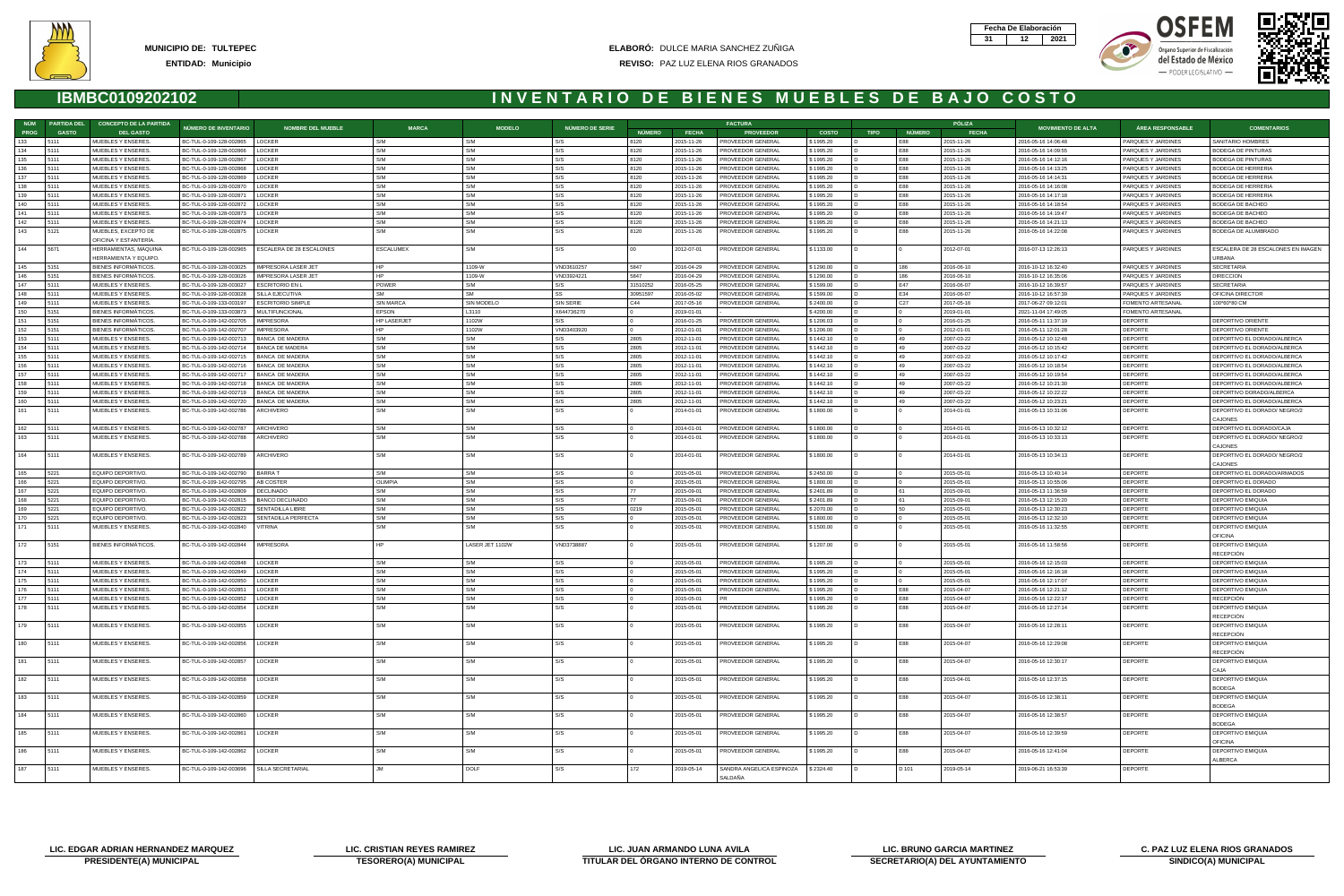







| NÚM                     | <b>PARTIDA DEL</b> | <b>CONCEPTO DE LA PARTIDA</b>            |                                                    |                                                    |                    |                 |                        |               |                          | <b>FACTURA</b>                         |                        |             |                 | PÓLIZA                   |                                            |                                          |                                                            |
|-------------------------|--------------------|------------------------------------------|----------------------------------------------------|----------------------------------------------------|--------------------|-----------------|------------------------|---------------|--------------------------|----------------------------------------|------------------------|-------------|-----------------|--------------------------|--------------------------------------------|------------------------------------------|------------------------------------------------------------|
| <b>PROG</b>             | <b>GASTO</b>       | <b>DEL GASTO</b>                         | NÚMERO DE INVENTARIO                               | <b>NOMBRE DEL MUEBLE</b>                           | <b>MARCA</b>       | <b>MODELO</b>   | <b>NÚMERO DE SERIE</b> | <b>NÚMERO</b> | <b>FECHA</b>             | <b>PROVEEDOR</b>                       | <b>COSTO</b>           | <b>TIPO</b> | <b>NÚMERO</b>   | <b>FECHA</b>             | <b>MOVIMIENTO DE ALTA</b>                  | <b>ÁREA RESPONSABLE</b>                  | <b>COMENTARIOS</b>                                         |
| 133                     | 5111               | MUEBLES Y ENSERES.                       | BC-TUL-0-109-128-002865   LOCKER                   |                                                    | S/M                | S/M             | S/S                    | 8120          | 2015-11-26               | PROVEEDOR GENERAL                      | \$1995.20              | ID.         | E88             | 2015-11-26               | 2016-05-16 14:06:48                        | PARQUES Y JARDINES                       | SANITARIO HOMBRES                                          |
| 134                     | 5111               | MUEBLES Y ENSERES.                       | BC-TUL-0-109-128-002866                            | <b>LOCKER</b>                                      | S/M                | S/M             | S/S                    | 8120          | 2015-11-26               | PROVEEDOR GENERAL                      | \$1995.20              |             | E88             | 2015-11-26               | 2016-05-16 14:09:55                        | PARQUES Y JARDINES                       | <b>BODEGA DE PINTURAS</b>                                  |
| 135                     | 5111               | MUEBLES Y ENSERES.                       | BC-TUL-0-109-128-002867                            | <b>LOCKER</b>                                      | S/M                | S/M             | S/S                    | 8120          | 2015-11-26               | PROVEEDOR GENERAL                      | \$1995.20              |             | E88             | 2015-11-26               | 2016-05-16 14:12:16                        | PARQUES Y JARDINES                       | BODEGA DE PINTURAS                                         |
| 136                     | 5111               | MUEBLES Y ENSERES                        | BC-TUL-0-109-128-002868                            | LOCKER                                             | S/M                | S/M             | S/S                    | 8120          | 2015-11-26               | PROVEEDOR GENERAL                      | \$1995.20              |             | E88             | 2015-11-26               | 2016-05-16 14:13:25                        | PARQUES Y JARDINES                       | BODEGA DE HERRERIA                                         |
| 137                     | 5111               | MUEBLES Y ENSERES.                       | BC-TUL-0-109-128-002869                            | <b>LOCKER</b>                                      | S/M                | S/M             | S/S                    | 8120          | 2015-11-26               | PROVEEDOR GENERAL                      | \$1995.20              |             | <b>E88</b>      | 2015-11-26               | 2016-05-16 14:14:31                        | PARQUES Y JARDINES                       | BODEGA DE HERRERIA                                         |
| 138                     | 5111               | MUEBLES Y ENSERES.                       | BC-TUL-0-109-128-002870                            | LOCKER                                             | S/M                | S/M             | S/S                    | 8120          | 2015-11-26               | PROVEEDOR GENERAL                      | \$1995.20              |             | E88             | 2015-11-26               | 2016-05-16 14:16:08                        | PARQUES Y JARDINES                       | BODEGA DE HERRERIA                                         |
| 139                     | 5111               | MUEBLES Y ENSERES                        | BC-TUL-0-109-128-00287                             | LOCKER                                             | S/M                | S/M             | S/S                    | 8120          | 2015-11-26               | PROVEEDOR GENERAL                      | \$1995.20              |             | E88             | 2015-11-26               | 2016-05-16 14:17:18                        | PARQUES Y JARDINES                       | BODEGA DE HERRERIA                                         |
| 140                     | 5111               | MUEBLES Y ENSERES.                       | BC-TUL-0-109-128-002872                            | LOCKER                                             | S/M<br>S/M         | S/M             | S/S                    | 8120          | 2015-11-26               | PROVEEDOR GENERAL                      | \$1995.20              |             | E88             | 2015-11-26               | 2016-05-16 14:18:54                        | PARQUES Y JARDINES                       | BODEGA DE BACHEO                                           |
| 141<br>142              | 5111<br>5111       | MUEBLES Y ENSERES<br>MUEBLES Y ENSERES.  | BC-TUL-0-109-128-002873<br>BC-TUL-0-109-128-002874 | <b>LOCKER</b><br><b>LOCKER</b>                     | S/M                | S/M<br>S/M      | S/S<br>S/S             | 8120<br>8120  | 2015-11-26<br>2015-11-26 | PROVEEDOR GENERAL<br>PROVEEDOR GENERAL | \$1995.20<br>\$1995.20 |             | E88<br>E88      | 2015-11-26<br>2015-11-26 | 2016-05-16 14:19:47<br>2016-05-16 14:21:13 | PARQUES Y JARDINES<br>PARQUES Y JARDINES | BODEGA DE BACHEO<br>BODEGA DE BACHEO                       |
| 143                     | 5121               | MUEBLES, EXCEPTO DE                      | BC-TUL-0-109-128-002875                            | LOCKER                                             | S/M                | S/M             | S/S                    | 8120          | 2015-11-26               | PROVEEDOR GENERAL                      | \$1995.20              |             | E88             | 2015-11-26               | 2016-05-16 14:22:08                        | PARQUES Y JARDINES                       | BODEGA DE ALUMBRADO                                        |
|                         |                    | OFICINA Y ESTANTERÍA.                    |                                                    |                                                    |                    |                 |                        |               |                          |                                        |                        |             |                 |                          |                                            |                                          |                                                            |
| 144                     | 5671               | HERRAMIENTAS, MAQUINA                    |                                                    | BC-TUL-0-109-128-002965   ESCALERA DE 28 ESCALONES | <b>ESCALUMEX</b>   | S/M             | S/S                    |               | 2012-07-01               | PROVEEDOR GENERAL                      | \$1133.00              |             |                 | 2012-07-01               | 2016-07-13 12:26:13                        | PARQUES Y JARDINES                       | ESCALERA DE 28 ESCALONES EN IMAGEN                         |
|                         |                    | HERRAMIENTA Y EQUIPO.                    |                                                    |                                                    |                    |                 |                        |               |                          |                                        |                        |             |                 |                          |                                            |                                          | URBANA                                                     |
| 145                     | 5151               | <b>BIENES INFORMÁTICOS</b>               | BC-TUL-0-109-128-003025                            | IMPRESORA LASER JET                                | HP                 | 1109-W          | VND3610257             | 5847          | 2016-04-29               | PROVEEDOR GENERAL                      | \$1290.00              |             | 186             | 2016-06-10               | 2016-10-12 16:32:40                        | PARQUES Y JARDINES                       | <b>SECRETARIA</b>                                          |
| 146                     | 5151               | <b>BIENES INFORMATICOS</b>               | BC-TUL-0-109-128-003026                            | <b>IMPRESORA LASER JET</b>                         | <b>HP</b>          | 1109-W          | VND3924221             | 5847          | 2016-04-29               | PROVEEDOR GENERAL                      | \$1290.00              |             | 186             | 2016-06-10               | 2016-10-12 16:35:06                        | PARQUES Y JARDINES                       | <b>DIRECCION</b>                                           |
| 147                     | 5111               | MUEBLES Y ENSERES.                       | BC-TUL-0-109-128-003027                            | <b>ESCRITORIO EN L</b>                             | POWER              | S/M             | S/S                    | 31510252      | 2016-05-25               | PROVEEDOR GENERAL                      | \$1599.00              |             | E47             | 2016-06-07               | 2016-10-12 16:39:57                        | PARQUES Y JARDINES                       | <b>SECRETARIA</b>                                          |
| 148                     | 5111               | MUEBLES Y ENSERES.                       | BC-TUL-0-109-128-003028                            | SILLA EJECUTIVA                                    | <b>SM</b>          | <b>SM</b>       | SS                     | 30951597      | 2016-05-02               | PROVEEDOR GENERAL                      | \$1599.00              |             | E34             | 2016-06-07               | 2016-10-12 16:57:39                        | PARQUES Y JARDINES                       | OFICINA DIRECTOR                                           |
| 149                     | 5111               | MUEBLES Y ENSERES.                       | BC-TUL-0-109-133-003197                            | ESCRITORIO SIMPLE                                  | <b>SIN MARCA</b>   | SIN MODELO      | SIN SERIE              | C44           | 2017-05-16               | PROVEEDOR GENERAL                      | \$2400.00              |             | C <sub>27</sub> | 2017-05-16               | 2017-06-27 09:12:01                        | <b>FOMENTO ARTESANAL</b>                 | 100*60*80 CM                                               |
| 150                     | 5151               | <b>BIENES INFORMATICOS</b>               | BC-TUL-0-109-133-003873                            | MULTIFUNCIONAL                                     | <b>EPSON</b>       | L3110           | X644736270             |               | 2019-01-01               |                                        | \$4200.00              | D           |                 | 2019-01-01               | 2021-11-04 17:49:05                        | FOMENTO ARTESANAL                        |                                                            |
| 151                     | 5151               | <b>BIENES INFORMÁTICOS</b>               | BC-TUL-0-109-142-002705                            | <b>IMPRESORA</b>                                   | <b>HP LASERJET</b> | 1102W           | S/S                    |               | 2016-01-25               | PROVEEDOR GENERAL                      | \$1206.03              |             |                 | 2016-01-25               | 2016-05-11 11:37:19                        | <b>DEPORTE</b>                           | DEPORTIVO ORIENTE                                          |
| 152                     | 5151               | <b>BIENES INFORMATICOS</b>               | BC-TUL-0-109-142-00270                             | <b>IMPRESORA</b>                                   |                    | 1102W           | VND3403920             |               | 2012-01-01               | PROVEEDOR GENERAL                      | \$1206.00              |             |                 | 2012-01-01               | 2016-05-11 12:01:28                        | DEPORTE                                  | DEPORTIVO ORIENTE                                          |
| 153                     | 5111               | MUEBLES Y ENSERES                        | BC-TUL-0-109-142-00271                             | <b>BANCA DE MADERA</b>                             | S/M                | S/M             | S/S                    | 2805          | 2012-11-01               | PROVEEDOR GENERAL                      | \$1442.10              |             |                 | 2007-03-22               | 2016-05-12 10:12:48                        | <b>DEPORT</b>                            | DEPORTIVO EL DORADO/ALBERCA                                |
| 154<br>155              | 5111<br>5111       | MUEBLES Y ENSERES.<br>MUEBLES Y ENSERES. | BC-TUL-0-109-142-002714<br>BC-TUL-0-109-142-002715 | BANCA DE MADERA<br><b>BANCA DE MADERA</b>          | S/M<br>S/M         | S/M<br>S/M      | S/S<br>S/S             | 2805<br>2805  | 2012-11-01<br>2012-11-01 | PROVEEDOR GENERAL<br>PROVEEDOR GENERAL | \$1442.10<br>\$1442.10 |             |                 | 2007-03-22<br>2007-03-22 | 2016-05-12 10:15:42<br>2016-05-12 10:17:42 | <b>DEPORTE</b><br>DEPORTE                | DEPORTIVO EL DORADO/ALBERCA<br>DEPORTIVO EL DORADO/ALBERCA |
| 156                     | 5111               | MUEBLES Y ENSERES.                       | BC-TUL-0-109-142-002716                            | BANCA DE MADERA                                    | S/M                | S/M             | S/S                    | 2805          | 2012-11-01               | <b>PROVEEDOR GENERAL</b>               | \$1442.10              | D           | 49              | 2007-03-22               | 2016-05-12 10:18:54                        | DEPORTE                                  | DEPORTIVO EL DORADO/ALBERCA                                |
| 157                     | 5111               | MUEBLES Y ENSERES.                       | BC-TUL-0-109-142-002717                            | <b>BANCA DE MADERA</b>                             | S/M                | S/M             | S/S                    | 2805          | 2012-11-01               | PROVEEDOR GENERAL                      | \$1442.10              | D           |                 | 2007-03-22               | 2016-05-12 10:19:54                        | <b>DEPORTE</b>                           | DEPORTIVO EL DORADO/ALBERCA                                |
| 158                     | 5111               | MUEBLES Y ENSERES                        | BC-TUL-0-109-142-002718                            | BANCA DE MADERA                                    | S/M                | S/M             | S/S                    | 2805          | 2012-11-01               | PROVEEDOR GENERAL                      | \$1442.10              |             |                 | 2007-03-22               | 2016-05-12 10:21:30                        | <b>DEPORTE</b>                           | DEPORTIVO EL DORADO/ALBERCA                                |
| 159                     | 5111               | MUEBLES Y ENSERES.                       | BC-TUL-0-109-142-002719                            | <b>BANCA DE MADERA</b>                             | S/M                | S/M             | S/S                    | 2805          | 2012-11-01               | PROVEEDOR GENERAL                      | \$1442.10              |             |                 | 2007-03-22               | 2016-05-12 10:22:22                        | <b>DEPORTE</b>                           | DEPORTIVO DORADO/ALBERCA                                   |
| 160                     | 5111               | MUEBLES Y ENSERES.                       | BC-TUL-0-109-142-002720                            | <b>BANCA DE MADERA</b>                             | S/M                | S/M             | S/S                    | 2805          | 2012-11-01               | PROVEEDOR GENERAL                      | \$1442.10              |             |                 | 2007-03-22               | 2016-05-12 10:23:21                        | <b>DEPORTE</b>                           | DEPORTIVO EL DORADO/ALBERCA                                |
| 161                     | 5111               | MUEBLES Y ENSERES.                       | BC-TUL-0-109-142-002786                            | ARCHIVERO                                          | S/M                | S/M             | S/S                    |               | 2014-01-01               | PROVEEDOR GENERAL                      | \$1800.00              |             |                 | 2014-01-01               | 2016-05-13 10:31:06                        | <b>DEPORTE</b>                           | DEPORTIVO EL DORADO/ NEGRO/2                               |
|                         |                    |                                          |                                                    |                                                    |                    |                 |                        |               |                          |                                        |                        |             |                 |                          |                                            |                                          | CAJONES                                                    |
| 162                     | 5111               | MUEBLES Y ENSERES.                       | BC-TUL-0-109-142-002787                            | <b>ARCHIVERO</b>                                   | S/M                | S/M             | S/S                    |               | 2014-01-01               | PROVEEDOR GENERAL                      | \$1800.00              |             |                 | 2014-01-01               | 2016-05-13 10:32:12                        | <b>DEPORTE</b>                           | DEPORTIVO EL DORADO/CAJA                                   |
| 163                     | 5111               | MUEBLES Y ENSERES.                       | BC-TUL-0-109-142-002788                            | ARCHIVERO                                          | S/M                | S/M             | S/S                    |               | 2014-01-01               | PROVEEDOR GENERAL                      | \$1800.00              |             |                 | 2014-01-01               | 2016-05-13 10:33:13                        | <b>DEPORTE</b>                           | DEPORTIVO EL DORADO/ NEGRO/2                               |
|                         |                    |                                          |                                                    |                                                    |                    |                 |                        |               |                          |                                        |                        |             |                 |                          |                                            |                                          | CAJONES                                                    |
| 164                     | 5111               | MUEBLES Y ENSERES.                       | BC-TUL-0-109-142-002789                            | ARCHIVERO                                          | S/M                | S/M             | S/S                    |               | 2014-01-01               | PROVEEDOR GENERAL                      | \$1800.00              |             |                 | 2014-01-01               | 2016-05-13 10:34:13                        | <b>DEPORTE</b>                           | DEPORTIVO EL DORADO/ NEGRO/2                               |
|                         |                    |                                          |                                                    |                                                    |                    |                 |                        |               |                          |                                        |                        |             |                 |                          |                                            |                                          | CAJONES                                                    |
| 165                     | 5221               | EQUIPO DEPORTIVO.                        | BC-TUL-0-109-142-002790                            | BARRA T                                            | S/M                | S/M             | S/S                    |               | 2015-05-01               | PROVEEDOR GENERAL                      | \$2450.00              |             |                 | 2015-05-01               | 2016-05-13 10:40:14                        | <b>DEPORTE</b>                           | DEPORTIVO EL DORADO/ARMADOS                                |
| 166                     | 5221               | EQUIPO DEPORTIVO.                        | BC-TUL-0-109-142-002795                            | AB COSTER                                          | OLIMPIA            | S/M<br>S/M      | S/S                    |               | 2015-05-01               | <b>PROVEEDOR GENERAL</b>               | \$1800.00              | D           |                 | 2015-05-01               | 2016-05-13 10:55:06                        | <b>DEPORTE</b>                           | DEPORTIVO EL DORADO                                        |
| 168                     | 5221<br>5221       | EQUIPO DEPORTIVO.<br>EQUIPO DEPORTIVO.   | BC-TUL-0-109-142-002809<br>BC-TUL-0-109-142-00281  | <b>DECLINADO</b><br><b>BANCO DECLINADO</b>         | S/M<br>S/M         | S/M             | S/S<br>S/S             |               | 2015-09-01<br>2015-09-01 | PROVEEDOR GENERAL<br>PROVEEDOR GENERAL | \$2401.89<br>\$2401.89 |             |                 | 2015-09-01<br>2015-09-01 | 2016-05-13 11:36:59<br>2016-05-13 12:15:20 | <b>DEPORTE</b><br>DEPORTE                | DEPORTIVO EL DORADO<br>DEPORTIVO EMIQUIA                   |
| 169                     | 5221               | EQUIPO DEPORTIVO.                        | BC-TUL-0-109-142-002822                            | SENTADILLA LIBRE                                   | S/M                | S/M             | S/S                    | 0219          | 2015-05-01               | PROVEEDOR GENERAL                      | \$2070.00              |             |                 | 2015-05-01               | 2016-05-13 12:30:23                        | <b>DEPORTE</b>                           | DEPORTIVO EMIQUIA                                          |
| 170                     | 5221               | EQUIPO DEPORTIVO.                        | BC-TUL-0-109-142-002823                            | SENTADILLA PERFECTA                                | S/M                | S/M             | S/S                    |               | 2015-05-01               | PROVEEDOR GENERAL                      | \$1800.00              |             |                 | 2015-05-01               | 2016-05-13 12:32:10                        | <b>DEPORTE</b>                           | DEPORTIVO EMIQUIA                                          |
| 171                     | 5111               | MUEBLES Y ENSERES.                       | BC-TUL-0-109-142-002840                            | <b>VITRINA</b>                                     | S/M                | S/M             | S/S                    |               | 2015-05-01               | PROVEEDOR GENERAL                      | \$1500.00              |             |                 | 2015-05-01               | 2016-05-16 11:32:55                        | <b>DEPORTE</b>                           | DEPORTIVO EMIQUIA                                          |
|                         |                    |                                          |                                                    |                                                    |                    |                 |                        |               |                          |                                        |                        |             |                 |                          |                                            |                                          | <b>OFICINA</b>                                             |
| 172                     | 5151               | BIENES INFORMÁTICOS.                     | BC-TUL-0-109-142-002844   IMPRESORA                |                                                    | HP                 | LASER JET 1102W | VND3738887             |               | 2015-05-01               | PROVEEDOR GENERAL                      | \$1207.00              | D           |                 | 2015-05-01               | 2016-05-16 11:58:56                        | <b>DEPORTE</b>                           | DEPORTIVO EMIQUIA                                          |
|                         |                    |                                          |                                                    |                                                    |                    |                 |                        |               |                          |                                        |                        |             |                 |                          |                                            |                                          | <b>RECEPCIÓN</b>                                           |
| 173                     | 5111               | MUEBLES Y ENSERES.                       | BC-TUL-0-109-142-002848                            | <b>LOCKER</b>                                      | S/M                | S/M             | S/S                    |               | 2015-05-01               | PROVEEDOR GENERAL                      | \$1995.20              |             |                 | 2015-05-01               | 2016-05-16 12:15:03                        | <b>DEPORTE</b>                           | DEPORTIVO EMIQUIA                                          |
| 174                     | 5111               | MUEBLES Y ENSERES                        | BC-TUL-0-109-142-002849                            | <b>LOCKER</b>                                      | S/M                | S/M             | S/S                    |               | 2015-05-01               | PROVEEDOR GENERAL                      | \$1995.20              |             |                 | 2015-05-01               | 2016-05-16 12:16:18                        | <b>DEPORT</b>                            | DEPORTIVO EMIQUIA                                          |
| 175                     | 5111               | MUEBLES Y ENSERES.                       | BC-TUL-0-109-142-002850                            | <b>LOCKER</b>                                      | S/M                | S/M             | S/S                    |               | 2015-05-01               | PROVEEDOR GENERAL                      | \$1995.20              |             |                 | 2015-05-01               | 2016-05-16 12:17:07                        | <b>DEPORTE</b>                           | DEPORTIVO EMIQUIA                                          |
| 176                     | <b>15111</b>       | MUEBLES Y ENSERES.                       | BC-TUL-0-109-142-002851   LOCKER                   |                                                    |                    |                 |                        |               | 2015-05-01               | <b>FROVEEDOR GENERAL</b>               | \$1995.20              |             |                 | 2015-04-07               | 2016-05-16 12:21:12                        | DEPORTE                                  | DEPORTIVO EMIQUIA                                          |
| $\overline{177}$<br>178 | 5111               | MUEBLES Y ENSERES.                       | BC-TUL-0-109-142-002852   LOCKER                   |                                                    | S/M<br>S/M         | S/M             | S/S                    |               | 2015-05-01               | <b>PR</b>                              | \$1995.20              | D           | E88             | 2015-04-07               | 2016-05-16 12:22:17                        | DEPORTE                                  | <b>RECEPCIÓN</b>                                           |
|                         | 5111               | MUEBLES Y ENSERES.                       | BC-TUL-0-109-142-002854   LOCKER                   |                                                    |                    | S/M             | S/S                    |               | 2015-05-01               | <b>PROVEEDOR GENERAL</b>               | \$1995.20              |             | E88             | 2015-04-07               | 2016-05-16 12:27:14                        | DEPORTE                                  | DEPORTIVO EMIQUIA<br>RECEPCIÓN                             |
| 179                     | 5111               | MUEBLES Y ENSERES.                       | BC-TUL-0-109-142-002855   LOCKER                   |                                                    | S/M                | S/M             | S/S                    |               | 2015-05-01               | PROVEEDOR GENERAL                      | \$1995.20              |             | E88             | 2015-04-07               | 2016-05-16 12:28:11                        | <b>DEPORTE</b>                           | DEPORTIVO EMIQUIA                                          |
|                         |                    |                                          |                                                    |                                                    |                    |                 |                        |               |                          |                                        |                        |             |                 |                          |                                            |                                          | RECEPCIÓN                                                  |
| 180                     | 5111               | MUEBLES Y ENSERES.                       | BC-TUL-0-109-142-002856   LOCKER                   |                                                    | S/M                | S/M             | S/S                    |               | 2015-05-01               | PROVEEDOR GENERAL                      | \$1995.20              |             | E88             | 2015-04-07               | 2016-05-16 12:29:08                        | DEPORTE                                  | DEPORTIVO EMIQUIA                                          |
|                         |                    |                                          |                                                    |                                                    |                    |                 |                        |               |                          |                                        |                        |             |                 |                          |                                            |                                          | RECEPCIÓN                                                  |
| 181                     | 5111               | MUEBLES Y ENSERES.                       | BC-TUL-0-109-142-002857   LOCKER                   |                                                    | S/M                | S/M             | S/S                    |               | 2015-05-01               | PROVEEDOR GENERAL                      | \$1995.20              |             | E88             | 2015-04-07               | 2016-05-16 12:30:17                        | DEPORTE                                  | DEPORTIVO EMIQUIA                                          |
|                         |                    |                                          |                                                    |                                                    |                    |                 |                        |               |                          |                                        |                        |             |                 |                          |                                            |                                          | CAJA                                                       |
| 182                     | 5111               | MUEBLES Y ENSERES.                       | BC-TUL-0-109-142-002858   LOCKER                   |                                                    | S/M                | S/M             | S/S                    |               | 2015-05-01               | PROVEEDOR GENERAL                      | \$1995.20              |             | E88             | 2015-04-01               | 2016-05-16 12:37:15                        | DEPORTE                                  | DEPORTIVO EMIQUIA                                          |
|                         |                    |                                          |                                                    |                                                    |                    |                 |                        |               |                          |                                        |                        |             |                 |                          |                                            |                                          | <b>BODEGA</b>                                              |
| 183                     | 5111               | MUEBLES Y ENSERES.                       | BC-TUL-0-109-142-002859   LOCKER                   |                                                    | S/M                | S/M             | S/S                    |               | 2015-05-01               | <b>PROVEEDOR GENERAL</b>               | \$1995.20              | D           | E88             | 2015-04-07               | 2016-05-16 12:38:11                        | DEPORTE                                  | DEPORTIVO EMIQUIA                                          |
|                         |                    |                                          |                                                    |                                                    |                    |                 |                        |               |                          |                                        |                        |             |                 |                          |                                            |                                          | <b>BODEGA</b>                                              |
| 184                     | 5111               | MUEBLES Y ENSERES.                       | BC-TUL-0-109-142-002860   LOCKER                   |                                                    | S/M                | S/M             | S/S                    |               | 2015-05-01               | PROVEEDOR GENERAL                      | \$1995.20              |             | E88             | 2015-04-07               | 2016-05-16 12:38:57                        | <b>DEPORTE</b>                           | DEPORTIVO EMIQUIA                                          |
|                         |                    |                                          |                                                    |                                                    |                    |                 |                        |               |                          |                                        |                        |             |                 |                          |                                            |                                          | <b>BODEGA</b>                                              |
| 185                     | 5111               | MUEBLES Y ENSERES.                       | BC-TUL-0-109-142-002861   LOCKER                   |                                                    | S/M                | S/M             | S/S                    |               | 2015-05-01               | PROVEEDOR GENERAL                      | \$1995.20              |             | E88             | 2015-04-07               | 2016-05-16 12:39:59                        | DEPORTE                                  | DEPORTIVO EMIQUIA                                          |
| 186                     | 5111               | MUEBLES Y ENSERES.                       | BC-TUL-0-109-142-002862   LOCKER                   |                                                    | S/M                | S/M             | S/S                    |               | 2015-05-01               | PROVEEDOR GENERAL                      | \$1995.20              |             | E88             | 2015-04-07               | 2016-05-16 12:41:04                        | DEPORTE                                  | <b>OFICINA</b><br>DEPORTIVO EMIQUIA                        |
|                         |                    |                                          |                                                    |                                                    |                    |                 |                        |               |                          |                                        |                        |             |                 |                          |                                            |                                          | <b>ALBERCA</b>                                             |
| 187                     | 5111               | MUEBLES Y ENSERES.                       | BC-TUL-0-109-142-003696                            | SILLA SECRETARIAL                                  | .JM                | DOLF            | S/S                    | 172           | 2019-05-14               | SANDRA ANGELICA ESPINOZA               | \$2324.40              |             | D 101           | 2019-05-14               | 2019-06-21 16:53:39                        | <b>DEPORTE</b>                           |                                                            |
|                         |                    |                                          |                                                    |                                                    |                    |                 |                        |               |                          | SALDAÑA                                |                        |             |                 |                          |                                            |                                          |                                                            |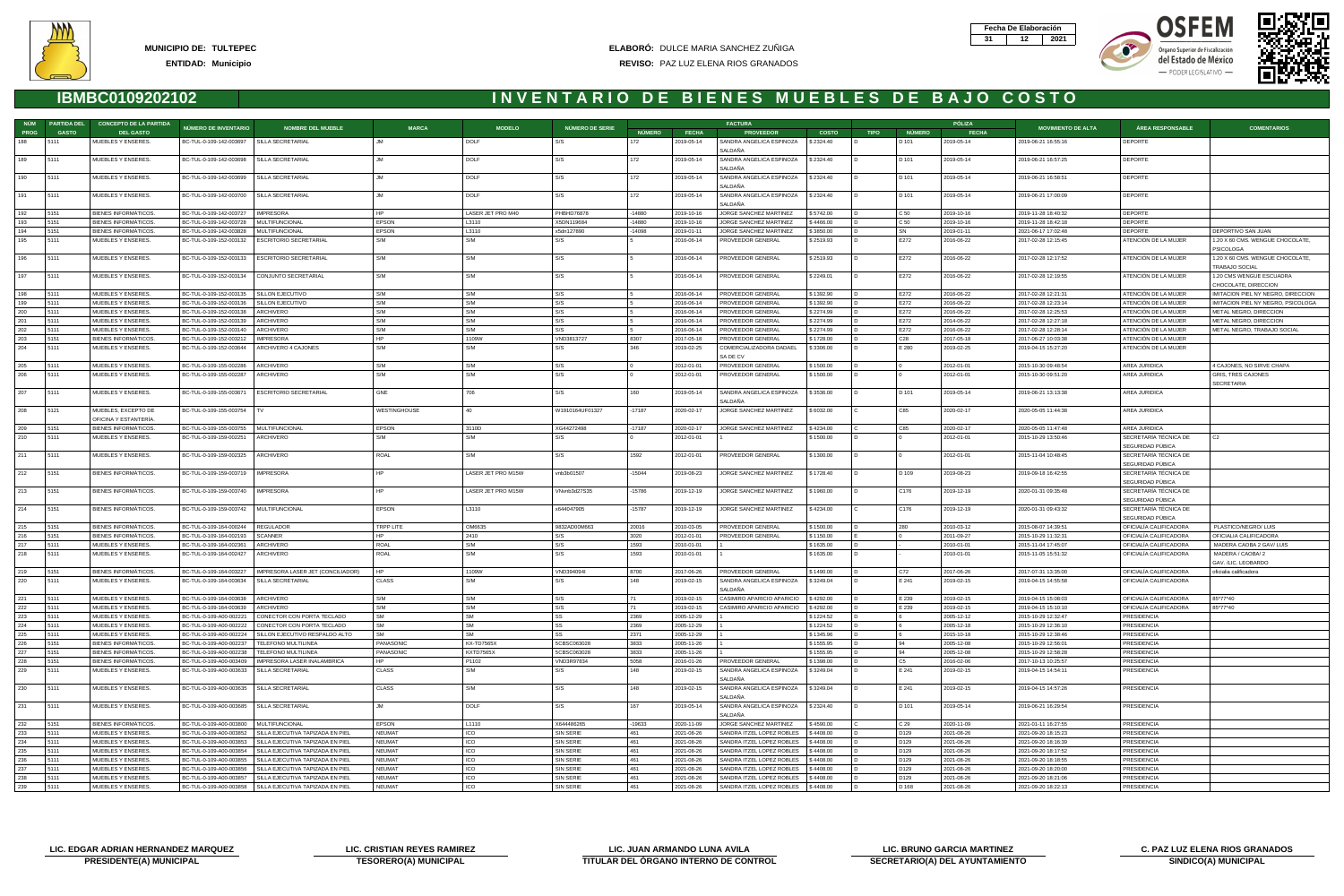



Órgano Superior de Fiscalización del Estado de México - PODER LEGISLATIVO -





|             | NÚM PARTIDA DEL | <b>CONCEPTO DE LA PARTIDA</b>                       |                                                    |                                                        |                     |                    |                           |               |                          | <b>FACTURA</b>                                 |                        |             |                  | PÓLIZA                   |                                            |                                                  |                                                    |
|-------------|-----------------|-----------------------------------------------------|----------------------------------------------------|--------------------------------------------------------|---------------------|--------------------|---------------------------|---------------|--------------------------|------------------------------------------------|------------------------|-------------|------------------|--------------------------|--------------------------------------------|--------------------------------------------------|----------------------------------------------------|
| <b>PROG</b> | <b>GASTO</b>    | <b>DEL GASTO</b>                                    | NÚMERO DE INVENTARIO                               | <b>NOMBRE DEL MUEBLE</b>                               | <b>MARCA</b>        | <b>MODELO</b>      | NÚMERO DE SERIE           | <b>NÚMERO</b> | <b>FECHA</b>             | <b>PROVEEDOR</b>                               | <b>COSTO</b>           | <b>TIPO</b> | <b>NÚMERO</b>    | <b>FECHA</b>             | <b>MOVIMIENTO DE ALTA</b>                  | <b>ÁREA RESPONSABLE</b>                          | <b>COMENTARIOS</b>                                 |
| 188         | 5111            | MUEBLES Y ENSERES.                                  | BC-TUL-0-109-142-003697   SILLA SECRETARIAL        |                                                        |                     | DOLF               | S/S                       | 172           | 2019-05-14               | SANDRA ANGELICA ESPINOZA<br>SALDAÑA            | \$2324.40              |             | D 101            | 2019-05-14               | 2019-06-21 16:55:16                        | DEPORTE                                          |                                                    |
| 189         | 5111            | MUEBLES Y ENSERES.                                  | BC-TUL-0-109-142-003698                            | SILLA SECRETARIAL                                      | .IM                 | DOLF               | S/S                       | 172           | 2019-05-14               | SANDRA ANGELICA ESPINOZA<br>SALDAÑA            | \$2324.40              |             | D 101            | 2019-05-14               | 2019-06-21 16:57:25                        | DEPORTE                                          |                                                    |
| 190         | 5111            | MUEBLES Y ENSERES.                                  | BC-TUL-0-109-142-003699                            | SILLA SECRETARIAL                                      | .IM                 | DOLF               | S/S                       | 172           | 2019-05-14               | SANDRA ANGELICA ESPINOZA<br>SALDAÑA            | \$2324.40              |             | D 101            | 2019-05-14               | 2019-06-21 16:58:51                        | <b>DEPORTE</b>                                   |                                                    |
| 191         | 5111            | MUEBLES Y ENSERES.                                  | BC-TUL-0-109-142-003700                            | SILLA SECRETARIAL                                      |                     | <b>DOLF</b>        | S/S                       | 172           | 2019-05-14               | SANDRA ANGELICA ESPINOZA<br>SALDAÑA            | \$2324.40              |             | D 101            | 2019-05-14               | 2019-06-21 17:00:09                        | <b>DEPORTE</b>                                   |                                                    |
| 192         | 5151            | BIENES INFORMATICOS.                                | BC-TUL-0-109-142-003727                            | <b>IMPRESORA</b>                                       | HP.                 | LASER JET PRO M40  | PHBHD76878                | $-14880$      | 2019-10-16               | JORGE SANCHEZ MARTINEZ                         | \$5742.00              |             | C 50             | 2019-10-16               | 2019-11-28 18:40:32                        | DEPORTE                                          |                                                    |
| 193         | 5151            | BIENES INFORMÁTICOS.                                | BC-TUL-0-109-142-003728                            | MULTIFUNCIONAL                                         | EPSON               | L3110              | X5DN119684                | 14880         | 2019-10-16               | JORGE SANCHEZ MARTINEZ                         | \$4466.00              |             | C <sub>50</sub>  | 2019-10-16               | 2019-11-28 18:42:18                        | DEPORTE                                          |                                                    |
| 194         | 5151            | <b>BIENES INFORMÁTICOS</b>                          | BC-TUL-0-109-142-003828                            | MULTIFUNCIONAL                                         | <b>EPSON</b>        | L3110              | x5dn127890                | $-14098$      | 2019-01-11               | JORGE SANCHEZ MARTINEZ                         | \$3850.00              |             | SN               | 2019-01-11               | 2021-06-17 17:02:48                        | <b>DEPORTE</b>                                   | DEPORTIVO SAN JUAN                                 |
| 195         | 5111            | MUEBLES Y ENSERES.                                  | BC-TUL-0-109-152-003132                            | <b>ESCRITORIO SECRETARIAL</b>                          | S/M                 | S/M                | S/S                       |               | 2016-06-14               | PROVEEDOR GENERAL                              | \$2519.93              |             | E272             | 2016-06-22               | 2017-02-28 12:15:45                        | ATENCIÓN DE LA MUJER                             | 1.20 X 60 CMS. WENGUE CHOCOLATE,<br>PSICOLOGA      |
| 196         | 5111            | MUEBLES Y ENSERES.                                  | BC-TUL-0-109-152-003133                            | <b>ESCRITORIO SECRETARIAL</b>                          | S/M                 | S/M                | S/S                       |               | 2016-06-14               | PROVEEDOR GENERAL                              | \$2519.93              |             | E272             | 2016-06-22               | 2017-02-28 12:17:52                        | ATENCIÓN DE LA MUJER                             | 1.20 X 60 CMS. WENGUE CHOCOLATE,<br>TRABAJO SOCIAL |
| 197         | 5111            | MUEBLES Y ENSERES.                                  | BC-TUL-0-109-152-003134                            | CONJUNTO SECRETARIAL                                   | S/M                 | S/M                | S/S                       |               | 2016-06-14               | PROVEEDOR GENERAL                              | \$2249.01              |             | E272             | 2016-06-22               | 2017-02-28 12:19:55                        | ATENCIÓN DE LA MUJER                             | 1.20 CMS WENGUE ESCUADRA<br>CHOCOLATE, DIRECCION   |
| 198         | 5111            | MUEBLES Y ENSERES.                                  | BC-TUL-0-109-152-003135                            | SILLON EJECUTIVO                                       | S/M                 | S/M                | S/S                       |               | 2016-06-14               | PROVEEDOR GENERAL                              | \$1392.90              |             | E272             | 2016-06-22               | 2017-02-28 12:21:31                        | ATENCIÓN DE LA MUJER                             | IMITACION PIEL NY NEGRO, DIRECCION                 |
| 199         | 5111            | MUEBLES Y ENSERES.                                  | BC-TUL-0-109-152-003136                            | SILLON EJECUTIVO                                       | S/M                 | S/M                | S/S                       |               | 2016-06-14               | PROVEEDOR GENERAL                              | \$1392.90              |             | E272             | 2016-06-22               | 2017-02-28 12:23:14                        | ATENCIÓN DE LA MUJER                             | IMITACION PIEL NY NEGRO, PSICOLOGA                 |
| 200         | 5111            | MUEBLES Y ENSERES.                                  | BC-TUL-0-109-152-003138                            | ARCHIVERO                                              | S/M                 | S/M                | S/S                       |               | 2016-06-14               | PROVEEDOR GENERAL                              | \$2274.99              |             | E272             | 2016-06-22               | 2017-02-28 12:25:53                        | ATENCIÓN DE LA MUJER                             | METAL NEGRO, DIRECCION                             |
| 201         | 5111            | MUEBLES Y ENSERES.                                  | BC-TUL-0-109-152-003139                            | ARCHIVERO                                              | S/M                 | S/M                | S/S                       |               | 2016-06-14               | PROVEEDOR GENERAL                              | \$2274.99              |             | E272             | 2014-06-22               | 2017-02-28 12:27:18                        | ATENCIÓN DE LA MUJER                             | METAL NEGRO, DIRECCION                             |
| 202         | 5111            | MUEBLES Y ENSERES.                                  | BC-TUL-0-109-152-003140                            | ARCHIVERO                                              | S/M                 | S/M                | S/S                       |               | 2016-06-14               | PROVEEDOR GENERAL                              | \$2274.99              |             | E272             | 2016-06-22               | 2017-02-28 12:28:14                        | ATENCIÓN DE LA MUJER                             | METAL NEGRO, TRABAJO SOCIAL                        |
| 203         | 5151            | <b>BIENES INFORMÁTICOS</b>                          | BC-TUL-0-109-152-003212                            | <b>IMPRESORA</b>                                       | HP                  | 1109W              | VND3813727                | 8307          | 2017-05-18               | PROVEEDOR GENERAL                              | \$1728.00              |             | C <sub>28</sub>  | 2017-05-18               | 2017-06-27 10:03:38                        | ATENCIÓN DE LA MUJER                             |                                                    |
| 204         | 5111            | MUEBLES Y ENSERES.                                  | BC-TUL-0-109-152-003644                            | ARCHIVERO 4 CAJONES                                    | S/M                 | S/M                | S/S                       | 346           | 2019-02-25               | COMERCIALIZADORA DADAEL<br>SA DE CV            | \$3306.00              |             | E 280            | 2019-02-25               | 2019-04-15 15:27:20                        | ATENCIÓN DE LA MUJER                             |                                                    |
| 205         | 5111            | MUEBLES Y ENSERES.                                  | BC-TUL-0-109-155-002286                            | ARCHIVERO                                              | S/M                 | S/M                | S/S                       |               | 2012-01-01               | PROVEEDOR GENERAL                              | \$1500.00              |             |                  | 2012-01-01               | 2015-10-30 09:48:54                        | AREA JURIDICA                                    | 4 CAJONES, NO SIRVE CHAPA                          |
| 206         | 5111            | MUEBLES Y ENSERES.                                  | BC-TUL-0-109-155-002287                            | ARCHIVERO                                              | S/M                 | S/M                | S/S                       |               | 2012-01-01               | PROVEEDOR GENERAL                              | \$1500.00              |             |                  | 2012-01-01               | 2015-10-30 09:51:20                        | AREA JURIDICA                                    | <b>GRIS, TRES CAJONES</b><br><b>SECRETARIA</b>     |
| 207         | 5111            | MUEBLES Y ENSERES.                                  | BC-TUL-0-109-155-003671                            | <b>ESCRITORIO SECRETARIAL</b>                          | GNE                 | 706                | S/S                       | 160           | 2019-05-14               | SANDRA ANGELICA ESPINOZA<br>SALDAÑA            | \$3536.00              |             | D 101            | 2019-05-14               | 2019-06-21 13:13:38                        | AREA JURIDICA                                    |                                                    |
| 208         | 5121            | MUEBLES, EXCEPTO DE<br>OFICINA Y ESTANTERÍA         | BC-TUL-0-109-155-003754                            | TV.                                                    | WESTINGHOUSE        | 40                 | W1910164UF01327           | -17187        | 2020-02-17               | JORGE SANCHEZ MARTINEZ                         | \$6032.00              |             | C85              | 2020-02-17               | 2020-05-05 11:44:38                        | AREA JURIDICA                                    |                                                    |
| 209         | 5151            | BIENES INFORMATICOS.                                | BC-TUL-0-109-155-003755                            | MULTIFUNCIONAL                                         | <b>EPSON</b>        | 3110D              | XG44272498                | -17187        | 2020-02-17               | JORGE SANCHEZ MARTINEZ                         | \$4234.00              |             | C85              | 2020-02-17               | 2020-05-05 11:47:48                        | AREA JURIDICA                                    |                                                    |
| 210         | 5111            | MUEBLES Y ENSERES.                                  | BC-TUL-0-109-159-002251                            | ARCHIVERO                                              | S/M                 | S/M                | S/S                       |               | 2012-01-01               |                                                | \$1500.00              |             |                  | 2012-01-01               | 2015-10-29 13:50:46                        | SECRETARÍA TÉCNICA DE<br>SEGURIDAD PÚBICA        |                                                    |
| 211         | 5111            | MUEBLES Y ENSERES.                                  | BC-TUL-0-109-159-002325                            | ARCHIVERO                                              | ROAL                | S/M                | S/S                       | 1592          | 2012-01-01               | PROVEEDOR GENERAL                              | \$1300.00              |             |                  | 2012-01-01               | 2015-11-04 10:48:45                        | SECRETARÍA TÉCNICA DE<br>SEGURIDAD PÚBICA        |                                                    |
| 212         | 5151            | BIENES INFORMÁTICOS.                                | BC-TUL-0-109-159-003719                            | <b>IMPRESORA</b>                                       |                     | LASER JET PRO M15W | vnb3b01507                | $-15044$      | 2019-08-23               | JORGE SANCHEZ MARTINEZ                         | \$1728.40              |             | D 109            | 2019-08-23               | 2019-09-18 16:42:55                        | SECRETARÍA TÉCNICA DE<br>SEGURIDAD PÚBICA        |                                                    |
| 213         | 5151            | BIENES INFORMÁTICOS.                                | BC-TUL-0-109-159-003740                            | <b>IMPRESORA</b>                                       |                     | LASER JET PRO M15W | VNvnb3d27S35              | -15786        | 2019-12-19               | JORGE SANCHEZ MARTINEZ                         | \$1960.00              |             | C176             | 2019-12-19               | 2020-01-31 09:35:48                        | SECRETARIA TÉCNICA DE<br>SEGURIDAD PÚBICA        |                                                    |
| 214         | 5151            | <b>BIENES INFORMATICOS.</b>                         | BC-TUL-0-109-159-003742                            | MULTIFUNCIONAL                                         | <b>EPSON</b>        | L3110              | x644047905                | -15787        | 2019-12-19               | JORGE SANCHEZ MARTINEZ                         | \$4234.00              |             | C176             | 2019-12-19               | 2020-01-31 09:43:32                        | SECRETARÍA TÉCNICA DE<br>SEGURIDAD PÚBICA        |                                                    |
| 215         | 5151            | BIENES INFORMÁTICOS.                                | BC-TUL-0-109-164-000244                            | <b>REGULADOR</b>                                       | TRPP LITE           | OM6635             | 9832AD00M663              | 20016         | 2010-03-05               | PROVEEDOR GENERAL                              | \$1500.00              |             | 280              | 2010-03-12               | 2015-08-07 14:39:51                        | OFICIALÍA CALIFICADORA                           | PLASTICO/NEGRO/ LUIS                               |
| 216         | 5151            | <b>BIENES INFORMATICOS.</b>                         | BC-TUL-0-109-164-002193                            | SCANNER                                                |                     | 2410               | S/S                       | 3020          | 2012-01-01               | PROVEEDOR GENERAL                              | \$1150.00              |             |                  | 2011-09-27               | 2015-10-29 11:32:31                        | OFICIALIA CALIFICADORA                           | OFICIALIA CALIFICADORA                             |
| 217<br>218  | 5111<br>5111    | MUEBLES Y ENSERES.<br>MUEBLES Y ENSERES.            | BC-TUL-0-109-164-002361<br>BC-TUL-0-109-164-002427 | ARCHIVERO<br>ARCHIVERO                                 | ROAL<br><b>ROAL</b> | S/M<br>S/M         | S/S<br>S/S                | 1593<br>1593  | 2010-01-01<br>2010-01-01 |                                                | \$1635.00<br>\$1635.00 |             |                  | 2010-01-01<br>2010-01-01 | 2015-11-04 17:45:07<br>2015-11-05 15:51:32 | OFICIALÍA CALIFICADORA<br>OFICIALÍA CALIFICADORA | MADERA CAOBA 2 GAV/ LUIS<br>MADERA / CAOBA/ 2      |
|             |                 |                                                     |                                                    |                                                        |                     |                    |                           |               |                          | PROVEEDOR GENERAL                              |                        |             |                  |                          |                                            |                                                  | GAV. /LIC. LEOBARDO                                |
| 219<br>220  | 5151<br>5111    | <b>BIENES INFORMATICOS.</b><br>MUEBLES Y ENSERES.   | BC-TUL-0-109-164-003227<br>BC-TUL-0-109-164-003634 | IMPRESORA LASER JET (CONCILIADOR)<br>SILLA SECRETARIAL | <b>CLASS</b>        | 1109W              | VND394094I                | 8700<br>148   | 2017-06-26<br>2019-02-15 | SANDRA ANGELICA ESPINOZA                       | \$1490.00<br>\$3249.04 |             | C72<br>E 241     | 2017-06-26<br>2019-02-15 | 2017-07-31 13:35:00<br>2019-04-15 14:55:58 | OFICIALÍA CALIFICADORA<br>OFICIALÍA CALIFICADORA | oficialia calificadora                             |
|             |                 |                                                     |                                                    |                                                        |                     |                    |                           |               |                          | <b>ALDAÑA</b>                                  |                        |             |                  |                          |                                            |                                                  |                                                    |
| 221         | 5111            | MUEBLES Y ENSERES.                                  | BC-TUL-0-109-164-003638                            | ARCHIVERO                                              | S/M                 | S/M                | S/S                       |               | 2019-02-15               | CASIMIRO APARICIO APARICIO                     | \$4292.00              |             | E 239            | 2019-02-15               | 2019-04-15 15:08:03                        | OFICIALÍA CALIFICADORA                           | 85*77*40                                           |
| 222         | 5111            | MUEBLES Y ENSERES.                                  | BC-TUL-0-109-164-003639                            | ARCHIVERO                                              | S/M                 | S/M                | S/S                       |               | 2019-02-15               | CASIMIRO APARICIO APARICIO                     | \$4292.00              |             | E 239            | 2019-02-15               | 2019-04-15 15:10:10                        | OFICIALÍA CALIFICADORA                           | 85*77*40                                           |
| 223         | 5111            | MUEBLES Y ENSERES.                                  | BC-TUL-0-109-A00-002221                            | CONECTOR CON PORTA TECLADO                             | SM                  | <b>SM</b>          | SS                        | 2369          | 2005-12-29               |                                                | \$1224.52              |             | 6                | 2005-12-12               | 2015-10-29 12:32:47                        | PRESIDENCIA                                      |                                                    |
| 224         | 5111            | MUEBLES Y ENSERES.                                  | BC-TUL-0-109-A00-002222                            | CONECTOR CON PORTA TECLADO                             | <b>SM</b>           | <b>SM</b>          | SS                        | 2369          | 2005-12-29               |                                                | \$1224.52              |             |                  | 2005-12-18               | 2015-10-29 12:36:10                        | PRESIDENCIA                                      |                                                    |
| 225         | 5111            | MUEBLES Y ENSERES.                                  | BC-TUL-0-109-A00-002224                            | SILLON EJECUTIVO RESPALDO ALTO                         | <b>SM</b>           | <b>SM</b>          | SS                        | 2371          | 2005-12-29               |                                                | \$1345.96              |             | 6                | 2015-10-18               | 2015-10-29 12:38:46                        | <b>PRESIDENCIA</b>                               |                                                    |
| 226         | 5151            | BIENES INFORMATICOS.                                | BC-TUL-0-109-A00-002237                            | TELEFONO MULTILINEA                                    | PANASONIC           | <b>KX-TD7565X</b>  | 5CBSC063028               | 3833          | 2005-11-26               |                                                | \$1555.95              |             | 94               | 2005-12-08               | 2015-10-29 12:56:01                        | <b>PRESIDENCIA</b>                               |                                                    |
| 227<br>228  | 5151<br>5151    | BIENES INFORMÁTICOS.<br><b>BIENES INFORMÁTICOS.</b> | BC-TUL-0-109-A00-002238<br>BC-TUL-0-109-A00-003409 | TELEFONO MULTILINEA<br>IMPRESORA LASER INALAMBRICA     | PANASONIC<br>HP.    | KXTD7565X<br>P1102 | 5CBSC063028<br>VND3R97834 | 3833<br>5058  | 2005-11-26<br>2016-01-26 | PROVEEDOR GENERAL                              | \$1555.95<br>\$1398.00 |             | 94<br>C5         | 2005-12-08<br>2016-02-06 | 2015-10-29 12:58:28                        | PRESIDENCIA<br>PRESIDENCIA                       |                                                    |
| 229         | 5111            | MUEBLES Y ENSERES.                                  | BC-TUL-0-109-A00-003633                            | SILLA SECRETARIAL                                      | <b>CLASS</b>        | S/M                | S/S                       | 148           | 2019-02-15               | SANDRA ANGELICA ESPINOZA                       | \$3249.04              |             | E 241            | 2019-02-15               | 2017-10-13 10:25:57<br>2019-04-15 14:54:11 | PRESIDENCIA                                      |                                                    |
| 230         | 5111            | MUEBLES Y ENSERES.                                  | BC-TUL-0-109-A00-003635                            | SILLA SECRETARIAL                                      | CLASS               | S/M                | S/S                       | 148           | 2019-02-15               | SALDAÑA<br>SANDRA ANGELICA ESPINOZA<br>SALDAÑA | \$3249.04              |             | E 241            | 2019-02-15               | 2019-04-15 14:57:26                        | <b>PRESIDENCIA</b>                               |                                                    |
| 231         | 5111            | MUEBLES Y ENSERES.                                  | BC-TUL-0-109-A00-003685                            | SILLA SECRETARIAL                                      | <b>IM</b>           | DOLF               | S/S                       | 167           | 2019-05-14               | SANDRA ANGELICA ESPINOZA<br>SALDAÑA            | \$2324.40              |             | D 101            | 2019-05-14               | 2019-06-21 16:29:54                        | PRESIDENCIA                                      |                                                    |
| 232         | 5151            | <b>BIENES INFORMATICOS</b>                          | BC-TUL-0-109-A00-003800                            | MULTIFUNCIONAL                                         | EPSON               | L1110              | X644486265                | -19633        | 2020-11-09               | JORGE SANCHEZ MARTINEZ                         | \$4590.00              |             | C 29             | 2020-11-09               | 2021-01-11 16:27:55                        | PRESIDENCIA                                      |                                                    |
| 233         | 5111            | MUEBLES Y ENSERES.                                  | BC-TUL-0-109-A00-003852                            | SILLA EJECUTIVA TAPIZADA EN PIEL                       | <b>NEUMAT</b>       | ICO                | SIN SERIE                 | 461           | 2021-08-26               | SANDRA ITZEL LOPEZ ROBLES                      | \$4408.00              |             | D129             | 2021-08-26               | 2021-09-20 18:15:23                        | PRESIDENCIA                                      |                                                    |
| 234         | 5111            | MUEBLES Y ENSERES.                                  | BC-TUL-0-109-A00-003853                            | SILLA EJECUTIVA TAPIZADA EN PIEL                       | <b>NEUMAT</b>       | ICO                | SIN SERIE                 | 461           | 2021-08-26               | SANDRA ITZEL LOPEZ ROBLES                      | \$4408.00              |             | D129             | 2021-08-26               | 2021-09-20 18:16:39                        | <b>PRESIDENCIA</b>                               |                                                    |
| 235         | 5111            | MUEBLES Y ENSERES.                                  | BC-TUL-0-109-A00-003854                            | SILLA EJECUTIVA TAPIZADA EN PIEL                       | NEUMAT              | ICO                | SIN SERIE                 | 461           | 2021-08-26               | SANDRA ITZEL LOPEZ ROBLES                      | \$4408.00              |             | D129             | 2021-08-26               | 2021-09-20 18:17:52                        | PRESIDENCIA                                      |                                                    |
| 236         | 5111            | MUEBLES Y ENSERES.                                  | BC-TUL-0-109-A00-003855                            | SILLA EJECUTIVA TAPIZADA EN PIEI                       | <b>NEUMAT</b>       | ICO                | SIN SERIE                 | 461.          | 2021-08-26               | SANDRA ITZEL LOPEZ ROBLES                      | \$4408.00              |             | D129             | 2021-08-26               | 2021-09-20 18:18:55                        | PRESIDENCIA                                      |                                                    |
| 237         | 15111           | MUEBLES Y ENSERES.                                  | BC-TUL-0-109-A00-003856                            | SILLA EJECUTIVA TAPIZADA EN PIEL                       | <b>NEUMAT</b>       | ICO                | SIN SERIE                 | 461           | 2021-08-26               | SANDRA ITZEL LOPEZ ROBLES                      | \$4408.00              |             | D <sub>129</sub> | 2021-08-26               | 2021-09-20 18:20:00                        | PRESIDENCIA                                      |                                                    |
| 238         | 5111            | MUEBLES Y ENSERES.                                  | BC-TUL-0-109-A00-003857                            | SILLA EJECUTIVA TAPIZADA EN PIEL                       | <b>NEUMAT</b>       | ICO                | SIN SERIE                 | 461           | 2021-08-26               | SANDRA ITZEL LOPEZ ROBLES                      | \$4408.00              |             | D129             | 2021-08-26               | 2021-09-20 18:21:06                        | PRESIDENCIA                                      |                                                    |
| 239         | 5111            | MUEBLES Y ENSERES.                                  | BC-TUL-0-109-A00-003858                            | SILLA EJECUTIVA TAPIZADA EN PIEL                       | <b>NEUMAT</b>       | ICO                | SIN SERIE                 | 461           | 2021-08-26               | SANDRA ITZEL LOPEZ ROBLES                      | \$4408.00              |             | D 168            | 2021-08-26               | 2021-09-20 18:22:13                        | PRESIDENCIA                                      |                                                    |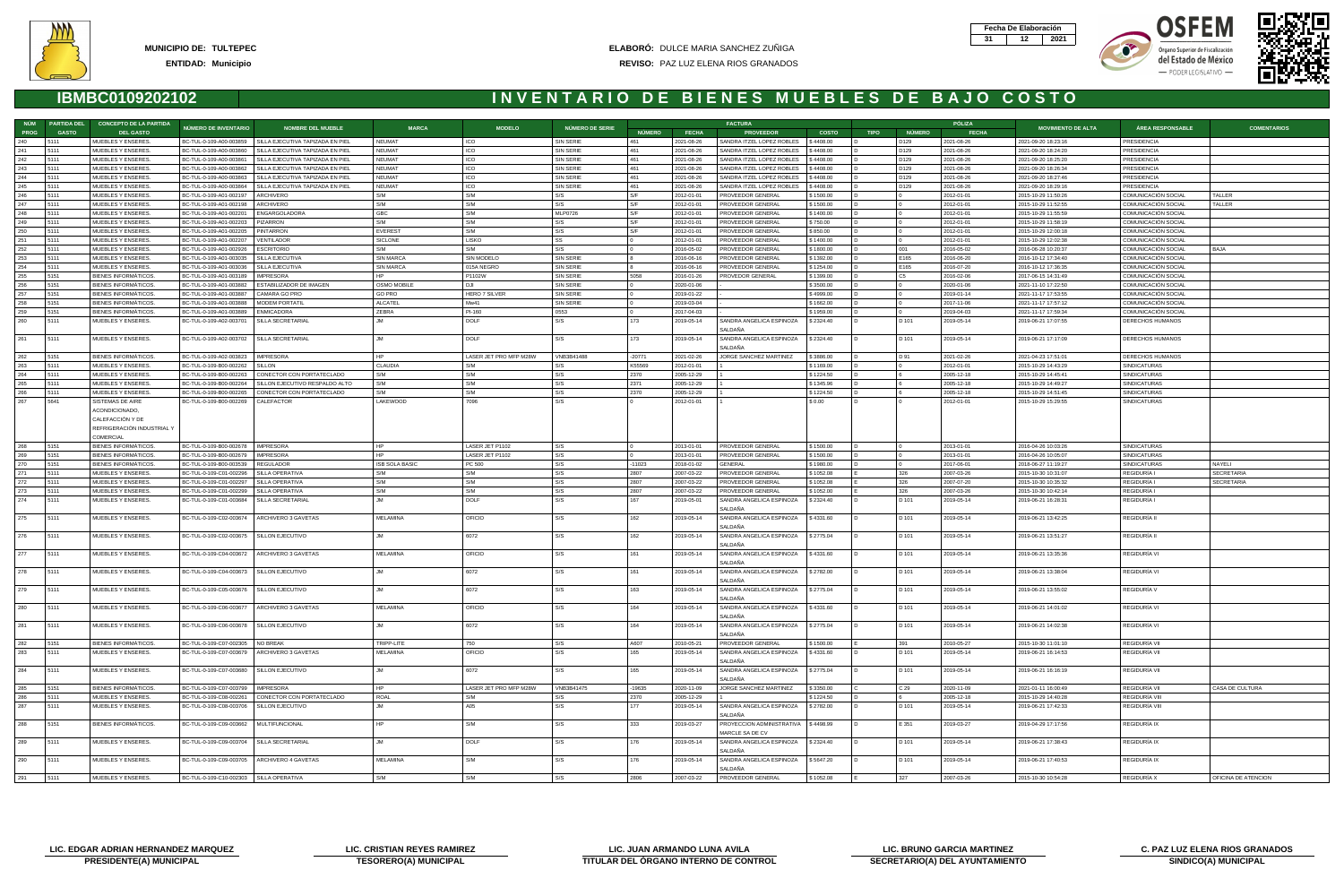







| NÚM        | <b>PARTIDA DEL</b> | <b>CONCEPTO DE LA PARTIDA</b>                     |                                                                                   |                                     |                        |                        |                               |                |                          | <b>FACTURA</b>                      |                        |             |                  | PÓLIZA                   |                                            |                                            |                     |
|------------|--------------------|---------------------------------------------------|-----------------------------------------------------------------------------------|-------------------------------------|------------------------|------------------------|-------------------------------|----------------|--------------------------|-------------------------------------|------------------------|-------------|------------------|--------------------------|--------------------------------------------|--------------------------------------------|---------------------|
| PROG       | <b>GASTO</b>       | <b>DEL GASTO</b>                                  | NÚMERO DE INVENTARIO                                                              | <b>NOMBRE DEL MUEBLE</b>            | <b>MARCA</b>           | <b>MODELO</b>          | <b>NÚMERO DE SERIE</b>        | <b>NÚMERO</b>  | <b>FECHA</b>             | <b>PROVEEDOR</b>                    | <b>COSTO</b>           | <b>TIPO</b> | NÚMERO           | <b>FECHA</b>             | <b>MOVIMIENTO DE ALTA</b>                  | <b>ÁREA RESPONSABLE</b>                    | <b>COMENTARIOS</b>  |
| 240        | 5111               | MUEBLES Y ENSERES.                                | BC-TUL-0-109-A00-003859                                                           | SILLA EJECUTIVA TAPIZADA EN PIEL    | NEUMAT                 | ICO                    | <b>SIN SERIE</b>              | 461            | 2021-08-26               | SANDRA ITZEL LOPEZ ROBLES           | \$4408.00              |             | D <sub>129</sub> | 2021-08-26               | 2021-09-20 18:23:16                        | <b>PRESIDENCIA</b>                         |                     |
| 241        | 5111               | MUEBLES Y ENSERES.                                | BC-TUL-0-109-A00-003860                                                           | I SILLA EJECUTIVA TAPIZADA EN PIEL  | NEUMAT                 | ICO                    | <b>SIN SERIE</b>              | 461            | 2021-08-26               | SANDRA ITZEL LOPEZ ROBLES           | \$4408.00              |             | D129             | 2021-08-26               | 2021-09-20 18:24:20                        | PRESIDENCIA                                |                     |
| 242        | 5111               | MUEBLES Y ENSERES.                                | BC-TUL-0-109-A00-003861                                                           | SILLA EJECUTIVA TAPIZADA EN PIEL    | NEUMAT                 | ICO                    | SIN SERIE                     | 461            | 2021-08-26               | SANDRA ITZEL LOPEZ ROBLES           | \$4408.00              |             | D129             | 2021-08-26               | 2021-09-20 18:25:20                        | PRESIDENCIA                                |                     |
| 243        | 5111               | MUEBLES Y ENSERES.                                | BC-TUL-0-109-A00-003862                                                           | SILLA EJECUTIVA TAPIZADA EN PIEL    | <b>NEUMAT</b>          | ICO                    | <b>SIN SERIE</b>              | 461            | 2021-08-26               | SANDRA ITZEL LOPEZ ROBLES           | \$4408.00              |             | D <sub>129</sub> | 2021-08-26               | 2021-09-20 18:26:34                        | PRESIDENCIA                                |                     |
| 244        | 5111               | MUEBLES Y ENSERES.                                | BC-TUL-0-109-A00-003863                                                           | SILLA EJECUTIVA TAPIZADA EN PIEL    | <b>NEUMAT</b>          | ICO                    | <b>SIN SERIE</b>              | 461            | 2021-08-26               | SANDRA ITZEL LOPEZ ROBLES           | \$4408.00              |             | D <sub>129</sub> | 2021-08-26               | 2021-09-20 18:27:46                        | PRESIDENCIA                                |                     |
| 245        | 5111               | MUEBLES Y ENSERES.                                | BC-TUL-0-109-A00-003864                                                           | SILLA EJECUTIVA TAPIZADA EN PIEL    | <b>NEUMAT</b>          | ICO                    | <b>SIN SERIE</b>              | 461            | 2021-08-26               | SANDRA ITZEL LOPEZ ROBLES           | \$4408.00              |             | D129             | 2021-08-26               | 2021-09-20 18:29:16                        | PRESIDENCIA                                |                     |
| 246        | 5111               | MUEBLES Y ENSERES.                                | BC-TUL-0-109-A01-002197                                                           | ARCHIVERO                           | S/M                    | S/M                    | S/S                           | l S/F          | 2012-01-01               | PROVEEDOR GENERAL                   | \$1500.00              |             |                  | 2012-01-01               | 2015-10-29 11:50:26                        | COMUNICACIÓN SOCIAL                        | TALLER              |
| 247        | 5111               | MUEBLES Y ENSERES.                                | BC-TUL-0-109-A01-002198                                                           | ARCHIVERO                           | S/M                    | S/M                    | S/S                           | S/F            | 2012-01-01               | PROVEEDOR GENERAL                   | \$1500.00              |             | I 0              | 2012-01-01               | 2015-10-29 11:52:55                        | COMUNICACIÓN SOCIAL                        | TALLER              |
| 248        | 5111               | MUEBLES Y ENSERES.                                | BC-TUL-0-109-A01-002201                                                           | ENGARGOLADORA                       | GBC                    | S/M                    | MLP0726                       | S/F            | 2012-01-01               | PROVEEDOR GENERAL                   | \$1400.00              |             | 0                | 2012-01-01               | 2015-10-29 11:55:59                        | COMUNICACIÓN SOCIAL                        |                     |
| 249        | 5111               | MUEBLES Y ENSERES.                                | BC-TUL-0-109-A01-002203                                                           | PIZARRON                            | S/M                    | S/M                    | S/S                           | S/F            | 2012-01-01               | PROVEEDOR GENERAL                   | \$750.00               |             |                  | 2012-01-01               | 2015-10-29 11:58:19                        | COMUNICACIÓN SOCIAL                        |                     |
| 250        | 5111               | MUEBLES Y ENSERES.                                | BC-TUL-0-109-A01-00220                                                            | PINTARRON                           | EVEREST                | S/M                    | S/S                           | S/F            | 2012-01-01               | PROVEEDOR GENERAL                   | \$850.00               |             |                  | 2012-01-01               | 2015-10-29 12:00:18                        | COMUNICACIÓN SOCIAL                        |                     |
| 251        | 5111               | MUEBLES Y ENSERES.                                | BC-TUL-0-109-A01-002207                                                           | VENTILADOR                          | <b>SICLONE</b>         | LISKO                  | <b>SS</b>                     |                | 2012-01-01               | PROVEEDOR GENERAL                   | \$1400.00              |             | $\cap$           | 2012-01-01               | 2015-10-29 12:02:38                        | COMUNICACIÓN SOCIAL                        |                     |
| 252        | 5111               | MUEBLES Y ENSERES.                                | BC-TUL-0-109-A01-002926                                                           | <b>ESCRITORIO</b>                   | S/M                    | S/M                    | S/S                           |                | 2016-05-02               | PROVEEDOR GENERAL                   | \$1800.00              |             | 001              | 2016-05-02               | 2016-06-28 10:20:37                        | COMUNICACIÓN SOCIAL                        | <b>BAJA</b>         |
| 253        | 5111               | MUEBLES Y ENSERES.                                | BC-TUL-0-109-A01-003035                                                           | SILLA EJECUTIVA                     | <b>SIN MARCA</b>       | <b>SIN MODELO</b>      | SIN SERIE                     | <b>18</b>      | 2016-06-16               | PROVEEDOR GENERAL                   | \$1392.00              |             | E165             | 2016-06-20               | 2016-10-12 17:34:40                        | COMUNICACIÓN SOCIAL                        |                     |
| 254<br>255 | 5111<br>5151       | MUEBLES Y ENSERES.<br><b>BIENES INFORMÁTICOS.</b> | BC-TUL-0-109-A01-003036<br>BC-TUL-0-109-A01-003189                                | SILLA EJECUTIVA<br><b>IMPRESORA</b> | <b>SIN MARCA</b>       | 015A NEGRO<br>P1102W   | SIN SERIE<br><b>SIN SERIE</b> | 5058           | 2016-06-16<br>2016-01-26 | PROVEEDOR GENERAL                   | \$1254.00<br>\$1399.00 |             | E165             | 2016-07-20               | 2016-10-12 17:36:35<br>2017-06-15 14:31:49 | COMUNICACIÓN SOCIAL<br>COMUNICACIÓN SOCIAL |                     |
| 256        | 5151               | <b>BIENES INFORMATICOS.</b>                       | BC-TUL-0-109-A01-003882                                                           | <b>ESTABILIZADOR DE IMAGEN</b>      | <b>OSMO MOBILE</b>     | D.JI                   | SIN SERIE                     |                | 2020-01-06               | PROVEDOR GENERAL                    | \$3500.00              |             | C <sub>5</sub>   | 2016-02-06<br>2020-01-06 | 2021-11-10 17:22:50                        | COMUNICACIÓN SOCIAL                        |                     |
| 257        | 5151               | <b>BIENES INFORMÁTICOS</b>                        | BC-TUL-0-109-A01-003887                                                           | CAMARA GO PRO                       | <b>GO PRO</b>          | HERO 7 SILVER          | SIN SERIE                     |                | 2019-01-22               |                                     | \$4999.00              |             |                  | 2019-01-14               | 2021-11-17 17:53:55                        | COMUNICACIÓN SOCIAL                        |                     |
| 258        | 5151               | <b>BIENES INFORMÁTICOS</b>                        | BC-TUL-0-109-A01-003888                                                           | <b>MODEM PORTATIL</b>               | ALCATEL                | Mw41                   | <b>SIN SERIE</b>              | $\overline{0}$ | 2019-03-04               |                                     | \$1662.00              |             | $\Omega$         | 2017-11-06               | 2021-11-17 17:57:12                        | COMUNICACIÓN SOCIAL                        |                     |
| 259        | 5151               | <b>BIENES INFORMATICOS</b>                        | BC-TUL-0-109-A01-003889                                                           | <b>ENMICADORA</b>                   | ZEBRA                  | PI-160                 | 0553                          | I 0            | 2017-04-03               |                                     | \$1959.00              |             |                  | 2019-04-03               | 2021-11-17 17:59:34                        | COMUNICACIÓN SOCIAL                        |                     |
| 260        | 5111               | MUEBLES Y ENSERES.                                | BC-TUL-0-109-A02-003701                                                           | SILLA SECRETARIAL                   | MI.                    | <b>DOLF</b>            | S/S                           | 173            | 2019-05-14               | SANDRA ANGELICA ESPINOZA            | \$2324.40              |             | D 101            | 2019-05-14               | 2019-06-21 17:07:55                        | DERECHOS HUMANOS                           |                     |
|            |                    |                                                   |                                                                                   |                                     |                        |                        |                               |                |                          | SALDAÑA                             |                        |             |                  |                          |                                            |                                            |                     |
| 261        | 5111               | MUEBLES Y ENSERES.                                | BC-TUL-0-109-A02-003702                                                           | SILLA SECRETARIAL                   | .JM                    | DOLF                   | S/S                           | 173            | 2019-05-14               | SANDRA ANGELICA ESPINOZA            | \$2324.40              |             | D 101            | 2019-05-14               | 2019-06-21 17:17:09                        | DERECHOS HUMANOS                           |                     |
|            |                    |                                                   |                                                                                   |                                     |                        |                        |                               |                |                          | SALDAÑA                             |                        |             |                  |                          |                                            |                                            |                     |
| 262        | 5151               | BIENES INFORMÁTICOS.                              | BC-TUL-0-109-A02-003823                                                           | <b>IMPRESORA</b>                    | HP.                    | LASER JET PRO MFP M28W | VNB3B41488                    | $-20771$       | 2021-02-26               | JORGE SANCHEZ MARTINEZ              | \$3886.00              |             | D 91             | 2021-02-26               | 2021-04-23 17:51:01                        | DERECHOS HUMANOS                           |                     |
| 263        | 5111               | MUEBLES Y ENSERES.                                | BC-TUL-0-109-B00-002262                                                           | SILLON                              | CLAUDIA                | S/M                    | S/S                           | K55569         | 2012-01-01               |                                     | \$1169.00              |             | $\overline{0}$   | 2012-01-01               | 2015-10-29 14:43:29                        | SINDICATURAS                               |                     |
| 264        | 5111               | MUEBLES Y ENSERES.                                | BC-TUL-0-109-B00-002263                                                           | CONECTOR CON PORTATECLADO           | S/M                    | S/M                    | S/S                           | 2370           | 2005-12-29               |                                     | \$1224.50              |             | <b>6</b>         | 2005-12-18               | 2015-10-29 14:45:41                        | SINDICATURAS                               |                     |
| 265        | 5111               | MUEBLES Y ENSERES.                                | BC-TUL-0-109-B00-002264                                                           | SILLON EJECUTIVO RESPALDO ALTO      | S/M                    | S/M                    | S/S                           | 2371           | 2005-12-29               |                                     | \$1345.96              |             | 6                | 2005-12-18               | 2015-10-29 14:49:27                        | SINDICATURAS                               |                     |
| 266        | 5111               | MUEBLES Y ENSERES.                                | BC-TUL-0-109-B00-00226                                                            | CONECTOR CON PORTATECLADO           | S/M                    | S/M                    | S/S                           | 2370           | 2005-12-29               |                                     | \$1224.50              |             |                  | 2005-12-18               | 2015-10-29 14:51:45                        | SINDICATURAS                               |                     |
| 267        | 5641               | SISTEMAS DE AIRE                                  | BC-TUL-0-109-B00-002269                                                           | CALEFACTOR                          | LAKEWOOD               | 7096                   | S/S                           |                | 2012-01-01               |                                     | \$0.00                 |             |                  | 2012-01-01               | 2015-10-29 15:29:55                        | SINDICATURAS                               |                     |
|            |                    | ACONDICIONADO,                                    |                                                                                   |                                     |                        |                        |                               |                |                          |                                     |                        |             |                  |                          |                                            |                                            |                     |
|            |                    | CALEFACCIÓN Y DE                                  |                                                                                   |                                     |                        |                        |                               |                |                          |                                     |                        |             |                  |                          |                                            |                                            |                     |
|            |                    | REFRIGERACIÓN INDUSTRIAL Y                        |                                                                                   |                                     |                        |                        |                               |                |                          |                                     |                        |             |                  |                          |                                            |                                            |                     |
|            |                    | COMERCIAL                                         |                                                                                   |                                     |                        |                        |                               |                |                          |                                     |                        |             |                  |                          |                                            |                                            |                     |
| 268        | 5151               | <b>BIENES INFORMATICOS</b>                        | BC-TUL-0-109-B00-002678                                                           | IMPRESORA                           | HP.                    | LASER JET P1102        | S/S                           |                | 2013-01-01               | PROVEEDOR GENERAL                   | \$1500.00              |             |                  | 2013-01-01               | 2016-04-26 10:03:26                        | SINDICATURAS                               |                     |
| 269        | 5151               | BIENES INFORMÁTICOS.                              | BC-TUL-0-109-B00-002679                                                           | <b>IMPRESORA</b>                    | HP.                    | LASER JET P1102        | S/S                           |                | 2013-01-01               | PROVEEDOR GENERAL                   | \$1500.00              |             | $\overline{0}$   | 2013-01-01               | 2016-04-26 10:05:07                        | SINDICATURAS                               |                     |
| 270        | 5151               | <b>BIENES INFORMÁTICOS</b>                        | BC-TUL-0-109-B00-003539                                                           | <b>REGULADOR</b>                    | <b>ISB SOLA BASIC</b>  | PC 500                 | S/S                           | -11023         | 2018-01-02               | <b>GENERAL</b>                      | \$1980.00              |             | $\cap$           | 2017-06-01               | 2018-06-27 11:19:27                        | SINDICATURAS                               | NAYELI              |
| 271        | 5111               | MUEBLES Y ENSERES.                                | BC-TUL-0-109-C01-002296                                                           | SILLA OPERATIVA                     | S/M                    | S/M                    | S/S                           | 2807           | 2007-03-22               | PROVEEDOR GENERAL                   | \$1052.08              |             | 326              | 2007-03-26               | 2015-10-30 10:31:07                        | <b>REGIDURIA I</b>                         | <b>SECRETARIA</b>   |
| 272        | 5111               | MUEBLES Y ENSERES.                                | BC-TUL-0-109-C01-002297                                                           | SILLA OPERATIVA                     | S/M                    | S/M                    | S/S                           | 2807           | 2007-03-22               | PROVEEDOR GENERAL                   | \$1052.08              |             | 326              | 2007-07-20               | 2015-10-30 10:35:32                        | REGIDURÍA I                                | <b>SECRETARIA</b>   |
| 273        | 5111               | MUEBLES Y ENSERES.                                | BC-TUL-0-109-C01-002299                                                           | SILLA OPERATIVA                     | S/M                    | S/M                    | S/S                           | 2807           | 2007-03-22               | PROVEEDOR GENERAL                   | \$1052.00              |             | 326              | 2007-03-26               | 2015-10-30 10:42:14                        | REGIDURÍA I                                |                     |
| 274        | 5111               | MUEBLES Y ENSERES.                                | BC-TUL-0-109-C01-003684                                                           | SILLA SECRETARIAL                   | .JM                    | DOLF                   | S/S                           | 167            | 2019-05-01               | SANDRA ANGELICA ESPINOZA            | \$2324.40              |             | D 101            | 2019-05-14               | 2019-06-21 16:28:31                        | <b>REGIDURIA</b>                           |                     |
|            |                    |                                                   |                                                                                   |                                     |                        |                        |                               |                |                          | SALDAÑA                             |                        |             |                  |                          |                                            |                                            |                     |
| 275        | 5111               | MUEBLES Y ENSERES.                                | BC-TUL-0-109-C02-003674   ARCHIVERO 3 GAVETAS                                     |                                     | MELAMINA               | OFICIO                 | S/S                           | 162            | 2019-05-14               | SANDRA ANGELICA ESPINOZA            | \$4331.60              |             | D 101            | 2019-05-14               | 2019-06-21 13:42:25                        | REGIDURÍA II                               |                     |
|            |                    |                                                   |                                                                                   |                                     |                        |                        |                               |                |                          | SALDAÑA                             |                        |             |                  |                          |                                            |                                            |                     |
| 276        | 5111               | MUEBLES Y ENSERES.                                | BC-TUL-0-109-C02-003675   SILLON EJECUTIVO                                        |                                     | Ml.                    | 6072                   | S/S                           | 162            | 2019-05-14               | SANDRA ANGELICA ESPINOZA            | \$2775.04              |             | D 101            | 2019-05-14               | 2019-06-21 13:51:27                        | REGIDURÍA II                               |                     |
|            |                    |                                                   |                                                                                   |                                     |                        |                        |                               |                |                          | SALDAÑA                             |                        |             |                  |                          |                                            |                                            |                     |
| 277        | 5111               | MUEBLES Y ENSERES.                                | BC-TUL-0-109-C04-003672                                                           | ARCHIVERO 3 GAVETAS                 | MELAMINA               | OFICIO                 | S/S                           | 161            | 2019-05-14               | SANDRA ANGELICA ESPINOZA            | \$4331.60              |             | D 101            | 2019-05-14               | 2019-06-21 13:35:36                        | REGIDURIA VI                               |                     |
|            |                    |                                                   |                                                                                   |                                     |                        |                        |                               |                |                          | SALDAÑA                             |                        |             |                  |                          |                                            |                                            |                     |
| 278        | 5111               | MUEBLES Y ENSERES.                                | BC-TUL-0-109-C04-003673   SILLON EJECUTIVO                                        |                                     |                        | 6072                   | S/S                           | 161            | 2019-05-14               | SANDRA ANGELICA ESPINOZA            | \$2782.00              |             | D 101            | 2019-05-14               | 2019-06-21 13:38:04                        | REGIDURÍA VI                               |                     |
|            |                    |                                                   |                                                                                   |                                     |                        |                        |                               |                |                          | SALDAÑA                             |                        |             |                  |                          |                                            |                                            |                     |
| l 279      | 5111               | MUEBLES Y ENSERES.                                | BC-TUL-0-109-C05-003676   SILLON EJECUTIVO                                        |                                     |                        | 6072                   | S/S                           | 163            | 2019-05-14               | SANDRA ANGELICA ESPINOZA \$2775.04  |                        |             | ID 101           | 2019-05-14               | l 2019-06-21 13:55:02                      | REGIDURIA V                                |                     |
|            |                    |                                                   |                                                                                   |                                     |                        |                        |                               |                |                          | SALDAÑA                             |                        |             |                  |                          |                                            |                                            |                     |
| 280        | 5111               | MUEBLES Y ENSERES.                                | BC-TUL-0-109-C06-003677   ARCHIVERO 3 GAVETAS                                     |                                     | MELAMINA               | OFICIO                 | S/S                           | 164            | 2019-05-14               | SANDRA ANGELICA ESPINOZA            | \$4331.60              |             | D 101            | 2019-05-14               | 2019-06-21 14:01:02                        | REGIDURIA VI                               |                     |
|            |                    |                                                   |                                                                                   |                                     | .JM                    |                        |                               |                |                          | SALDAÑA                             |                        |             |                  |                          |                                            |                                            |                     |
| 281        | 5111               | MUEBLES Y ENSERES.                                | BC-TUL-0-109-C06-003678   SILLON EJECUTIVO                                        |                                     |                        | 6072                   | S/S                           | 164            | 2019-05-14               | SANDRA ANGELICA ESPINOZA            | \$2775.04              |             | D 101            | 2019-05-14               | 2019-06-21 14:02:38                        | REGIDURÍA VI                               |                     |
|            |                    | BIENES INFORMÁTICOS.                              |                                                                                   |                                     |                        |                        |                               |                |                          | SALDAÑA                             |                        |             |                  |                          |                                            |                                            |                     |
| 282        | 5151               | MUEBLES Y ENSERES.                                | BC-TUL-0-109-C07-002305 NO BREAK<br>BC-TUL-0-109-C07-003679   ARCHIVERO 3 GAVETAS |                                     | TRIPP-LITE<br>MELAMINA | 750                    | S/S                           | A607           | 2010-05-21               | PROVEEDOR GENERAL                   | \$1500.00              |             | 391              | 2010-05-27               | 2015-10-30 11:01:10                        | REGIDURÍA VII                              |                     |
| 283        | 5111               |                                                   |                                                                                   |                                     |                        | <b>OFICIO</b>          | S/S                           | 165            | 2019-05-14               | SANDRA ANGELICA ESPINOZA<br>SALDAÑA | \$4331.60              | D           | D 101            | 2019-05-14               | 2019-06-21 16:14:53                        | REGIDURÍA VII                              |                     |
| 284        | 5111               | MUEBLES Y ENSERES.                                | BC-TUL-0-109-C07-003680 SILLON EJECUTIVO                                          |                                     | <b>JM</b>              | 6072                   | S/S                           | 165            | 2019-05-14               | SANDRA ANGELICA ESPINOZA            | \$2775.04              |             | D 101            | 2019-05-14               | 2019-06-21 16:16:19                        | REGIDURÍA VII                              |                     |
|            |                    |                                                   |                                                                                   |                                     |                        |                        |                               |                |                          | SALDAÑA                             |                        |             |                  |                          |                                            |                                            |                     |
| 285        | 5151               | BIENES INFORMÁTICOS.                              | BC-TUL-0-109-C07-003799 MPRESORA                                                  |                                     | HP -                   | LASER JET PRO MFP M28W | VNB3B41475                    | $-19635$       | 2020-11-09               | JORGE SANCHEZ MARTINEZ              | \$3350.00              |             | C <sub>29</sub>  | 2020-11-09               | 2021-01-11 16:00:49                        | REGIDURÍA VII                              | CASA DE CULTURA     |
| 286        | 5111               | MUEBLES Y ENSERES.                                | BC-TUL-0-109-C08-002261                                                           | CONECTOR CON PORTATECLADO           | ROAL                   | S/M                    | S/S                           | 2370           | 2005-12-29               |                                     | \$1224.50              |             | 6                | 2005-12-18               | 2015-10-29 14:40:28                        | REGIDURÍA VIII                             |                     |
| 287        | 5111               | MUEBLES Y ENSERES.                                | BC-TUL-0-109-C08-003706   SILLON EJECUTIVO                                        |                                     |                        | A05                    | S/S                           | 177            | 2019-05-14               | SANDRA ANGELICA ESPINOZA            | \$2782.00              |             | D 101            | 2019-05-14               | 2019-06-21 17:42:33                        | REGIDURÍA VIII                             |                     |
|            |                    |                                                   |                                                                                   |                                     |                        |                        |                               |                |                          | SALDAÑA                             |                        |             |                  |                          |                                            |                                            |                     |
| 288        | 5151               | BIENES INFORMÁTICOS.                              | BC-TUL-0-109-C09-003662   MULTIFUNCIONAL                                          |                                     | <b>HP</b>              | S/M                    | S/S                           | 333            | 2019-03-27               | PROYECCION ADMINISTRATIVA \$4498.99 |                        |             | E 351            | 2019-03-27               | 2019-04-29 17:17:56                        | REGIDURÍA IX                               |                     |
|            |                    |                                                   |                                                                                   |                                     |                        |                        |                               |                |                          | MARCLE SA DE CV                     |                        |             |                  |                          |                                            |                                            |                     |
| 289        | 5111               | MUEBLES Y ENSERES.                                | BC-TUL-0-109-C09-003704   SILLA SECRETARIAL                                       |                                     | JM                     | DOLF                   | S/S                           | 176            | 2019-05-14               | SANDRA ANGELICA ESPINOZA            | \$2324.40              |             | D 101            | 2019-05-14               | 2019-06-21 17:38:43                        | REGIDURÍA IX                               |                     |
|            |                    |                                                   |                                                                                   |                                     |                        |                        |                               |                |                          | SALDAÑA                             |                        |             |                  |                          |                                            |                                            |                     |
| 290        | 5111               | MUEBLES Y ENSERES.                                | BC-TUL-0-109-C09-003705   ARCHIVERO 4 GAVETAS                                     |                                     | MELAMINA               | S/M                    | S/S                           | 176            | 2019-05-14               | SANDRA ANGELICA ESPINOZA \$5647.20  |                        |             | D 101            | 2019-05-14               | 2019-06-21 17:40:53                        | REGIDURÍA IX                               |                     |
|            |                    |                                                   |                                                                                   |                                     |                        |                        |                               |                |                          | SALDAÑA                             |                        |             |                  |                          |                                            |                                            |                     |
| 291        | 5111               | MUEBLES Y ENSERES.                                | BC-TUL-0-109-C10-002303   SILLA OPERATIVA                                         |                                     | S/M                    | S/M                    | S/S                           | 2806           | 2007-03-22               | PROVEEDOR GENERAL                   | \$1052.08              |             | 327              | 2007-03-26               | 2015-10-30 10:54:28                        | REGIDURÍA X                                | OFICINA DE ATENCION |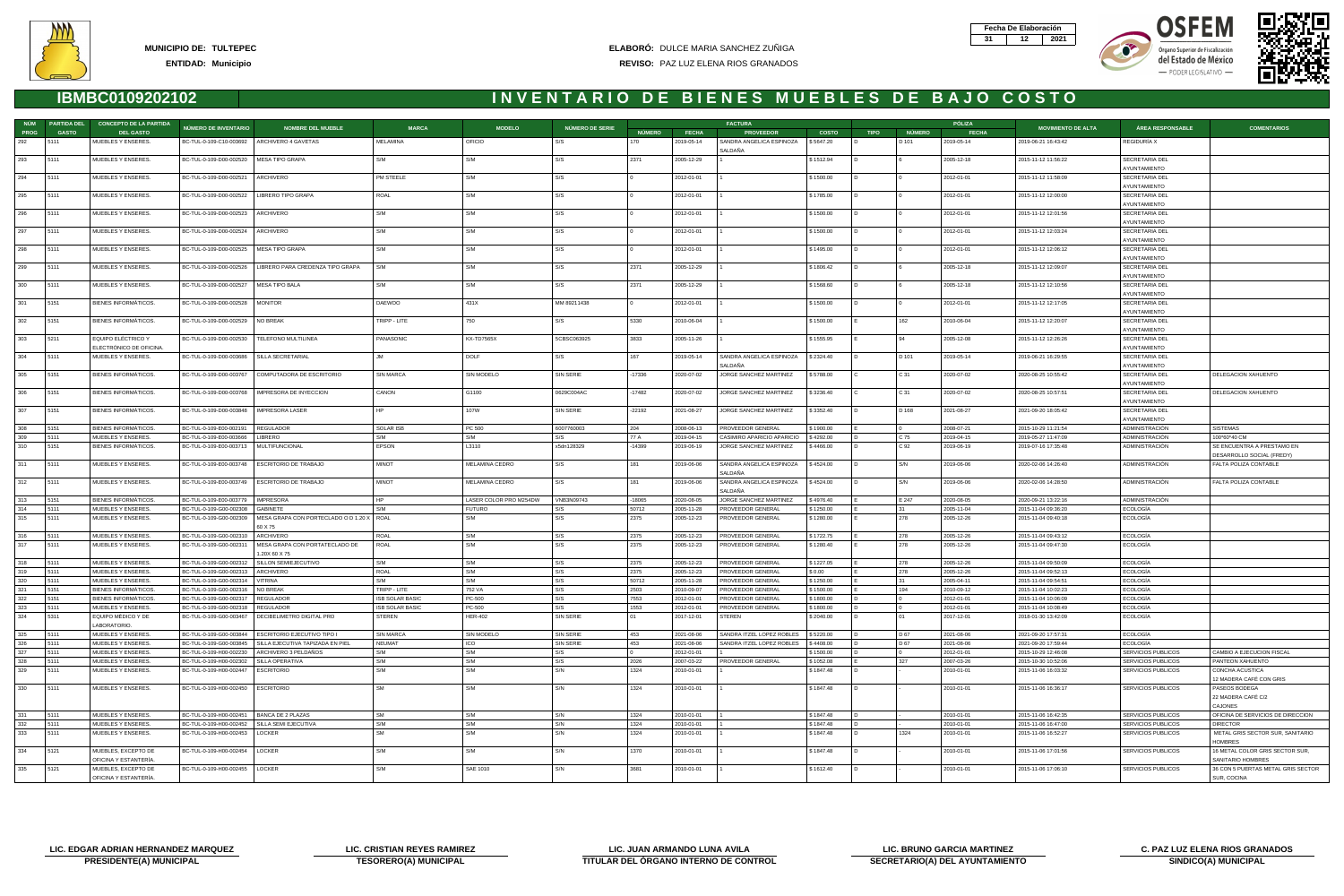







| NÚM              | <b>PARTIDA DEL</b> | <b>CONCEPTO DE LA PARTIDA</b>                |                                                 |                                                            |                         |                        |                 |                 |              | <b>FACTURA</b>                       |              |             |                | PÓLIZA       |                           |                                |                                                         |
|------------------|--------------------|----------------------------------------------|-------------------------------------------------|------------------------------------------------------------|-------------------------|------------------------|-----------------|-----------------|--------------|--------------------------------------|--------------|-------------|----------------|--------------|---------------------------|--------------------------------|---------------------------------------------------------|
| <b>PROG</b>      | <b>GASTO</b>       | <b>DEL GASTO</b>                             | NÚMERO DE INVENTARIO                            | <b>NOMBRE DEL MUEBLE</b>                                   | <b>MARCA</b>            | <b>MODELO</b>          | NÚMERO DE SERIE | <b>NÚMERO</b>   | <b>FECHA</b> | <b>PROVEEDOR</b>                     | <b>COSTO</b> | <b>TIPO</b> | NÚMERO         | <b>FECHA</b> | <b>MOVIMIENTO DE ALTA</b> | ÁREA RESPONSABLE               | <b>COMENTARIOS</b>                                      |
| 292              | 5111               | MUEBLES Y ENSERES.                           | BC-TUL-0-109-C10-003692   ARCHIVERO 4 GAVETAS   |                                                            | MELAMINA                | OFICIO                 | S/S             | 170             | 2019-05-14   | SANDRA ANGELICA ESPINOZA<br>SALDAÑA  | \$5647.20    |             | D 101          | 2019-05-14   | 2019-06-21 16:43:42       | REGIDURÍA X                    |                                                         |
| 293              | 5111               | MUEBLES Y ENSERES.                           | BC-TUL-0-109-D00-002520   MESA TIPO GRAPA       |                                                            | S/M                     | S/M                    | S/S             | 2371            | 2005-12-29   |                                      | \$1512.94    |             |                | 2005-12-18   | 2015-11-12 11:56:22       | SECRETARIA DEL<br>AYUNTAMIENTO |                                                         |
| 294              | 5111               | MUEBLES Y ENSERES.                           | BC-TUL-0-109-D00-002521                         | ARCHIVERO                                                  | PM STEELE               | S/M                    | S/S             |                 | 2012-01-01   |                                      | \$1500.00    |             |                | 2012-01-01   | 2015-11-12 11:58:09       | SECRETARIA DEL<br>AYUNTAMIENTO |                                                         |
| 295              | 5111               | MUEBLES Y ENSERES.                           | BC-TUL-0-109-D00-002522                         | LIBRERO TIPO GRAPA                                         | ROAL                    | S/M                    | S/S             |                 | 2012-01-01   |                                      | \$1785.00    |             |                | 2012-01-01   | 2015-11-12 12:00:00       | SECRETARIA DEL                 |                                                         |
| 296              | 5111               | MUEBLES Y ENSERES.                           | BC-TUL-0-109-D00-002523                         | ARCHIVERO                                                  | S/M                     | S/M                    | S/S             |                 | 2012-01-01   |                                      | \$1500.00    | D.          | $\mathbf{0}$   | 2012-01-01   | 2015-11-12 12:01:56       | AYUNTAMIENTO<br>SECRETARIA DEL |                                                         |
| 297              | 5111               | MUEBLES Y ENSERES.                           | BC-TUL-0-109-D00-002524                         | ARCHIVERO                                                  | S/M                     | S/M                    | I S/S           |                 | 2012-01-01   |                                      | \$1500.00    |             |                | 2012-01-01   | 2015-11-12 12:03:24       | AYUNTAMIENTO<br>SECRETARIA DEL |                                                         |
| 298              | 5111               | MUEBLES Y ENSERES.                           | BC-TUL-0-109-D00-002525   MESA TIPO GRAPA       |                                                            | S/M                     | S/M                    | S/S             |                 | 2012-01-01   |                                      | \$1495.00    |             |                | 2012-01-01   | 2015-11-12 12:06:12       | AYUNTAMIENTO<br>SECRETARIA DEL |                                                         |
| 299              | 5111               | MUEBLES Y ENSERES.                           |                                                 | BC-TUL-0-109-D00-002526   LIBRERO PARA CREDENZA TIPO GRAPA | S/M                     | S/M                    | S/S             | 2371            | 2005-12-29   |                                      | \$1806.42    |             | 6              | 2005-12-18   | 2015-11-12 12:09:07       | AYUNTAMIENTO<br>SECRETARIA DEL |                                                         |
| 300              | 5111               | MUEBLES Y ENSERES.                           | BC-TUL-0-109-D00-002527                         | MESA TIPO BALA                                             | S/M                     | S/M                    | S/S             | 2371            | 2005-12-29   |                                      | \$1568.60    |             |                | 2005-12-18   | 2015-11-12 12:10:56       | AYUNTAMIENTO<br>SECRETARIA DEL |                                                         |
| 301              | 5151               | BIENES INFORMÁTICOS.                         | BC-TUL-0-109-D00-002528   MONITOR               |                                                            | DAEWOO                  | 431X                   | MM 89211438     |                 | 2012-01-01   |                                      | \$1500.00    |             |                | 2012-01-01   | 2015-11-12 12:17:05       | AYUNTAMIENTO<br>SECRETARIA DEL |                                                         |
| 302              | 5151               | BIENES INFORMÁTICOS.                         | BC-TUL-0-109-D00-002529   NO BREAK              |                                                            | TRIPP - LITE            | 750                    | S/S             | 5330            | 2010-06-04   |                                      | \$1500.00    |             | 162            | 2010-06-04   | 2015-11-12 12:20:07       | AYUNTAMIENTO<br>SECRETARIA DEL |                                                         |
| 303              | 5211               | EQUIPO ELÉCTRICO Y                           | BC-TUL-0-109-D00-002530                         | TELEFONO MULTILINEA                                        | PANASONIC               | <b>KX-TD7565X</b>      | 5CBSC063925     | 3833            | 2005-11-26   |                                      | \$1555.95    |             | 94             | 2005-12-08   | 2015-11-12 12:26:26       | AYUNTAMIENTO<br>SECRETARIA DEL |                                                         |
| 304              | 5111               | ELECTRÓNICO DE OFICINA<br>MUEBLES Y ENSERES. | BC-TUL-0-109-D00-003686   SILLA SECRETARIAL     |                                                            | .JM                     | DOLF                   | S/S             | 167             | 2019-05-14   | SANDRA ANGELICA ESPINOZA             | \$2324.40    |             | D 101          | 2019-05-14   | 2019-06-21 16:29:55       | AYUNTAMIENTO<br>SECRETARIA DEL |                                                         |
| 305              | 5151               | BIENES INFORMÁTICOS.                         | BC-TUL-0-109-D00-003767                         | COMPUTADORA DE ESCRITORIO                                  | SIN MARCA               | SIN MODELO             | SIN SERIE       | -17336          | 2020-07-02   | SALDAÑA<br>JORGE SANCHEZ MARTINEZ    | \$5788.00    |             | C 31           | 2020-07-02   | 2020-08-25 10:55:42       | AYUNTAMIENTO<br>SECRETARIA DEL | DELEGACION XAHUENTO                                     |
| 306              | 5151               | BIENES INFORMATICOS.                         | BC-TUL-0-109-D00-003768                         | IMPRESORA DE INYECCION                                     | CANON                   | G1100                  | 0629C004AC      | $-17482$        | 2020-07-02   | JORGE SANCHEZ MARTINEZ               | \$3236.40    |             | C 31           | 2020-07-02   | 2020-08-25 10:57:51       | AYUNTAMIENTO<br>SECRETARIA DEL | <b>DELEGACION XAHUENTO</b>                              |
| 307              | 5151               | BIENES INFORMÁTICOS.                         | BC-TUL-0-109-D00-003848                         | <b>IMPRESORA LASER</b>                                     | HP                      | 107W                   | SIN SERIE       | $-22192$        | 2021-08-27   | JORGE SANCHEZ MARTINEZ               | \$3352.40    |             | D 168          | 2021-08-27   | 2021-09-20 18:05:42       | AYUNTAMIENTO<br>SECRETARIA DEL |                                                         |
|                  |                    |                                              |                                                 |                                                            |                         |                        |                 |                 |              |                                      |              |             |                |              |                           | AYUNTAMIENTO                   |                                                         |
| 308              | 5151               | <b>BIENES INFORMÁTICOS</b>                   | BC-TUL-0-109-E00-002191                         | REGULADOR                                                  | <b>SOLAR ISB</b><br>S/M | PC 500<br>S/M          | 6007760003      | 204             | 2008-06-13   | PROVEEDOR GENERAL                    | \$1900.00    |             | $\overline{0}$ | 2008-07-21   | 2015-10-29 11:21:54       | ADMINISTRACIÓN                 | <b>SISTEMAS</b>                                         |
| 309<br>310       | 5111               | MUEBLES Y ENSERES.                           | BC-TUL-0-109-E00-003666                         | LIBRERO                                                    |                         |                        | S/S             | 77 A            | 2019-04-15   | CASIMIRO APARICIO APARICIO           | \$4292.00    |             | C 75           | 2019-04-15   | 2019-05-27 11:47:09       | ADMINISTRACIÓN                 | 100*60*40 CM                                            |
|                  | 5151               | BIENES INFORMATICOS.                         | BC-TUL-0-109-E00-003713                         | MULTIFUNCIONAL                                             | <b>EPSON</b>            | L3110                  | x5dn128329      | $-14399$        | 2019-06-19   | JORGE SANCHEZ MARTINEZ               | \$4466.00    |             | C 92           | 2019-06-19   | 2019-07-16 17:35:48       | <b>ADMINISTRACION</b>          | SE ENCUENTRA A PRESTAMO EN<br>DESARROLLO SOCIAL (FREDY) |
| 311              | 5111               | MUEBLES Y ENSERES.                           | BC-TUL-0-109-E00-003748                         | ESCRITORIO DE TRABAJO                                      | MINOT                   | MELAMINA CEDRO         | S/S             | 181             | 2019-06-06   | SANDRA ANGELICA ESPINOZA<br>SALDAÑA  | \$4524.00    |             | S/N            | 2019-06-06   | 2020-02-06 14:26:40       | ADMINISTRACIÓN                 | FALTA POLIZA CONTABLE                                   |
| 312              | 5111               | MUEBLES Y ENSERES.                           | BC-TUL-0-109-E00-003749   ESCRITORIO DE TRABAJO |                                                            | MINOT                   | MELAMINA CEDRO         | S/S             | 181             | 2019-06-06   | SANDRA ANGELICA ESPINOZA<br>SALDAÑA  | \$4524.00    |             | S/N            | 2019-06-06   | 2020-02-06 14:28:50       | ADMINISTRACION                 | FALTA POLIZA CONTABLE                                   |
| 313              | 5151               | <b>BIENES INFORMATICOS</b>                   | BC-TUL-0-109-E00-003779                         | <b>IMPRESORA</b>                                           |                         | LASER COLOR PRO M254DW | VNB3N09743      | $-18065$        | 2020-08-05   | JORGE SANCHEZ MARTINEZ               | \$4976.40    |             | E 247          | 2020-08-05   | 2020-09-21 13:22:16       | <b>ADMINISTRACION</b>          |                                                         |
| 314              | 5111               | MUEBLES Y ENSERES                            | BC-TUL-0-109-G00-002308                         | <b>GABINETE</b>                                            |                         | <b>FUTURO</b>          | S/S             | 50712           | 2005-11-28   | PROVEEDOR GENERAL                    | \$1250.00    |             | 31             | 2005-11-04   | 2015-11-04 09:36:20       | <b>ECOLOGÍA</b>                |                                                         |
| 315              | 5111               | MUEBLES Y ENSERES.                           | BC-TUL-0-109-G00-002309                         | MESA GRAPA CON PORTECLADO O D 1.20 X   ROAL<br>60 X 75     |                         | S/M                    | S/S             | 2375            | 2005-12-23   | PROVEEDOR GENERAL                    | \$1280.00    |             | 278            | 2005-12-26   | 2015-11-04 09:40:18       | <b>ECOLOGÍA</b>                |                                                         |
| 316              | 5111               | MUEBLES Y ENSERES.                           | BC-TUL-0-109-G00-002310                         | ARCHIVERO                                                  | ROAL                    | S/M                    | S/S             | 2375            | 2005-12-23   | PROVEEDOR GENERAL                    | \$1722.75    |             | 278            | 2005-12-26   | 2015-11-04 09:43:12       | <b>ECOLOGIA</b>                |                                                         |
| 317              | 5111               | MUEBLES Y ENSERES.                           | BC-TUL-0-109-G00-002311                         | MESA GRAPA CON PORTATECLADO DE<br>1.20X 60 X 75            | ROAL                    | S/M                    | S/S             | 2375            | 2005-12-23   | PROVEEDOR GENERAL                    | \$1280.40    |             | 278            | 2005-12-26   | 2015-11-04 09:47:30       | <b>ECOLOGÍA</b>                |                                                         |
| 318              | 5111               | MUEBLES Y ENSERES                            | BC-TUL-0-109-G00-002312                         | SILLON SEMIEJECUTIVO                                       | S/M                     | S/M                    | S/S             | 2375            | 2005-12-23   | PROVEEDOR GENERAL                    | \$1227.05    |             | 278            | 2005-12-26   | 2015-11-04 09:50:09       | <b>ECOLOGÍA</b>                |                                                         |
| 319              | 5111               | MUEBLES Y ENSERES                            | BC-TUL-0-109-G00-002313                         | ARCHIVERO                                                  | <b>ROAL</b>             | S/M                    | S/S             | 2375            | 2005-12-23   | PROVEEDOR GENERAL                    | \$0.00       |             | 278            | 2005-12-26   | 2015-11-04 09:52:13       | <b>ECOLOGÍA</b>                |                                                         |
| 320              | 5111               | MUEBLES Y ENSERES                            | BC-TUL-0-109-G00-002314                         | VITRINA                                                    | S/M                     | S/M                    | S/S             | 50712           | 2005-11-28   | PROVEEDOR GENERAL                    | \$1250.00    |             | -31            | 2005-04-11   | 2015-11-04 09:54:51       | <b>ECOLOGIA</b>                |                                                         |
| 321              | 5151               | BIENES INFORMATICOS.                         | BC-TUL-0-109-G00-002316   NO BREAK              |                                                            | FRIPP - LITE            | 752 VA                 | S/S             | 2503            | 2010-09-07   | <b>PROVEEDOR GENERAL</b>             | \$1500.00    |             |                | 2010-09-12   | 2015-11-04 10:02:23       | ECOLOGIA                       |                                                         |
| $\overline{322}$ | 5151               | BIENES INFORMÁTICOS.                         | BC-TUL-0-109-G00-002317   REGULADOR             |                                                            | <b>ISB SOLAR BASIC</b>  | <b>PC-500</b>          | S/S             | 7553            | 2012-01-01   | PROVEEDOR GENERAL                    | \$1800.00    |             |                | 2012-01-01   | 2015-11-04 10:06:09       | <b>ECOLOGÍA</b>                |                                                         |
| 323              | 5111               | MUEBLES Y ENSERES.                           | BC-TUL-0-109-G00-002318                         | <b>REGULADOR</b>                                           | <b>ISB SOLAR BASIC</b>  | PC-500                 | S/S             | 1553            | 2012-01-01   | PROVEEDOR GENERAL                    | \$1800.00    |             |                | 2012-01-01   | 2015-11-04 10:08:49       | <b>ECOLOGÍA</b>                |                                                         |
| 324              | 5311               | EQUIPO MÉDICO Y DE<br>LABORATORIO.           | BC-TUL-0-109-G00-003467                         | DECIBELIMETRO DIGITAL PRO                                  | <b>STEREN</b>           | <b>HER-402</b>         | SIN SERIE       | $\overline{01}$ | 2017-12-01   | STEREN                               | \$2040.00    |             | 01             | 2017-12-01   | 2018-01-30 13:42:09       | <b>ECOLOGÍA</b>                |                                                         |
| 325              | 5111               | MUEBLES Y ENSERES.                           | BC-TUL-0-109-G00-003844                         | ESCRITORIO EJECUTIVO TIPO I                                | <b>SIN MARCA</b>        | SIN MODELO             | SIN SERIE       | 453             | 2021-08-06   | SANDRA ITZEL LOPEZ ROBLES \\$5220.00 |              |             | D 67           | 2021-08-06   | 2021-09-20 17:57:31       | <b>ECOLOGÍA</b>                |                                                         |
| $\frac{1}{326}$  | 5111               | MUEBLES Y ENSERES.                           | BC-TUL-0-109-G00-003845                         | SILLA EJECUTIVA TAPIZADA EN PIEL                           | NEUMAT                  | ICO                    | SIN SERIE       | 453             | 2021-08-06   | SANDRA ITZEL LOPEZ ROBLES            | \$4408.00    |             | D 67           | 2021-08-06   | 2021-09-20 17:59:44       | ECOLOGIA                       |                                                         |
| 327              | 5111               | MUEBLES Y ENSERES.                           | BC-TUL-0-109-H00-002230                         | ARCHIVERO 3 PELDAÑOS                                       | S/M                     | S/M                    | S/S             |                 | 2012-01-01   |                                      | \$1500.00    |             | $^{\circ}$     | 2012-01-01   | 2015-10-29 12:46:08       | SERVICIOS PUBLICOS             | CAMBIO A EJECUCION FISCAL                               |
| 328              | 5111               | MUEBLES Y ENSERES.                           | BC-TUL-0-109-H00-002302                         | SILLA OPERATIVA                                            | S/M                     | S/M                    | S/S             | 2026            | 2007-03-22   | PROVEEDOR GENERAL                    | \$1052.08    |             | 327            | 2007-03-26   | 2015-10-30 10:52:06       | SERVICIOS PUBLICOS             | PANTEON XAHUENTO                                        |
| 329              | 5111               | MUEBLES Y ENSERES.                           | BC-TUL-0-109-H00-002447                         | <b>ESCRITORIO</b>                                          | S/M                     | S/M                    | S/N             | 1324            | 2010-01-01   |                                      | \$1847.48    |             |                | 2010-01-01   | 2015-11-06 16:03:32       | SERVICIOS PUBLICOS             | CONCHA ACUSTICA                                         |
| 330              | 5111               | MUEBLES Y ENSERES.                           | BC-TUL-0-109-H00-002450   ESCRITORIO            |                                                            | <b>SM</b>               | S/M                    | S/N             | 1324            | 2010-01-01   |                                      | \$1847.48    |             |                | 2010-01-01   | 2015-11-06 16:36:17       | SERVICIOS PUBLICOS             | 12 MADERA CAFÉ CON GRIS<br>PASEOS BODEGA                |
|                  |                    |                                              |                                                 |                                                            |                         |                        |                 |                 |              |                                      |              |             |                |              |                           |                                | 22 MADERA CAFÉ C/2<br>CAJONES                           |
| 331              | 5111               | MUEBLES Y ENSERES.                           | BC-TUL-0-109-H00-002451                         | BANCA DE 2 PLAZAS                                          | SM                      | S/M                    | S/N             | 1324            | 2010-01-01   |                                      | \$1847.48    |             |                | 2010-01-01   | 2015-11-06 16:42:35       | <b>SERVICIOS PUBLICOS</b>      | OFICINA DE SERVICIOS DE DIRECCION                       |
| 332              | 5111               | MUEBLES Y ENSERES.                           | BC-TUL-0-109-H00-002452                         | SILLA SEMI EJECUTIVA                                       | S/M                     | S/M                    | S/N             | 1324            | 2010-01-01   |                                      | \$1847.48    |             |                | 2010-01-01   | 2015-11-06 16:47:00       | SERVICIOS PUBLICOS             | <b>DIRECTOR</b>                                         |
| $\frac{1}{333}$  | 5111               | MUEBLES Y ENSERES.                           | BC-TUL-0-109-H00-002453                         | LOCKER                                                     | <b>SM</b>               | S/M                    | S/N             | 1324            | 2010-01-01   |                                      | \$1847.48    |             | 1324           | 2010-01-01   | 2015-11-06 16:52:27       | SERVICIOS PUBLICOS             | METAL GRIS SECTOR SUR, SANITARIO<br><b>HOMBRES</b>      |
| 334              | 5121               | MUEBLES, EXCEPTO DE<br>OFICINA Y ESTANTERÍA. | BC-TUL-0-109-H00-002454   LOCKER                |                                                            | S/M                     | S/M                    | S/N             | 1370            | 2010-01-01   |                                      | \$1847.48    |             |                | 2010-01-01   | 2015-11-06 17:01:56       | SERVICIOS PUBLICOS             | 16 METAL COLOR GRIS SECTOR SUR,<br>SANITARIO HOMBRES    |
| 335              | 5121               | MUEBLES, EXCEPTO DE<br>OFICINA Y ESTANTERÍA. | BC-TUL-0-109-H00-002455   LOCKER                |                                                            | S/M                     | SAE 1010               | S/N             | 3681            | 2010-01-01   |                                      | \$1612.40    |             |                | 2010-01-01   | 2015-11-06 17:06:10       | SERVICIOS PUBLICOS             | 36 CON 5 PUERTAS METAL GRIS SECTOR<br>SUR, COCINA       |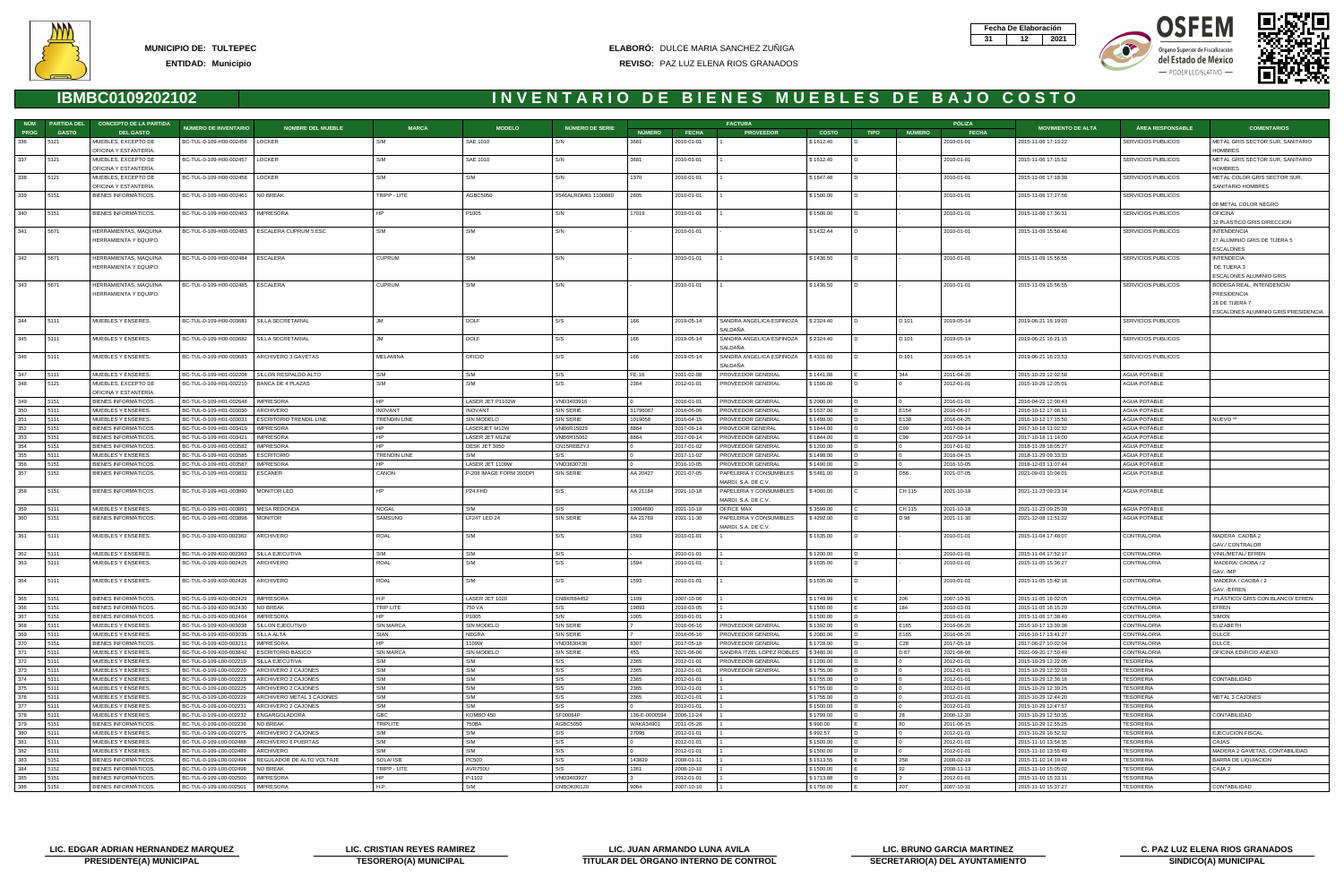



- PODER LEGISLATIVO -





|             | NÚM PARTIDA DEL | <b>CONCEPTO DE LA PARTIDA</b>                             |                                                    |                                                    |                                       |                             |                         |                  |                          | <b>FACTURA</b>                                 |                        |                |                 | PÓLIZA                   |                                            |                               |                                                                                                   |
|-------------|-----------------|-----------------------------------------------------------|----------------------------------------------------|----------------------------------------------------|---------------------------------------|-----------------------------|-------------------------|------------------|--------------------------|------------------------------------------------|------------------------|----------------|-----------------|--------------------------|--------------------------------------------|-------------------------------|---------------------------------------------------------------------------------------------------|
| <b>PROG</b> | <b>GASTO</b>    | <b>DEL GASTO</b>                                          | NÚMERO DE INVENTARIO                               | <b>NOMBRE DEL MUEBLE</b>                           | <b>MARCA</b>                          | <b>MODELO</b>               | NÚMERO DE SERIE         | <b>NÚMERO</b>    | <b>FECHA</b>             | <b>PROVEEDOR</b>                               | <b>COSTO</b>           | <b>TIPO</b>    | NÚMERO          | <b>FECHA</b>             | <b>MOVIMIENTO DE ALTA</b>                  | <b>ÁREA RESPONSABLE</b>       | <b>COMENTARIOS</b>                                                                                |
| 336         | 5121            | MUEBLES, EXCEPTO DE<br>OFICINA Y ESTANTERÍA               | BC-TUL-0-109-H00-002456   LOCKER                   |                                                    | S/M                                   | SAE 1010                    | S/N                     | 3681             | 2010-01-01               |                                                | \$1612.40              |                |                 | 2010-01-01               | 2015-11-06 17:13:22                        | SERVICIOS PUBLICOS            | METAL GRIS SECTOR SUR, SANITARIO<br><b>HOMBRES</b>                                                |
| 337         | 5121            | MUEBLES, EXCEPTO DE<br>OFICINA Y ESTANTERÍA               | BC-TUL-0-109-H00-002457                            | LOCKER                                             | S/M                                   | SAE 1010                    | S/N                     | 3681             | 2010-01-01               |                                                | \$1612.40              |                |                 | 2010-01-01               | 2015-11-06 17:15:52                        | SERVICIOS PUBLICOS            | METAL GRIS SECTOR SUR, SANITARIO<br><b>HOMBRES</b>                                                |
| 338         | 5121            | MUEBLES, EXCEPTO DE<br>OFICINA Y ESTANTERÍA               | BC-TUL-0-109-H00-002458                            | LOCKER                                             | S/M                                   | S/M                         | S/N                     | 1370             | 2010-01-01               |                                                | \$1847.48              |                |                 | 2010-01-01               | 2015-11-06 17:18:39                        | SERVICIOS PUBLICOS            | METAL COLOR GRIS SECTOR SUR,<br>SANITARIO HOMBRES                                                 |
| 339         | 5151            | BIENES INFORMATICOS.                                      | BC-TUL-0-109-H00-002461                            | NO BREAK                                           | TRIPP - LITE                          | AGBC5050                    | 9546ALROM61 1100880     | 2805             | 2010-01-01               |                                                | \$1500.00              |                |                 | 2010-01-01               | 2015-11-06 17:27:56                        | SERVICIOS PUBLICOS            | 08 METAL COLOR NEGRO                                                                              |
| 340         | 5151            | BIENES INFORMÁTICOS.                                      | BC-TUL-0-109-H00-002463                            | <b>IMPRESORA</b>                                   | HP                                    | P1005                       | S/N                     | 17019            | 2010-01-01               |                                                | \$1500.00              |                |                 | 2010-01-01               | 2015-11-06 17:36:31                        | SERVICIOS PUBLICOS            | <b>OFICINA</b><br>32 PLASTICO GRIS DIRECCION                                                      |
| 341         | 5671            | HERRAMIENTAS, MÁQUINA<br>HERRAMIENTA Y EQUIPO.            | BC-TUL-0-109-H00-002483                            | <b>ESCALERA CUPRUM 5 ESC</b>                       | S/M                                   | S/M                         | S/N                     |                  | 2010-01-01               |                                                | \$1432.44              |                |                 | 2010-01-01               | 2015-11-09 15:50:46                        | SERVICIOS PUBLICOS            | <b>INTENDENCIA</b><br>27 ALUMINIO GRIS DE TIJERA 5<br><b>ESCALONES</b>                            |
| 342         | 5671            | HERRAMIENTAS, MÁQUINA<br>HERRAMIENTA Y EQUIPO.            | BC-TUL-0-109-H00-002484                            | ESCALERA                                           | <b>CUPRUM</b>                         | S/M                         | S/N                     |                  | 2010-01-01               |                                                | \$1436.50              |                |                 | 2010-01-01               | 2015-11-09 15:56:55                        | SERVICIOS PUBLICOS            | <b>INTENDECIA</b><br>DE TIJERA 3<br>ESCALONES ALUMINIO GRIS                                       |
| 343         | 5671            | HERRAMIENTAS, MÁQUINA<br>HERRAMIENTA Y EQUIPO.            | BC-TUL-0-109-H00-002485                            | <b>ESCALERA</b>                                    | <b>CUPRUM</b>                         | S/M                         | S/N                     |                  | 2010-01-01               |                                                | \$1436.50              |                |                 | 2010-01-01               | 2015-11-09 15:56:55                        | SERVICIOS PUBLICOS            | BODEGA REAL, INTENDENCIA/<br>PRESIDENCIA<br>28 DE TIJERA 7<br>ESCALONES ALUMINIO GRIS PRESIDENCIA |
| 344         | 5111            | MUEBLES Y ENSERES.                                        | BC-TUL-0-109-H00-003681                            | SILLA SECRETARIAL                                  | <b>JM</b>                             | DOLF                        | I S/S                   | 166              | 2019-05-14               | SANDRA ANGELICA ESPINOZA \$2324.40<br>SALDAÑA  |                        | $\overline{D}$ | D 101           | 2019-05-14               | 2019-06-21 16:19:03                        | SERVICIOS PUBLICOS            |                                                                                                   |
| 345         | 5111            | MUEBLES Y ENSERES.                                        | BC-TUL-0-109-H00-003682                            | SILLA SECRETARIAL                                  | . IM                                  | DOLF                        | I S/S                   | 166              | 2019-05-14               | SANDRA ANGELICA ESPINOZA<br>SALDAÑA            | \$2324.40              |                | D 101           | 2019-05-14               | 2019-06-21 16:21:15                        | SERVICIOS PUBLICOS            |                                                                                                   |
| 346         | 5111            | MUEBLES Y ENSERES.                                        | BC-TUL-0-109-H00-003683                            | ARCHIVERO 3 GAVETAS                                | MELAMINA                              | OFICIO                      | S/S                     | 166              | 2019-05-14               | SANDRA ANGELICA ESPINOZA<br>SALDAÑA            | \$4331.60              |                | D 101           | 2019-05-14               | 2019-06-21 16:23:53                        | SERVICIOS PUBLICOS            |                                                                                                   |
| 347         | 5111            | MUEBLES Y ENSERES.                                        | BC-TUL-0-109-H01-002208                            | SILLON RESPALDO ALTO                               | S/M                                   | S/M                         | S/S                     | FE-16            | 2011-02-08               | PROVEEDOR GENERAL                              | \$1441.88              |                | 344             | 2011-04-20               | 2015-10-29 12:02:58                        | <b>AGUA POTABLE</b>           |                                                                                                   |
| 348         | 5121            | MUEBLES, EXCEPTO DE<br>OFICINA Y ESTANTERÍA               | BC-TUL-0-109-H01-002210                            | BANCA DE 4 PLAZAS                                  | S/M                                   | S/M                         | S/S                     | 2364             | 2012-01-01               | PROVEEDOR GENERAL                              | \$1590.00              |                |                 | 2012-01-01               | 2015-10-29 12:05:01                        | AGUA POTABLE                  |                                                                                                   |
| 349         | 5151            | <b>BIENES INFORMÁTICOS</b>                                | BC-TUL-0-109-H01-002648                            | <b>IMPRESORA</b>                                   | HP                                    | LASER JET P1102W            | VND3403916              |                  | 2016-01-01               | PROVEEDOR GENERAL                              | \$2000.00              |                |                 | 2016-01-01               | 2016-04-22 12:00:43                        | AGUA POTABLE                  |                                                                                                   |
| 350         | 5111<br>5111    | MUEBLES Y ENSERES.                                        | BC-TUL-0-109-H01-003030                            | ARCHIVERO                                          | <b>INOVANT</b><br><b>TRENDIN LINE</b> | <b>INOVANT</b>              | SIN SERIE               | 31796067         | 2016-06-06               | PROVEEDOR GENERAL<br>PROVEEDOR GENERAL         | \$1637.00              |                | E154<br>E138    | 2016-06-17               | 2016-10-12 17:08:11                        | AGUA POTABLE<br>AGUA POTABLE  | NUEVO <sup>**</sup>                                                                               |
| 351<br>352  | 5151            | MUEBLES Y ENSERES.<br>BIENES INFORMÁTICOS.                | BC-TUL-0-109-H01-003031<br>BC-TUL-0-109-H01-003419 | <b>ESCRITORIO TRENDIL LINE</b><br><b>IMPRESORA</b> | HP                                    | SIN MODELO<br>LASERJET M12W | SIN SERIE<br>VNB6R15029 | 1019058<br>8864  | 2016-04-15<br>2017-09-14 | PROVEDOR GENERAL                               | \$1498.00<br>\$1844.00 |                | C99             | 2016-04-25<br>2017-09-14 | 2016-10-12 17:15:50<br>2017-10-18 11:02:32 | AGUA POTABLE                  |                                                                                                   |
| 353         | 5151            | <b>BIENES INFORMÁTICOS</b>                                | BC-TUL-0-109-H01-003421                            | <b>IMPRESORA</b>                                   | HP                                    | LASER JET M12W              | VNB6R15062              | 8864             | 2017-09-14               | PROVEEDOR GENERAL                              | \$1844.00              |                | C.99            | 2017-09-14               | 2017-10-18 11:14:00                        | <b>AGUA POTABLE</b>           |                                                                                                   |
| 354         | 5151            | <b>BIENES INFORMÁTICOS</b>                                | BC-TUL-0-109-H01-003582                            | <b>IMPRESORA</b>                                   |                                       | DESK JET 3050               | CN15REB2YJ              |                  | 2017-01-02               | PROVEEDOR GENERAL                              | \$1200.00              |                |                 | 2017-01-02               | 2018-11-28 18:05:27                        | AGUA POTABLE                  |                                                                                                   |
| 355         | 5111            | MUEBLES Y ENSERES.                                        | BC-TUL-0-109-H01-003585                            | <b>ESCRITORIO</b>                                  | <b>TRENDIN LINE</b>                   | S/M                         | S/S                     |                  | 2017-11-02               | PROVEEDOR GENERAL                              | \$1498.00              |                |                 | 2016-04-15               | 2018-11-29 09:33:33                        | <b>AGUA POTABLE</b>           |                                                                                                   |
| 356         | 5151            | <b>BIENES INFORMÁTICOS</b>                                | BC-TUL-0-109-H01-003587                            | <b>IMPRESORA</b>                                   | HP                                    | LASER JET 1109W             | VND3630720              | $\overline{0}$   | 2016-10-05               | PROVEEDOR GENERAL                              | \$1490.00              |                |                 | 2016-10-05               | 2018-12-03 11:07:44                        | AGUA POTABLE                  |                                                                                                   |
| 357         | 5151            | BIENES INFORMÁTICOS.                                      | BC-TUL-0-109-H01-003832                            | <b>ESCANER</b>                                     | CANON                                 | P-208 IMAGE FORM 200DPI     | SIN SERIE               | AA 20427         | 2021-07-05               | PAPELERIA Y CONSUMIBLES<br>MARDI, S.A. DE C.V. | \$5481.00              |                | D56             | 2021-07-05               | 2021-09-03 10:04:01                        | AGUA POTABLE                  |                                                                                                   |
| 358         | 5151            | BIENES INFORMÁTICOS.                                      | BC-TUL-0-109-H01-003890                            | <b>MONITOR LED</b>                                 | HP.                                   | P <sub>24</sub> FHD         | S/S                     | AA 21184         | 2021-10-18               | PAPELERIA Y CONSUMIBLES<br>MARDI, S.A. DE C.V. | \$4060.00              |                | CH 115          | 2021-10-18               | 2021-11-23 09:23:14                        | AGUA POTABLE                  |                                                                                                   |
| 359         | 5111            | MUEBLES Y ENSERES.                                        | BC-TUL-0-109-H01-003891                            | <b>MESA REDONDA</b>                                | <b>NOGAL</b>                          | S/M                         | I S/S                   | 19004690         | 2021-10-18               | OFFICE MAX                                     | \$3599.00              |                | CH 115          | 2021-10-18               | 2021-11-23 09:25:39                        | AGUA POTABLE                  |                                                                                                   |
| 360         | 5151            | BIENES INFORMÁTICOS.                                      | BC-TUL-0-109-H01-003898                            | <b>MONITOR</b>                                     | SAMSUNG                               | LF24T LED 24                | SIN SERIE               | AA 21769         | 2021-11-30               | PAPELERIA Y CONSUMIBLES<br>MARDI, S.A. DE C.V. | \$4292.00              |                | D 98            | 2021-11-30               | 2021-12-08 11:51:22                        | AGUA POTABLE                  |                                                                                                   |
| 361         | 5111            | MUEBLES Y ENSERES.                                        | BC-TUL-0-109-K00-002362                            | ARCHIVERO                                          | ROAL<br>S/M                           | S/M                         | S/S                     | 1593             | 2010-01-01               |                                                | \$1635.00              |                |                 | 2010-01-01               | 2015-11-04 17:48:07                        | CONTRALORIA                   | MADERA CAOBA 2<br>GAV./ CONTRALOR                                                                 |
| 362<br>363  | 5111<br>5111    | MUEBLES Y ENSERES<br>MUEBLES Y ENSERES.                   | BC-TUL-0-109-K00-002363<br>BC-TUL-0-109-K00-002425 | SILLA EJECUTIVA<br>ARCHIVERO                       | <b>ROAL</b>                           | S/M<br>S/M                  | S/S<br>S/S              | 1594             | 2010-01-01<br>2010-01-01 |                                                | \$1200.00<br>\$1635.00 |                |                 | 2010-01-01<br>2010-01-01 | 2015-11-04 17:52:17<br>2015-11-05 15:36:27 | CONTRALORIA<br>CONTRALORIA    | VINIL/METAL/ EFREN<br>MADERA/ CAOBA / 2                                                           |
|             |                 |                                                           |                                                    |                                                    |                                       |                             |                         |                  |                          |                                                |                        |                |                 |                          |                                            |                               | GAV. /MP                                                                                          |
| 364         | 5111            | MUEBLES Y ENSERES.                                        | BC-TUL-0-109-K00-002426                            | ARCHIVERO                                          | ROAL                                  | S/M                         | S/S                     | 1593             | 2010-01-01               |                                                | \$1635.00              |                |                 | 2010-01-01               | 2015-11-05 15:42:16                        | CONTRALORIA                   | MADERA / CAOBA / 2<br>GAV. /EFREN                                                                 |
| 365         | 5151            | <b>BIENES INFORMÁTICOS.</b>                               | BC-TUL-0-109-K00-002429                            | <b>IMPRESORA</b>                                   | H <sub>P</sub>                        | LASER JET 1020              | <b>CNBKR84452</b>       | 1109             | 2007-10-06               |                                                | \$1749.99              |                | 206             | 2007-10-31               | 2015-11-05 16:02:05                        | CONTRALORIA                   | PLÁSTICO/ GRIS CON BLANCO/ EFREN                                                                  |
| 366<br>367  | 5151<br>5151    | <b>BIENES INFORMATICOS</b><br><b>BIENES INFORMÁTICOS.</b> | BC-TUL-0-109-K00-002430<br>BC-TUL-0-109-K00-002464 | NO BREAK<br><b>IMPRESORA</b>                       | <b>TRIP LITE</b>                      | 750 VA<br>P1005             | S/S<br>S/N              | 19893<br>1005    | 2010-03-05<br>2010-01-01 |                                                | \$1500.00<br>\$1500.00 |                | 184             | 2010-03-03<br>2010-01-01 | 2015-11-05 16:15:20<br>2015-11-06 17:38:40 | CONTRALORIA<br>CONTRALORIA    | <b>FFREN</b><br><b>SIMON</b>                                                                      |
| 368         | 5111            | MUEBLES Y ENSERES.                                        | BC-TUL-0-109-K00-003038                            | SILLON EJECUTIVO                                   | <b>SIN MARCA</b>                      | <b>SIN MODELO</b>           | SIN SERIE               |                  | 2016-06-16               | PROVEEDOR GENERAL                              | \$1392.00              |                | E165            | 2016-06-20               | 2016-10-17 13:39:36                        | CONTRALORIA                   | <b>ELIZABETH</b>                                                                                  |
| 369         | 5111            | MUEBLES Y ENSERES.                                        | BC-TUL-0-109-K00-003039                            | SILLA ALTA                                         | SIAN                                  | NEGRA                       | SIN SERIE               | 17               | 2016-06-16               | PROVEEDOR GENERAL                              | \$2080.00              |                | E165            | 2016-06-20               | 2016-10-17 13:41:27                        | CONTRALORIA                   | <b>DULCE</b>                                                                                      |
| 370         | 5151            | <b>BIENES INFORMÁTICOS</b>                                | BC-TUL-0-109-K00-003211                            | <b>IMPRESORA</b>                                   | HP.                                   | 1109W                       | VND3630436              | 8307             | 2017-05-18               | PROVEEDOR GENERAL                              | \$1728.00              |                | C <sub>28</sub> | 2017-05-18               | 2017-06-27 10:02:04                        | CONTRALORIA                   | <b>DULCE</b>                                                                                      |
| 371         | 5111            | MUEBLES Y ENSERES.                                        | BC-TUL-0-109-K00-003842                            | <b>ESCRITORIO BASICO</b>                           | <b>SIN MARCA</b>                      | SIN MODELO                  | <b>SIN SERIE</b>        | 453              | 2021-08-06               | SANDRA ITZEL LOPEZ ROBLE:                      | \$3480.00              |                | D 67            | 2021-08-06               | 2021-09-20 17:50:49                        | <b>CONTRALORIA</b>            | OFICINA EDIFICIO ANEXO                                                                            |
| 372         | 5111            | MUEBLES Y ENSERES.                                        | BC-TUL-0-109-L00-002219                            | SILLA EJECUTIVA                                    | S/M                                   | S/M                         | S/S                     | 2365             | 2012-01-01               | PROVEEDOR GENERA                               | \$1200.00              |                |                 | 2012-01-01               | 2015-10-29 12:22:05                        | TESORERIA                     |                                                                                                   |
| 373         | 5111            | MUEBLES Y ENSERES.                                        | BC-TUL-0-109-L00-002220                            | ARCHIVERO 2 CAJONES                                | S/M<br>S/M                            | S/M<br>S/M                  | S/S<br>S/S              | 2365             | 2012-01-01               | PROVEEDOR GENERAL                              | \$1755.00              |                |                 | 2012-01-01               | 2015-10-29 12:32:03                        | <b>TESORERIA</b>              |                                                                                                   |
| 374<br>375  | 5111<br>5111    | MUEBLES Y ENSERES.<br>MUEBLES Y ENSERES.                  | BC-TUL-0-109-L00-002223<br>BC-TUL-0-109-L00-002225 | ARCHIVERO 2 CAJONES<br>ARCHIVERO 2 CAJONES         | S/M                                   | S/M                         | S/S                     | 2365<br>2365     | 2012-01-01<br>2012-01-01 |                                                | \$1755.00<br>\$1755.00 |                |                 | 2012-01-01<br>2012-01-01 | 2015-10-29 12:36:16<br>2015-10-29 12:39:25 | <b>TESORERIA</b><br>TESORERIA | CONTABILIDAD                                                                                      |
| 376         | 5111            | MUEBLES Y ENSERES.                                        | BC-TUL-0-109-L00-002229                            | ARCHIVERO METAL 3 CAJONES                          | S/M                                   | S/M                         | S/S                     | 2365             | 2012-01-01               |                                                | \$1755.00              |                |                 | 2012-01-01               | 2015-10-29 12:44:20                        | TESORERIA                     | METAL 3 CAJONES                                                                                   |
| 377         | 5111            | MUEBLES Y ENSERES.                                        | BC-TUL-0-109-L00-002231                            | ARCHIVERO 2 CAJONES                                | S/M                                   | S/M                         | S/S                     |                  | 2012-01-01               |                                                | \$1500.00              |                |                 | 2012-01-01               | 2015-10-29 12:47:57                        | <b>TESORERIA</b>              |                                                                                                   |
| 378         | 5111            | MUEBLES Y ENSERES.                                        | BC-TUL-0-109-L00-002232                            | ENGARGOLADORA                                      | GBC                                   | KOMBO 450                   | SF00064P                | 136-E-000059     | 2006-11-24               |                                                | \$1799.00              |                | 28              | 2006-12-30               | 2015-10-29 12:50:35                        | TESORERIA                     | CONTABILIDAD                                                                                      |
| 379         | 5151            | <b>BIENES INFORMÁTICOS</b>                                | BC-TUL-0-109-L00-002236                            | NO BREAK                                           | <b>TRIPLITE</b>                       | 750BA                       | AGBC5050                | <b>WAKA34901</b> | 2011-05-28               |                                                | \$990.00               |                | 80.             | 2011-06-15               | 2015-10-29 12:55:25                        | TESORERIA                     |                                                                                                   |
| 380         | 5111            | MUEBLES Y ENSERES.                                        | BC-TUL-0-109-L00-002275                            | ARCHIVERO 2 CAJONES                                | S/M                                   | S/M                         | I S/S                   | 27095            | 2012-01-01               |                                                | \$992.57               |                |                 | 2012-01-01               | 2015-10-29 16:52:32                        | TESORERIA                     | <b>EJECUCION FISCAL</b>                                                                           |
| 381         | 15111           | MUEBLES Y ENSERES.                                        | BC-TUL-0-109-L00-002488                            | ARCHIVERO 6 PUERTAS                                | S/M                                   | S/M                         | S/S                     | $\overline{0}$   | 2012-01-01               |                                                | \$1500.00              |                |                 | 2012-01-01               | 2015-11-10 13:54:35                        | TESORERIA                     | CAJAS                                                                                             |
| 382<br>383  | 5111<br>5151    | MUEBLES Y ENSERES.<br><b>BIENES INFORMÁTICOS</b>          | BC-TUL-0-109-L00-002489<br>BC-TUL-0-109-L00-002494 | ARCHIVERO<br>REGULADOR DE ALTO VOLTAJE             | S/M<br><b>SOLA/ISB</b>                | S/M<br>PC500                | S/S<br>S/S              | 143829           | 2012-01-01<br>2008-01-11 |                                                | \$1500.00<br>\$1613.55 |                | 258             | 2012-01-01<br>2008-02-19 | 2015-11-10 13:55:49<br>2015-11-10 14:19:49 | TESORERIA<br><b>TESORERIA</b> | MADERA 2 GAVETAS, CONTABILIDAD<br><b>BARRA DE LIQUIACION</b>                                      |
| 384         | 5151            | <b>BIENES INFORMATICOS.</b>                               | BC-TUL-0-109-L00-002498                            | NO BREAK                                           | TRIPP - LITE                          | AVR750U                     | S/S                     | 1361             | 2008-10-10               |                                                | \$1500.00              |                | 92              | 2008-11-13               | 2015-11-10 15:05:02                        | TESORERIA                     | CAJA 2                                                                                            |
| 385         | 5151            | <b>BIENES INFORMÁTICOS.</b>                               | BC-TUL-0-109-L00-002500                            | <b>IMPRESORA</b>                                   | <b>HP</b>                             | P-1102                      | VND3403927              |                  | 2012-01-01               |                                                | \$1713.88              |                |                 | 2012-01-01               | 2015-11-10 15:33:11                        | <b>TESORERIA</b>              |                                                                                                   |
| 386         | 5151            | <b>BIENES INFORMÁTICOS.</b>                               | BC-TUL-0-109-L00-002501                            | <b>IMPRESORA</b>                                   | H.P.                                  | S/M                         | CNBOK00120              | 9064             | 2007-10-10               |                                                | \$1750.00              |                | 207             | 2007-10-31               | 2015-11-10 15:37:27                        | TESORERIA                     | CONTABILIDAD                                                                                      |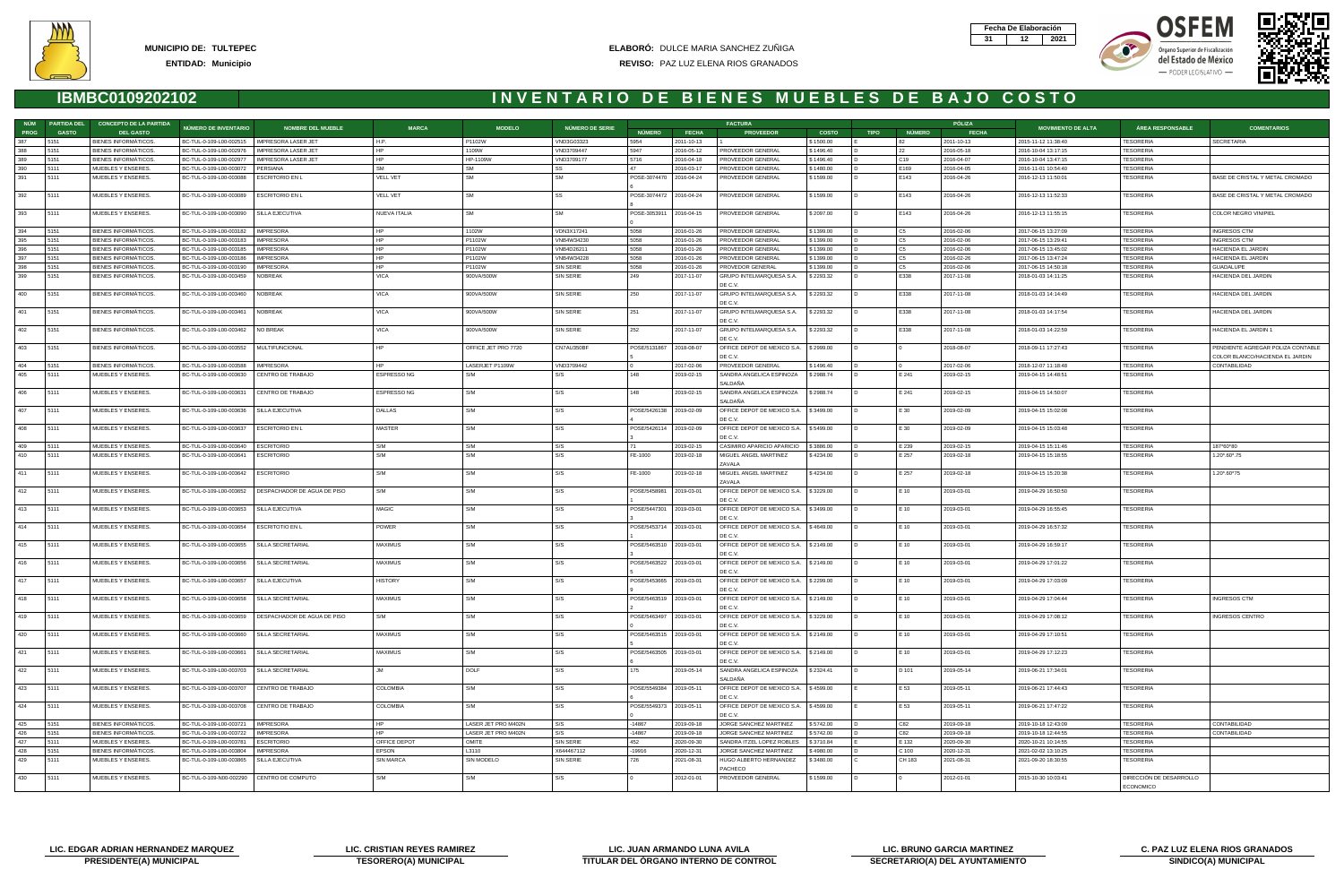







|      | NÚM PARTIDA DEL | <b>CONCEPTO DE LA PARTIDA</b> |                                              |                             |                     |                     |                        |                         |              | <b>FACTURA</b>                                      |              |             |                | PÓLIZA       |                           |                         |                                                                      |
|------|-----------------|-------------------------------|----------------------------------------------|-----------------------------|---------------------|---------------------|------------------------|-------------------------|--------------|-----------------------------------------------------|--------------|-------------|----------------|--------------|---------------------------|-------------------------|----------------------------------------------------------------------|
| PROG | <b>GASTO</b>    | <b>DEL GASTO</b>              | NÚMERO DE INVENTARIO                         | <b>NOMBRE DEL MUEBLE</b>    | <b>MARCA</b>        | <b>MODELO</b>       | <b>NÚMERO DE SERIE</b> | NÚMERO                  | <b>FECHA</b> | <b>PROVEEDOR</b>                                    | <b>COSTO</b> | <b>TIPO</b> | NÚMERO         | <b>FECHA</b> | <b>MOVIMIENTO DE ALTA</b> | <b>ÁREA RESPONSABLE</b> | <b>COMENTARIOS</b>                                                   |
| 387  | 5151            | BIENES INFORMÁTICOS.          | BC-TUL-0-109-L00-002515 NIMPRESORA LASER JET |                             | H.P.                | P1102W              | VND3G03323             | 5954                    | 2011-10-13   |                                                     | \$1500.00    |             | 82             | 2011-10-13   | 2015-11-12 11:38:40       | TESORERIA               | <b>SECRETARIA</b>                                                    |
| 388  | 5151            | BIENES INFORMATICOS.          | BC-TUL-0-109-L00-002976                      | <b>IMPRESORA LASER JET</b>  | <b>HP</b>           | 1109W               | VND3709447             | 5947                    | 2016-05-12   | PROVEEDOR GENERAL                                   | \$1496.40    |             | 22             | 2016-05-18   | 2016-10-04 13:17:15       | TESORERIA               |                                                                      |
| 389  | 5151            | BIENES INFORMÁTICOS.          | BC-TUL-0-109-L00-002977                      | <b>IMPRESORA LASER JET</b>  | HP                  | HP-1109W            | VND3709177             | 5716                    | 2016-04-18   | PROVEEDOR GENERAL                                   | \$1496.40    |             | C19            | 2016-04-07   | 2016-10-04 13:47:15       | TESORERIA               |                                                                      |
| 390  | 5111            | MUEBLES Y ENSERES.            | BC-TUL-0-109-L00-003072                      | PERSIANA                    | <b>SM</b>           | <b>SM</b>           | l SS                   |                         | 2016-03-17   | PROVEEDOR GENERAL                                   | \$1480.00    |             | E169           | 2016-04-05   | 2016-11-01 10:54:40       | TESORERIA               |                                                                      |
| 391  | 5111            | MUEBLES Y ENSERES.            | BC-TUL-0-109-L00-003088                      | <b>ESCRITORIO EN L</b>      | <b>VELL VET</b>     | <b>SM</b>           | l SM                   | POSE-3074470            | 2016-04-24   | PROVEEDOR GENERAL                                   | \$1599.00    |             | E143           | 2016-04-26   | 2016-12-13 11:50:01       | TESORERIA               | BASE DE CRISTAL Y METAL CROMADO                                      |
| 392  | 5111            | MUEBLES Y ENSERES.            | BC-TUL-0-109-L00-003089                      | <b>ESCRITORIO EN L</b>      | <b>VELL VET</b>     | <b>SM</b>           | l SS                   | POSE-3074472 2016-04-24 |              | PROVEEDOR GENERAL                                   | \$1599.00    |             | E143           | 2016-04-26   | 2016-12-13 11:52:33       | TESORERIA               | BASE DE CRISTAL Y METAL CROMADO                                      |
| 393  | 5111            | MUEBLES Y ENSERES.            | BC-TUL-0-109-L00-003090                      | SILLA EJECUTIVA             | <b>NUEVA ITALIA</b> | <b>SM</b>           | <b>SM</b>              | POSE-3053911 2016-04-15 |              | PROVEEDOR GENERAL                                   | \$2097.00    |             | E143           | 2016-04-26   | 2016-12-13 11:55:15       | TESORERIA               | COLOR NEGRO VINIPIEL                                                 |
| 394  | 5151            | BIENES INFORMATICOS.          | BC-TUL-0-109-L00-003182                      | <b>IMPRESORA</b>            | <b>HP</b>           | 1102W               | VDN3X17241             | 5058                    | 2016-01-26   | PROVEEDOR GENERAL                                   | \$1399.00    |             | C <sub>5</sub> | 2016-02-06   | 2017-06-15 13:27:09       | TESORERIA               | <b>INGRESOS CTM</b>                                                  |
| 395  | 5151            | BIENES INFORMÁTICOS.          | BC-TUL-0-109-L00-003183                      | <b>IMPRESORA</b>            | HP                  | P1102W              | VNB4W34230             | 5058                    | 2016-01-26   | PROVEEDOR GENERAL                                   | \$1399.00    |             | C5             | 2016-02-06   | 2017-06-15 13:29:41       | TESORERIA               | <b>INGRESOS CTM</b>                                                  |
| 396  | 5151            | <b>BIENES INFORMÁTICOS</b>    | BC-TUL-0-109-L00-003185                      | <b>IMPRESORA</b>            | <b>HP</b>           | P1102W              | VNB4D26211             | 5058                    | 2016-01-26   | PROVEEDOR GENERAL                                   | \$1399.00    |             | C <sub>5</sub> | 2016-02-06   | 2017-06-15 13:45:02       | <b>TESORERIA</b>        | HACIENDA EL JARDIN                                                   |
| 397  | 5151            | BIENES INFORMATICOS.          | BC-TUL-0-109-L00-003186                      | <b>IMPRESORA</b>            | HP                  | P1102W              | VNB4W34228             | 5058                    | 2016-01-26   | PROVEEDOR GENERAL                                   | \$1399.00    |             | C5             | 2016-02-26   | 2017-06-15 13:47:24       | TESORERIA               | HACIENDA EL JARDIN                                                   |
| 398  | 5151            | BIENES INFORMATICOS.          | BC-TUL-0-109-L00-003190                      | <b>IMPRESORA</b>            | HP                  | P1102W              | SIN SERIE              | 5058                    | 2016-01-26   | PROVEDOR GENERAL                                    | \$1399.00    |             | C <sub>5</sub> | 2016-02-06   | 2017-06-15 14:50:18       | TESORERIA               | GUADALUPE                                                            |
| 399  | 5151            | BIENES INFORMÁTICOS.          | BC-TUL-0-109-L00-003459                      | NOBREAK                     | <b>VICA</b>         | 900VA/500W          | SIN SERIE              | 249                     | 2017-11-07   | GRUPO INTELMARQUESA S.A.<br>DE C.V.                 | \$2293.32    |             | E338           | 2017-11-08   | 2018-01-03 14:11:25       | TESORERIA               | HACIENDA DEL JARDIN                                                  |
| 400  | 5151            | BIENES INFORMÁTICOS.          | BC-TUL-0-109-L00-003460                      | NOBREAK                     | <b>VICA</b>         | 900VA/500W          | SIN SERIE              | 250                     | 2017-11-07   | GRUPO INTELMARQUESA S.A.<br>DE C.V.                 | \$2293.32    |             | E338           | 2017-11-08   | 2018-01-03 14:14:49       | <b>TESORERIA</b>        | HACIENDA DEL JARDIN                                                  |
| 401  | 5151            | BIENES INFORMATICOS.          | BC-TUL-0-109-L00-003461                      | NOBREAK                     | VICA                | 900VA/500W          | SIN SERIE              | 251                     | 2017-11-07   | GRUPO INTELMARQUESA S.A.<br>DE C.V.                 | \$2293.32    |             | E338           | 2017-11-08   | 2018-01-03 14:17:54       | TESORERIA               | HACIENDA DEL JARDIN                                                  |
| 402  | 5151            | BIENES INFORMÁTICOS.          | BC-TUL-0-109-L00-003462 NO BREAK             |                             | <b>VICA</b>         | 900VA/500W          | SIN SERIE              | 252                     | 2017-11-07   | GRUPO INTELMARQUESA S.A.<br>DE C.V.                 | \$2293.32    |             | E338           | 2017-11-08   | 2018-01-03 14:22:59       | TESORERIA               | HACIENDA EL JARDIN 1                                                 |
| 403  | 5151            | BIENES INFORMATICOS.          | BC-TUL-0-109-L00-003552                      | MULTIFUNCIONAL              | HP                  | OFFICE JET PRO 7720 | CN7AU350BF             | POSE/5131867            | 2018-08-07   | OFFICE DEPOT DE MEXICO S.A.   \$ 2999.00<br>DE C.V. |              |             |                | 2018-08-07   | 2018-09-11 17:27:43       | TESORERIA               | PENDIENTE AGREGAR POLIZA CONTABLE<br>COLOR BLANCO/HACIENDA EL JARDIN |
| 404  | 5151            | BIENES INFORMATICOS.          | BC-TUL-0-109-L00-003588                      | IMPRESORA                   | HP.                 | LASERJET P1109W     | VND3709442             | $\overline{0}$          | 2017-02-06   | PROVEEDOR GENERAL                                   | \$1496.40    |             |                | 2017-02-06   | 2018-12-07 11:18:48       | TESORERIA               | CONTABILIDAD                                                         |
| 405  | 5111            | MUEBLES Y ENSERES.            | BC-TUL-0-109-L00-003630                      | CENTRO DE TRABAJO           | <b>ESPRESSONG</b>   | S/M                 | S/S                    | 148                     | 2019-02-15   | SANDRA ANGELICA ESPINOZA                            | \$2988.74    |             | E 241          | 2019-02-15   | 2019-04-15 14:48:51       | TESORERIA               |                                                                      |
|      |                 |                               |                                              |                             |                     |                     |                        |                         |              | SALDAÑA                                             |              |             |                |              |                           |                         |                                                                      |
| 406  | 5111            | MUEBLES Y ENSERES.            | BC-TUL-0-109-L00-003631                      | CENTRO DE TRABAJO           | ESPRESSO NG         | S/M                 | S/S                    | 148                     | 2019-02-15   | SANDRA ANGELICA ESPINOZA<br>SALDAÑA                 | \$2988.74    |             | E 241          | 2019-02-15   | 2019-04-15 14:50:07       | TESORERIA               |                                                                      |
| 407  | 15111           | MUEBLES Y ENSERES.            | BC-TUL-0-109-L00-003636                      | SILLA EJECUTIVA             | DALLAS              | S/M                 | S/S                    | POSE/5426138 2019-02-09 |              | OFFICE DEPOT DE MEXICO S.A. \$3499.00<br>DE C.V.    |              |             | E 30           | 2019-02-09   | 2019-04-15 15:02:08       | TESORERIA               |                                                                      |
| 408  | 5111            | MUEBLES Y ENSERES.            | BC-TUL-0-109-L00-003637                      | ESCRITORIO EN L             | MASTER              | S/M                 | S/S                    | POSE/5426114 2019-02-09 |              | OFFICE DEPOT DE MEXICO S.A. \$5499.00<br>DE C.V.    |              |             | E 30           | 2019-02-09   | 2019-04-15 15:03:48       | TESORERIA               |                                                                      |
| 409  | 5111            | MUEBLES Y ENSERES.            | BC-TUL-0-109-L00-003640                      | <b>ESCRITORIO</b>           | S/M                 | S/M                 | S/S                    | 171                     | 2019-02-15   | CASIMIRO APARICIO APARICIO   \$3886.00              |              |             | E 239          | 2019-02-15   | 2019-04-15 15:11:46       | TESORERIA               | 187*60*80                                                            |
| 410  | 5111            | MUEBLES Y ENSERES.            | BC-TUL-0-109-L00-003641                      | <b>ESCRITORIO</b>           | S/M                 | S/M                 | S/S                    | FE-1000                 | 2019-02-18   | MIGUEL ANGEL MARTINEZ                               | \$4234.00    |             | E 257          | 2019-02-18   | 2019-04-15 15:18:55       | TESORERIA               | 1.20*.60*.75                                                         |
|      |                 |                               |                                              |                             |                     |                     |                        |                         |              | ZAVALA                                              |              |             |                |              |                           |                         |                                                                      |
| 411  | 5111            | MUEBLES Y ENSERES.            | BC-TUL-0-109-L00-003642                      | <b>ESCRITORIO</b>           | S/M                 | S/M                 | S/S                    | FE-1000                 | 2019-02-18   | MIGUEL ANGEL MARTINEZ<br>ZAVALA                     | \$4234.00    |             | E 257          | 2019-02-18   | 2019-04-15 15:20:38       | TESORERIA               | 1.20*.60*75                                                          |
| 412  | 5111            | MUEBLES Y ENSERES.            | BC-TUL-0-109-L00-003652                      | DESPACHADOR DE AGUA DE PISO | S/M                 | S/M                 | I S/S                  | POSE/5458981 2019-03-01 |              | OFFICE DEPOT DE MEXICO S.A. \$3229.00<br>DE C.V.    |              |             | E 10           | 2019-03-01   | 2019-04-29 16:50:50       | TESORERIA               |                                                                      |
| 413  | 5111            | MUEBLES Y ENSERES.            | BC-TUL-0-109-L00-003653                      | SILLA EJECUTIVA             | <b>MAGIC</b>        | S/M                 | S/S                    | POSE/5447301 2019-03-01 |              | OFFICE DEPOT DE MEXICO S.A. \$3499.00<br>DE C.V.    |              |             | E 10           | 2019-03-01   | 2019-04-29 16:55:45       | TESORERIA               |                                                                      |
| 414  | 5111            | MUEBLES Y ENSERES.            | BC-TUL-0-109-L00-003654                      | <b>ESCRITOTIO EN L</b>      | <b>POWER</b>        | S/M                 | S/S                    | POSE/5453714 2019-03-01 |              | OFFICE DEPOT DE MEXICO S.A. \$4649.00<br>DE C.V.    |              |             | E 10           | 2019-03-01   | 2019-04-29 16:57:32       | TESORERIA               |                                                                      |
| 415  | 5111            | MUEBLES Y ENSERES.            | BC-TUL-0-109-L00-003655                      | SILLA SECRETARIAL           | MAXIMUS             | S/M                 | S/S                    | POSE/5463510 2019-03-01 |              | OFFICE DEPOT DE MEXICO S.A. \$2149.00<br>DE C.V.    |              | I D.        | E 10           | 2019-03-01   | 2019-04-29 16:59:17       | TESORERIA               |                                                                      |
| 416  | 5111            | MUEBLES Y ENSERES.            | BC-TUL-0-109-L00-003656                      | SILLA SECRETARIAL           | MAXIMUS             | S/M                 | S/S                    | POSE/5463522            | 2019-03-01   | OFFICE DEPOT DE MEXICO S.A. \$2149.00<br>DE C.V.    |              |             | E 10           | 2019-03-01   | 2019-04-29 17:01:22       | TESORERIA               |                                                                      |
| 417  | 5111            | MUEBLES Y ENSERES.            | BC-TUL-0-109-L00-003657                      | SILLA EJECUTIVA             | <b>HISTORY</b>      | S/M                 | S/S                    | POSE/5453665            | 2019-03-01   | OFFICE DEPOT DE MEXICO S.A.   \$2299.00<br>DE C.V.  |              |             | E 10           | 2019-03-01   | 2019-04-29 17:03:09       | TESORERIA               |                                                                      |
| 418  | 5111            | MUEBLES Y ENSERES.            | BC-TUL-0-109-L00-003658   SILLA SECRETARIAL  |                             | MAXIMUS             | S/M                 | S/S                    | POSE/5463519 2019-03-01 |              | OFFICE DEPOT DE MEXICO S.A. \$2149.00<br>DE C.V.    |              |             | E 10           | 2019-03-01   | 2019-04-29 17:04:44       | TESORERIA               | <b>INGRESOS CTM</b>                                                  |
| 419  | 5111            | MUEBLES Y ENSERES.            | BC-TUL-0-109-L00-003659                      | DESPACHADOR DE AGUA DE PISO | S/M                 | S/M                 | S/S                    | POSE/5463497            | 2019-03-01   | OFFICE DEPOT DE MEXICO S.A. \$3229.00<br>DE C.V.    |              |             | E 10           | 2019-03-01   | 2019-04-29 17:08:12       | <b>TESORERIA</b>        | <b>INGRESOS CENTRO</b>                                               |
| 420  | 5111            | MUEBLES Y ENSERES.            | BC-TUL-0-109-L00-003660                      | SILLA SECRETARIAL           | MAXIMUS             | S/M                 | S/S                    | POSE/5463515 2019-03-01 |              | OFFICE DEPOT DE MEXICO S.A. \$2149.00<br>DE C.V.    |              |             | E 10           | 2019-03-01   | 2019-04-29 17:10:51       | TESORERIA               |                                                                      |
| 421  | 5111            | MUEBLES Y ENSERES.            | BC-TUL-0-109-L00-003661                      | SILLA SECRETARIAL           | MAXIMUS             | S/M                 | S/S                    | POSE/5463505 2019-03-01 |              | OFFICE DEPOT DE MEXICO S.A. \$2149.00<br>DE C.V.    |              |             | E 10           | 2019-03-01   | 2019-04-29 17:12:23       | TESORERIA               |                                                                      |
| 422  | 5111            | MUEBLES Y ENSERES.            | BC-TUL-0-109-L00-003703                      | SILLA SECRETARIAL           | .IM                 | DOLF                | S/S                    | 175                     | 2019-05-14   | SANDRA ANGELICA ESPINOZA<br>SALDAÑA                 | \$2324.41    |             | D 101          | 2019-05-14   | 2019-06-21 17:34:01       | TESORERIA               |                                                                      |
| 423  | 5111            | MUEBLES Y ENSERES.            | BC-TUL-0-109-L00-003707                      | CENTRO DE TRABAJO           | COLOMBIA            | S/M                 | S/S                    | POSE/5549384 2019-05-11 |              | OFFICE DEPOT DE MEXICO S.A. \$4599.00<br>DE C.V.    |              |             | E 53           | 2019-05-11   | 2019-06-21 17:44:43       | TESORERIA               |                                                                      |
| 424  | 5111            | MUEBLES Y ENSERES.            | BC-TUL-0-109-L00-003708                      | CENTRO DE TRABAJO           | COLOMBIA            | S/M                 | S/S                    | POSE/5549373 2019-05-11 |              | OFFICE DEPOT DE MEXICO S.A. \$4599.00<br>DE C.V.    |              |             | E 53           | 2019-05-11   | 2019-06-21 17:47:22       | TESORERIA               |                                                                      |
| 425  | 5151            | <b>BIENES INFORMÁTICOS.</b>   | BC-TUL-0-109-L00-003721                      | <b>IMPRESORA</b>            | <b>HP</b>           | LASER JET PRO M402N | S/S                    | $-14867$                | 2019-09-18   | JORGE SANCHEZ MARTINEZ                              | \$5742.00    |             | C82            | 2019-09-18   | 2019-10-18 12:43:09       | TESORERIA               | CONTABILIDAD                                                         |
| 426  | 5151            | <b>BIENES INFORMÁTICOS.</b>   | BC-TUL-0-109-L00-003722                      | <b>IMPRESORA</b>            | <b>HP</b>           | LASER JET PRO M402N | S/S                    | $-14867$                | 2019-09-18   | JORGE SANCHEZ MARTINEZ                              | \$5742.00    |             | C82            | 2019-09-18   | 2019-10-18 12:44:55       | <b>TESORERIA</b>        | CONTABILIDAD                                                         |
| 427  | 5111            | MUEBLES Y ENSERES.            | BC-TUL-0-109-L00-003781                      | <b>ESCRITORIO</b>           | OFFICE DEPOT        | OMITE               | SIN SERIE              | 452                     | 2020-09-30   | SANDRA ITZEL LOPEZ ROBLES                           | \$3710.84    |             | E 132          | 2020-09-30   | 2020-10-21 10:14:55       | <b>TESORERIA</b>        |                                                                      |
| 428  | 5151            | BIENES INFORMÁTICOS.          | BC-TUL-0-109-L00-003804                      | <b>IMPRESORA</b>            | EPSON               | L3110               | X644467112             | $-19916$                | 2020-12-31   | JORGE SANCHEZ MARTINEZ                              | \$4980.00    |             | C 100          | 2020-12-31   | 2021-02-02 13:10:25       | TESORERIA               |                                                                      |
| 429  | 5111            | MUEBLES Y ENSERES.            | BC-TUL-0-109-L00-003865                      | SILLA EJECUTIVA             | SIN MARCA           | SIN MODELO          | SIN SERIE              | 726                     | 2021-08-31   | HUGO ALBERTO HERNANDEZ<br>PACHECO                   | \$3480.00    |             | CH 183         | 2021-08-31   | 2021-09-20 18:30:55       | TESORERIA               |                                                                      |
| 430  | 5111            | MUEBLES Y ENSERES.            | BC-TUL-0-109-N00-002290                      | CENTRO DE COMPUTO           | S/M                 | S/M                 | S/S                    |                         | 2012-01-01   | PROVEEDOR GENERAL                                   | \$1599.00    |             |                | 2012-01-01   | 2015-10-30 10:03:41       | DIRECCIÓN DE DESARROLLO |                                                                      |
|      |                 |                               |                                              |                             |                     |                     |                        |                         |              |                                                     |              |             |                |              |                           | <b>ECONOMICO</b>        |                                                                      |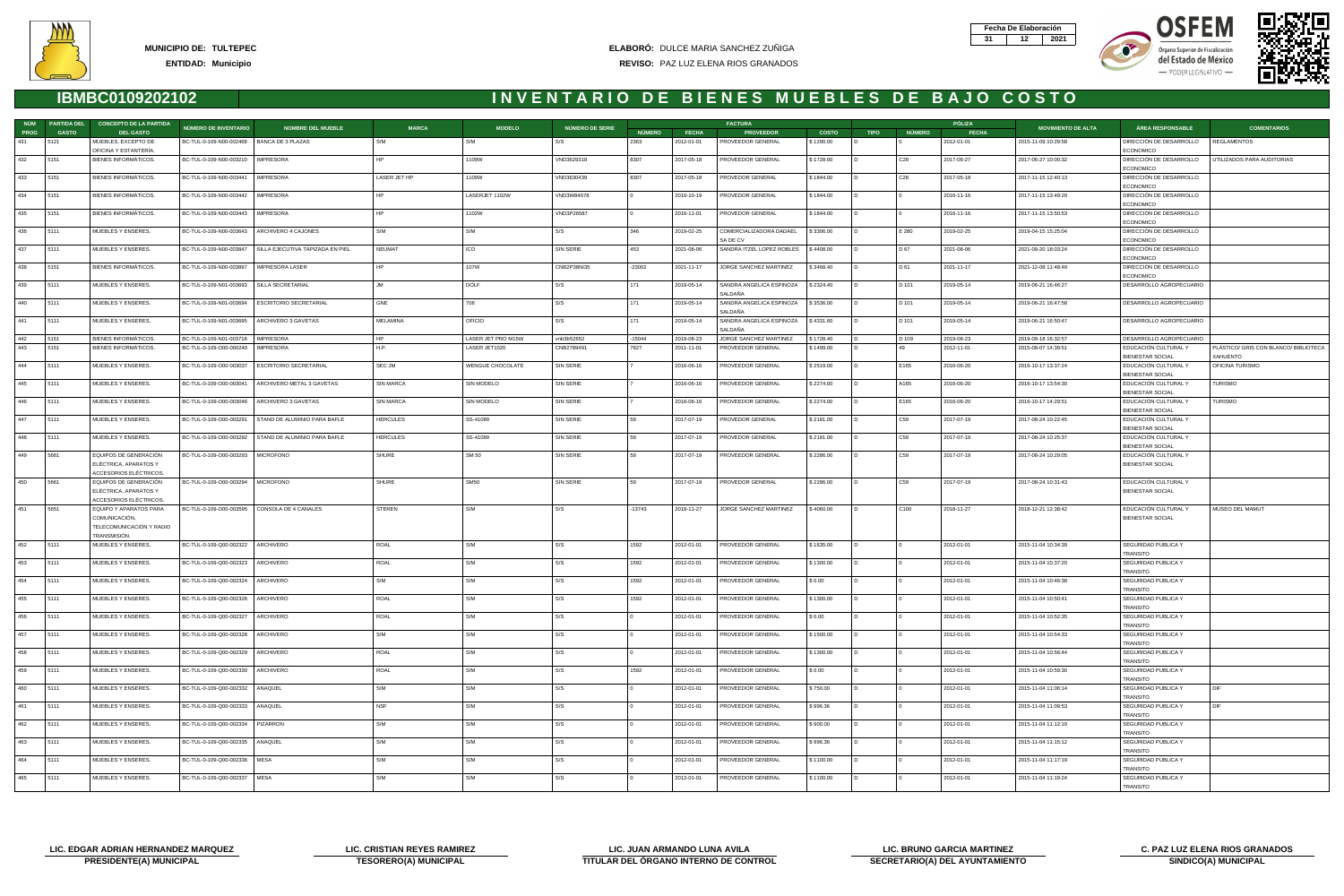







| NÚM         | <b>PARTIDA DEL</b> | <b>CONCEPTO DE LA PARTIDA</b>                                                       |                                             |                                  |                  |                         |                 |               |              | <b>FACTURA</b>                      |              |                |                 | PÓLIZA       |                           |                                                 |                                       |
|-------------|--------------------|-------------------------------------------------------------------------------------|---------------------------------------------|----------------------------------|------------------|-------------------------|-----------------|---------------|--------------|-------------------------------------|--------------|----------------|-----------------|--------------|---------------------------|-------------------------------------------------|---------------------------------------|
| <b>PROG</b> | <b>GASTO</b>       | <b>DEL GASTO</b>                                                                    | <b>NÚMERO DE INVENTARIO</b>                 | <b>NOMBRE DEL MUEBLE</b>         | <b>MARCA</b>     | <b>MODELO</b>           | NÚMERO DE SERIE | <b>NÚMERO</b> | <b>FECHA</b> | <b>PROVEEDOR</b>                    | <b>COSTO</b> | <b>TIPO</b>    | <b>NÚMERO</b>   | <b>FECHA</b> | <b>MOVIMIENTO DE ALTA</b> | <b>ÁREA RESPONSABLE</b>                         | <b>COMENTARIOS</b>                    |
| 431         | 5121               | MUEBLES, EXCEPTO DE<br>OFICINA Y ESTANTERÍA.                                        | BC-TUL-0-109-N00-002468   BANCA DE 3 PLAZAS |                                  | S/M              | S/M                     | S/S             | 2363          | 2012-01-01   | PROVEEDOR GENERAL                   | \$1290.00    |                |                 | 2012-01-01   | 2015-11-09 10:29:58       | DIRECCIÓN DE DESARROLLO<br>ECONOMICO            | <b>REGLAMENTOS</b>                    |
| 432         | 5151               | BIENES INFORMÁTICOS.                                                                | BC-TUL-0-109-N00-003210                     | <b>IMPRESORA</b>                 | HP               | 1109W                   | VND3629318      | 8307          | 2017-05-18   | PROVEEDOR GENERAL                   | \$1728.00    |                | C <sub>28</sub> | 2017-06-27   | 2017-06-27 10:00:32       | DIRECCIÓN DE DESARROLLO<br><b>ECONOMICO</b>     | UTILIZADOS PARA AUDITORIAS            |
| 433         | 5151               | BIENES INFORMATICOS.                                                                | BC-TUL-0-109-N00-003441                     | <b>IMPRESORA</b>                 | LASER JET HP     | 1109W                   | VND3630439      | 8307          | 2017-05-18   | PROVEDOR GENERAL                    | \$1844.00    |                | C <sub>28</sub> | 2017-05-18   | 2017-11-15 12:40:13       | DIRECCIÓN DE DESARROLLO<br>ECONOMICO            |                                       |
| 434         | 5151               | BIENES INFORMÁTICOS.                                                                | BC-TUL-0-109-N00-003442                     | IMPRESORA                        |                  | LASERJET 1102W          | VND3W84678      |               | 2016-10-19   | PROVEDOR GENERAL                    | \$1844.00    |                |                 | 2016-11-16   | 2017-11-15 13:49:29       | DIRECCIÓN DE DESARROLLO<br>ECONOMICO            |                                       |
| 435         | 5151               | BIENES INFORMÁTICOS.                                                                | BC-TUL-0-109-N00-003443                     | <b>IMPRESORA</b>                 | HP               | 1102W                   | VND3P26587      |               | 2016-11-01   | PROVEDOR GENERAL                    | \$1844.00    |                |                 | 2016-11-16   | 2017-11-15 13:50:53       | DIRECCIÓN DE DESARROLLO<br>ECONOMICO            |                                       |
| 436         | 5111               | MUEBLES Y ENSERES.                                                                  | BC-TUL-0-109-N00-003643                     | ARCHIVERO 4 CAJONES              | S/M              | S/M                     | S/S             | 346           | 2019-02-25   | COMERCIALIZADORA DADAEL<br>SA DE CV | \$3306.00    |                | E 280           | 2019-02-25   | 2019-04-15 15:25:04       | DIRECCIÓN DE DESARROLLO<br><b>ECONOMICO</b>     |                                       |
| 437         | 5111               | MUEBLES Y ENSERES.                                                                  | BC-TUL-0-109-N00-003847                     | SILLA EJECUTIVA TAPIZADA EN PIEL | NEUMAT           | <b>ICO</b>              | SIN SERIE       | 453           | 2021-08-06   | SANDRA ITZEL LOPEZ ROBLES           | \$4408.00    |                | D 67            | 2021-08-06   | 2021-09-20 18:03:24       | DIRECCIÓN DE DESARROLLO<br>ECONOMICO            |                                       |
| 438         | 5151               | BIENES INFORMÁTICOS.                                                                | BC-TUL-0-109-N00-003897                     | IMPRESORA LASER                  | HP.              | 107W                    | CNB2P38NI35     | $-23002$      | 2021-11-17   | JORGE SANCHEZ MARTINEZ              | \$3468.40    |                | D 61            | 2021-11-17   | 2021-12-08 11:48:49       | DIRECCIÓN DE DESARROLLO<br>ECONOMICO            |                                       |
| 439         | 5111               | MUEBLES Y ENSERES.                                                                  | BC-TUL-0-109-N01-003693                     | SILLA SECRETARIAL                | <b>JM</b>        | <b>DOLF</b>             | S/S             | 171           | 2019-05-14   | SANDRA ANGELICA ESPINOZA<br>SALDAÑA | \$2324.40    |                | D 101           | 2019-05-14   | 2019-06-21 16:46:27       | DESARROLLO AGROPECUARIO                         |                                       |
| 440         | 5111               | MUEBLES Y ENSERES.                                                                  | BC-TUL-0-109-N01-003694                     | <b>ESCRITORIO SECRETARIAL</b>    | GNE              | 706                     | S/S             | 171           | 2019-05-14   | SANDRA ANGELICA ESPINOZA<br>SALDAÑA | \$3536.00    |                | D 101           | 2019-05-14   | 2019-06-21 16:47:58       | DESARROLLO AGROPECUARIO                         |                                       |
| 441         | 5111               | MUEBLES Y ENSERES.                                                                  | BC-TUL-0-109-N01-003695                     | ARCHIVERO 3 GAVETAS              | MELAMINA         | <b>OFICIO</b>           | S/S             | 171           | 2019-05-14   | SANDRA ANGELICA ESPINOZA<br>SALDAÑA | \$4331.60    |                | D 101           | 2019-05-14   | 2019-06-21 16:50:47       | DESARROLLO AGROPECUARIO                         |                                       |
| 442         | 5151               | <b>BIENES INFORMATICOS</b>                                                          | BC-TUL-0-109-N01-003718                     | <b>IMPRESORA</b>                 | HP               | LASER JET PRO M15W      | vnb3b52652      | $-15044$      | 2019-08-23   | JORGE SANCHEZ MARTINEZ              | \$1728.40    |                | D 109           | 2019-08-23   | 2019-09-18 16:32:57       | DESARROLLO AGROPECUARIO                         |                                       |
| 443         | 5151               | <b>BIENES INFORMÁTICOS</b>                                                          | BC-TUL-0-109-O00-000240                     | IMPRESORA                        | H.P.             | LASER JET1020           | CNB2789491      | 7827          | 2011-11-01   | PROVEEDOR GENERAL                   | \$1499.00    |                | 49              | 2012-11-01   | 2015-08-07 14:39:51       | EDUCACIÓN CULTURAL Y                            | PLÁSTICO/ GRIS CON BLANCO/ BIBLIOTECA |
| 444         | 5111               | MUEBLES Y ENSERES.                                                                  | BC-TUL-0-109-O00-003037                     | <b>ESCRITORIO SECRETARIAL</b>    | SEC JM           | <b>WENGUE CHOCOLATE</b> | SIN SERIE       |               | 2016-06-16   | PROVEEDOR GENERAL                   | \$2519.00    |                | E165            | 2016-06-20   | 2016-10-17 13:37:24       | <b>BIENESTAR SOCIAL</b><br>EDUCACIÓN CULTURAL Y | XAHUENTO<br>OFICINA TURISMO           |
| 445         | 5111               | MUEBLES Y ENSERES.                                                                  | BC-TUL-0-109-O00-003041                     | ARCHIVERO METAL 3 GAVETAS        | <b>SIN MARCA</b> | SIN MODELO              | SIN SERIE       |               | 2016-06-16   | PROVEEDOR GENERAL                   | \$2274.00    |                | A165            | 2016-06-20   | 2016-10-17 13:54:30       | BIENESTAR SOCIAL<br>EDUCACIÓN CULTURAL Y        | <b>TURISMO</b>                        |
|             |                    |                                                                                     |                                             |                                  |                  |                         |                 |               |              |                                     |              |                |                 |              |                           | <b>BIENESTAR SOCIAL</b>                         |                                       |
| 446         | 5111               | MUEBLES Y ENSERES.                                                                  | BC-TUL-0-109-O00-003046                     | ARCHIVERO 3 GAVETAS              | SIN MARCA        | SIN MODELO              | SIN SERIE       |               | 2016-06-16   | PROVEEDOR GENERAL                   | \$2274.00    |                | E165            | 2016-06-20   | 2016-10-17 14:29:51       | EDUCACIÓN CULTURAL Y<br><b>BIENESTAR SOCIAL</b> | <b>TURISMO</b>                        |
| 447         | 5111               | MUEBLES Y ENSERES.                                                                  | BC-TUL-0-109-O00-003291                     | STAND DE ALUMINIO PARA BAFLE     | HERCULES         | SS-41089                | SIN SERIE       | 59            | 2017-07-19   | PROVEDOR GENERAL                    | \$2181.00    |                | C59             | 2017-07-19   | 2017-08-24 10:22:45       | EDUCACIÓN CULTURAL Y<br>BIENESTAR SOCIAL        |                                       |
| 448         | 5111               | MUEBLES Y ENSERES.                                                                  | BC-TUL-0-109-O00-003292                     | STAND DE ALUMINIO PARA BAFLE     | HERCULES         | SS-41089                | SIN SERIE       | 59            | 2017-07-19   | PROVEDOR GENERAL                    | \$2181.00    |                | C59             | 2017-07-19   | 2017-08-24 10:25:37       | EDUCACIÓN CULTURAL Y<br><b>BIENESTAR SOCIAL</b> |                                       |
| 449         | 5661               | EQUIPOS DE GENERACIÓN<br>ELÉCTRICA, APARATOS Y<br>ACCESORIOS ELÉCTRICOS.            | BC-TUL-0-109-O00-003293                     | <b>MICROFONO</b>                 | SHURE            | SM 50                   | SIN SERIE       | 59            | 2017-07-19   | PROVEEDOR GENERAL                   | \$2286.00    |                | C59             | 2017-07-19   | 2017-08-24 10:29:05       | EDUCACIÓN CULTURAL Y<br><b>BIENESTAR SOCIAL</b> |                                       |
| 450         | 5661               | EQUIPOS DE GENERACIÓN<br>ELÉCTRICA, APARATOS Y<br>ACCESORIOS ELÉCTRICOS             | BC-TUL-0-109-O00-003294   MICROFONO         |                                  | SHURE            | <b>SM50</b>             | SIN SERIE       | 59            | 2017-07-19   | PROVEDOR GENERAL                    | \$2286.00    |                | C59             | 2017-07-19   | 2017-08-24 10:31:43       | EDUCACIÓN CULTURAL Y<br>BIENESTAR SOCIAL        |                                       |
| 451         | 5651               | EQUIPO Y APARATOS PARA<br>COMUNICACIÓN,<br>TELECOMUNICACIÓN Y RADIO<br>TRANSMISIÓN. | BC-TUL-0-109-O00-003595                     | CONSOLA DE 4 CANALES             | STEREN           | S/M                     | S/S             | -13743        | 2018-11-27   | JORGE SANCHEZ MARTINEZ              | \$4060.00    |                | C100            | 2018-11-27   | 2018-12-21 12:38:42       | EDUCACIÓN CULTURAL Y<br>BIENESTAR SOCIAL        | MUSEO DEL MAMUT                       |
| 452         | 5111               | MUEBLES Y ENSERES.                                                                  | BC-TUL-0-109-Q00-002322   ARCHIVERO         |                                  | ROAL             | S/M                     | S/S             | 1592          | 2012-01-01   | PROVEEDOR GENERAL                   | \$1635.00    | $\overline{D}$ | $\Omega$        | 2012-01-01   | 2015-11-04 10:34:39       | SEGURIDAD PUBLICA Y                             |                                       |
| 453         | 5111               | MUEBLES Y ENSERES.                                                                  | BC-TUL-0-109-Q00-002323                     | ARCHIVERO                        | ROAL             | S/M                     | S/S             | 1592          | 2012-01-01   | PROVEEDOR GENERAL                   | \$1300.00    |                |                 | 2012-01-01   | 2015-11-04 10:37:20       | TRANSITO<br>SEGURIDAD PUBLICA Y                 |                                       |
| 454         | 5111               | MUEBLES Y ENSERES.                                                                  | BC-TUL-0-109-Q00-002324                     | ARCHIVERO                        | S/M              | S/M                     | S/S             | 1592          | 2012-01-01   | PROVEEDOR GENERAL                   | \$0.00       |                |                 | 2012-01-01   | 2015-11-04 10:46:38       | TRANSITO<br>SEGURIDAD PUBLICA Y                 |                                       |
| 455         | 5111               | MUEBLES Y ENSERES.                                                                  | BC-TUL-0-109-Q00-002326                     | ARCHIVERO                        | ROAL             | S/M                     | S/S             | 1592          | 2012-01-01   | PROVEEDOR GENERAL                   | \$1300.00    |                |                 | 2012-01-01   | 2015-11-04 10:50:41       | TRANSITO<br>SEGURIDAD PUBLICA Y                 |                                       |
| 456         | 5111               | MUEBLES Y ENSERES.                                                                  | BC-TUL-0-109-Q00-002327                     | ARCHIVERO                        | ROAL             | S/M                     | S/S             |               | 2012-01-01   | PROVEEDOR GENERAL                   | \$0.00       |                |                 | 2012-01-01   | 2015-11-04 10:52:35       | TRANSITO<br>SEGURIDAD PUBLICA Y                 |                                       |
| 457         | 5111               | MUEBLES Y ENSERES.                                                                  | BC-TUL-0-109-Q00-002328                     | ARCHIVERO                        | S/M              | S/M                     | S/S             |               | 2012-01-01   | PROVEEDOR GENERAL                   | \$1500.00    |                |                 | 2012-01-01   | 2015-11-04 10:54:33       | <b>TRANSITO</b><br>SEGURIDAD PUBLICA Y          |                                       |
| 458         | 5111               | MUEBLES Y ENSERES.                                                                  | BC-TUL-0-109-Q00-002329                     | ARCHIVERO                        | ROAL             | S/M                     | S/S             |               | 2012-01-01   | PROVEEDOR GENERAL                   | \$1300.00    |                |                 | 2012-01-01   | 2015-11-04 10:56:44       | TRANSITO<br>SEGURIDAD PUBLICA Y                 |                                       |
| 459         | 5111               | MUEBLES Y ENSERES.                                                                  | BC-TUL-0-109-Q00-002330                     | ARCHIVERO                        | ROAL             | S/M                     | S/S             | 1592          | 2012-01-01   | PROVEEDOR GENERAL                   | \$0.00       |                |                 | 2012-01-01   | 2015-11-04 10:59:30       | <b>TRANSITO</b><br>SEGURIDAD PUBLICA Y          |                                       |
| 460         | 5111               | MUEBLES Y ENSERES.                                                                  | BC-TUL-0-109-Q00-002332                     | ANAQUEL                          | S/M              | S/M                     | S/S             |               | 2012-01-01   | PROVEEDOR GENERAL                   | \$750.00     |                |                 | 2012-01-01   | 2015-11-04 11:06:14       | TRANSITO<br>SEGURIDAD PUBLICA Y                 | DIF                                   |
| 461         | 5111               | MUEBLES Y ENSERES.                                                                  |                                             | ANAQUEL                          | <b>NSF</b>       |                         | S/S             |               |              |                                     |              |                |                 |              |                           | TRANSITO                                        | DIF                                   |
|             |                    |                                                                                     | BC-TUL-0-109-Q00-002333                     |                                  |                  | S/M                     |                 |               | 2012-01-01   | PROVEEDOR GENERAL                   | \$996.36     |                |                 | 2012-01-01   | 2015-11-04 11:09:53       | SEGURIDAD PUBLICA Y<br>TRANSITO                 |                                       |
| 462         | 5111               | MUEBLES Y ENSERES.                                                                  | BC-TUL-0-109-Q00-002334                     | PIZARRON                         | S/M              | S/M                     | S/S             |               | 2012-01-01   | PROVEEDOR GENERAL                   | \$900.00     |                |                 | 2012-01-01   | 2015-11-04 11:12:19       | SEGURIDAD PUBLICA Y<br><b>TRANSITO</b>          |                                       |
| 463         | 5111               | MUEBLES Y ENSERES.                                                                  | BC-TUL-0-109-Q00-002335 ANAQUEL             |                                  | S/M              | S/M                     | S/S             |               | 2012-01-01   | PROVEEDOR GENERAL                   | \$996.36     |                |                 | 2012-01-01   | 2015-11-04 11:15:12       | SEGURIDAD PUBLICA Y<br>TRANSITO                 |                                       |
| 464         | 5111               | MUEBLES Y ENSERES.                                                                  | BC-TUL-0-109-Q00-002336   MESA              |                                  | S/M              | S/M                     | S/S             |               | 2012-01-01   | PROVEEDOR GENERAL                   | \$1100.00    |                |                 | 2012-01-01   | 2015-11-04 11:17:19       | SEGURIDAD PUBLICA Y<br>TRANSITO                 |                                       |
| 465         | 5111               | MUEBLES Y ENSERES.                                                                  | BC-TUL-0-109-Q00-002337                     | <b>MESA</b>                      | S/M              | S/M                     | S/S             |               | 2012-01-01   | PROVEEDOR GENERAL                   | \$1100.00    |                |                 | 2012-01-01   | 2015-11-04 11:19:24       | SEGURIDAD PUBLICA Y<br>TRANSITO                 |                                       |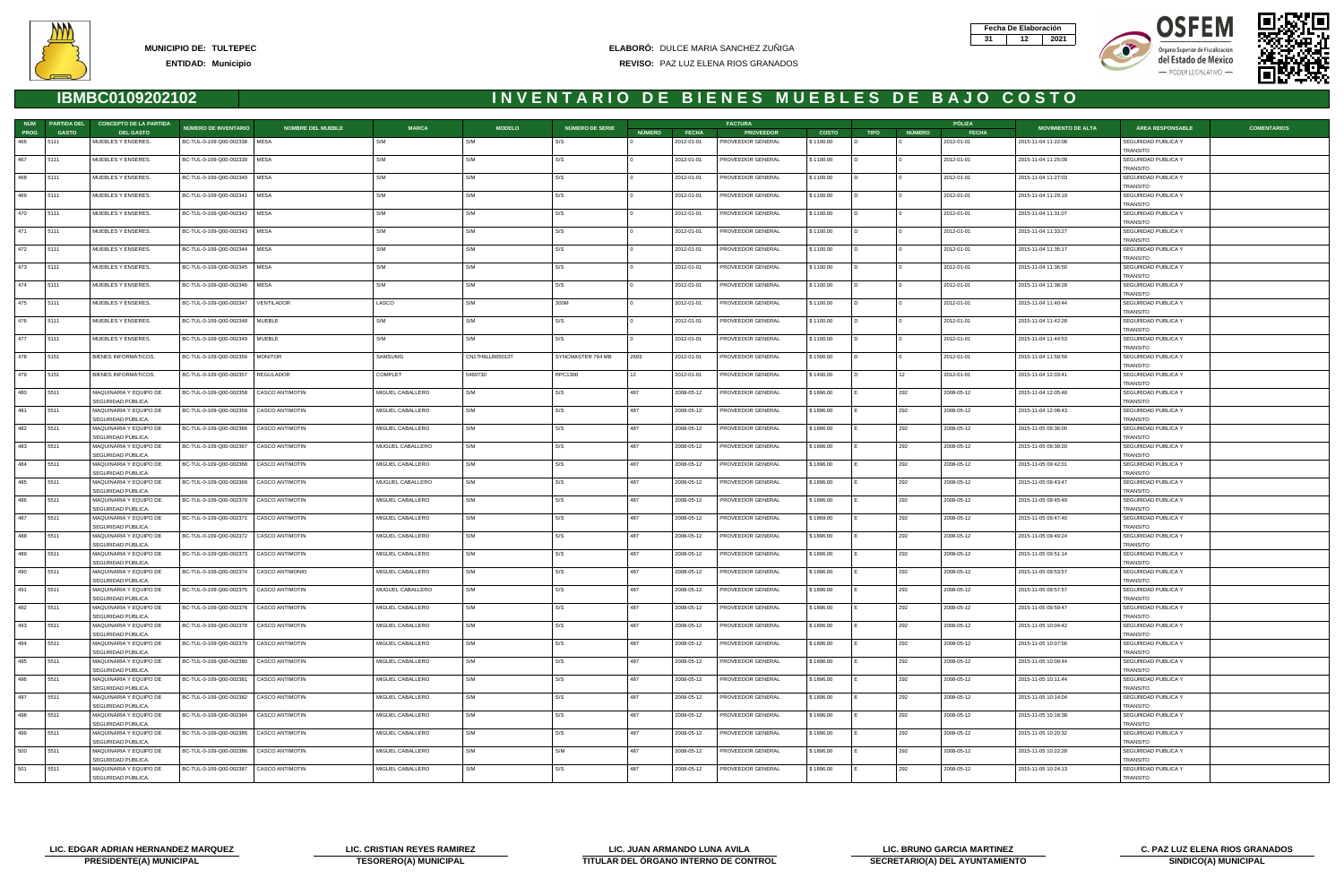







|      | NÚM PARTIDA DEL | <b>CONCEPTO DE LA PARTIDA</b>                |                                                   |                  |                 |                   |               |              | <b>FACTURA</b>           |              |             |        | PÓLIZA       |                           |                                        |                    |
|------|-----------------|----------------------------------------------|---------------------------------------------------|------------------|-----------------|-------------------|---------------|--------------|--------------------------|--------------|-------------|--------|--------------|---------------------------|----------------------------------------|--------------------|
| PROG | <b>GASTO</b>    | <b>DEL GASTO</b>                             | NÚMERO DE INVENTARIO<br><b>NOMBRE DEL MUEBLE</b>  | <b>MARCA</b>     | <b>MODELO</b>   | NÚMERO DE SERIE   | <b>NÚMERO</b> | <b>FECHA</b> | <b>PROVEEDOR</b>         | <b>COSTO</b> | <b>TIPO</b> | NÚMERO | <b>FECHA</b> | <b>MOVIMIENTO DE ALTA</b> | ÁREA RESPONSABLE                       | <b>COMENTARIOS</b> |
| 466  | 15111           | MUEBLES Y ENSERES.                           | BC-TUL-0-109-Q00-002338   MESA                    | S/M              | S/M             | S/S               |               | 2012-01-01   | PROVEEDOR GENERAL        | \$1100.00    |             |        | 2012-01-01   | 2015-11-04 11:22:08       | SEGURIDAD PUBLICA Y<br>TRANSITO        |                    |
| 467  | 5111            | MUEBLES Y ENSERES.                           | BC-TUL-0-109-Q00-002339   MESA                    | S/M              | S/M             | S/S               |               | 2012-01-01   | PROVEEDOR GENERAL        | \$1100.00    |             |        | 2012-01-01   | 2015-11-04 11:25:09       | SEGURIDAD PUBLICA Y<br><b>TRANSITO</b> |                    |
| 468  | 5111            | MUEBLES Y ENSERES.                           | BC-TUL-0-109-Q00-002340<br>MESA                   | S/M              | S/M             | S/S               |               | 2012-01-01   | PROVEEDOR GENERAL        | \$1100.00    |             |        | 2012-01-01   | 2015-11-04 11:27:03       | SEGURIDAD PUBLICA Y<br><b>TRANSITO</b> |                    |
| 469  | 5111            | MUEBLES Y ENSERES.                           | BC-TUL-0-109-Q00-002341<br>  MESA                 | S/M              | S/M             | S/S               |               | 2012-01-01   | PROVEEDOR GENERAL        | \$1100.00    |             |        | 2012-01-01   | 2015-11-04 11:29:19       | SEGURIDAD PUBLICA Y<br>TRANSITO        |                    |
| 470  | 5111            | MUEBLES Y ENSERES.                           | BC-TUL-0-109-Q00-002342   MESA                    | S/M              | S/M             | S/S               |               | 2012-01-01   | PROVEEDOR GENERAL        | \$1100.00    |             |        | 2012-01-01   | 2015-11-04 11:31:07       | SEGURIDAD PUBLICA Y<br>TRANSITO        |                    |
| 471  | 5111            | MUEBLES Y ENSERES.                           | BC-TUL-0-109-Q00-002343<br>  MESA                 | S/M              | S/M             | S/S               |               | 2012-01-01   | PROVEEDOR GENERAL        | \$1100.00    |             |        | 2012-01-01   | 2015-11-04 11:33:27       | SEGURIDAD PUBLICA Y<br>TRANSITO        |                    |
| 472  | 5111            | MUEBLES Y ENSERES.                           | BC-TUL-0-109-Q00-002344   MESA                    | S/M              | S/M             | S/S               |               | 2012-01-01   | PROVEEDOR GENERAL        | \$1100.00    |             |        | 2012-01-01   | 2015-11-04 11:35:17       | SEGURIDAD PUBLICA Y<br>TRANSITO        |                    |
| 473  | 5111            | MUEBLES Y ENSERES.                           | BC-TUL-0-109-Q00-002345   MESA                    | S/M              | S/M             | S/S               |               | 2012-01-01   | PROVEEDOR GENERAL        | \$1100.00    |             |        | 2012-01-01   | 2015-11-04 11:36:50       | SEGURIDAD PUBLICA Y<br><b>TRANSITO</b> |                    |
| 474  | 5111            | MUEBLES Y ENSERES.                           | BC-TUL-0-109-Q00-002346<br>MESA                   | S/M              | S/M             | S/S               |               | 2012-01-01   | PROVEEDOR GENERAL        | \$1100.00    |             |        | 2012-01-01   | 2015-11-04 11:38:28       | SEGURIDAD PUBLICA Y                    |                    |
| 475  | 5111            | MUEBLES Y ENSERES.                           | BC-TUL-0-109-Q00-002347<br>VENTILADOR             | LASCO            | S/M             | 300M              |               | 2012-01-01   | PROVEEDOR GENERAL        | \$1100.00    |             |        | 2012-01-01   | 2015-11-04 11:40:44       | TRANSITO<br>SEGURIDAD PUBLICA Y        |                    |
| 476  | 5111            | MUEBLES Y ENSERES.                           | BC-TUL-0-109-Q00-002348   MUEBLE                  | S/M              | S/M             | S/S               |               | 2012-01-01   | PROVEEDOR GENERAL        | \$1100.00    |             |        | 2012-01-01   | 2015-11-04 11:42:28       | TRANSITO<br>SEGURIDAD PUBLICA Y        |                    |
| 477  | 5111            | MUEBLES Y ENSERES.                           | BC-TUL-0-109-Q00-002349<br>MUEBLE                 | S/M              | S/M             | S/S               |               | 2012-01-01   | PROVEEDOR GENERAL        | \$1100.00    |             |        | 2012-01-01   | 2015-11-04 11:44:53       | TRANSITO<br>SEGURIDAD PUBLICA Y        |                    |
| 478  | 5151            | BIENES INFORMÁTICOS.                         | BC-TUL-0-109-Q00-002356<br><b>MONITOR</b>         | SAMSUMG          | CN17H9LLB05013T | SYNCMASTER 794 MB | 2693          | 2012-01-01   | PROVEEDOR GENERAL        | \$1500.00    |             |        | 2012-01-01   | 2015-11-04 11:59:59       | TRANSITO<br>SEGURIDAD PUBLICA Y        |                    |
| 479  | 5151            | BIENES INFORMÁTICOS.                         | BC-TUL-0-109-Q00-002357   REGULADOR               | COMPLET          | 5460730         | RPC1300           | $\vert$ 12    | 2012-01-01   | PROVEEDOR GENERAL        | \$1400.00    |             | 12     | 2012-01-01   | 2015-11-04 12:03:41       | <b>TRANSITO</b><br>SEGURIDAD PUBLICA Y |                    |
| 480  | 5511            | MAQUINARIA Y EQUIPO DE                       | BC-TUL-0-109-Q00-002358<br>CASCO ANTIMOTIN        | MIGUEL CABALLERO | S/M             | S/S               | 487           | 2008-05-12   | PROVEEDOR GENERAL        | \$1896.00    |             | 292    | 2008-05-12   | 2015-11-04 12:05:48       | TRANSITO<br>SEGURIDAD PUBLICA Y        |                    |
| 481  | 5511            | SEGURIDAD PÚBLICA.<br>MAQUINARIA Y EQUIPO DE | BC-TUL-0-109-Q00-002359<br><b>CASCO ANTIMOTIN</b> | MIGUEL CABALLERO | S/M             | S/S               | 487           | 2008-05-12   | PROVEEDOR GENERAL        | \$1896.00    |             | 292    | 2008-05-12   | 2015-11-04 12:08:43       | <b>TRANSITO</b><br>SEGURIDAD PUBLICA Y |                    |
| 482  | 5511            | SEGURIDAD PÚBLICA.<br>MAQUINARIA Y EQUIPO DE | BC-TUL-0-109-Q00-002366   CASCO ANTIMOTIN         | MIGUEL CABALLERO | S/M             | S/S               | 487           | 2008-05-12   | PROVEEDOR GENERAL        | \$1896.00    |             | 292    | 2008-05-12   | 2015-11-05 09:36:00       | TRANSITO<br>SEGURIDAD PUBLICA Y        |                    |
| 483  | 5511            | SEGURIDAD PÚBLICA.<br>MAQUINARIA Y EQUIPO DE | BC-TUL-0-109-Q00-002367<br>CASCO ANTIMOTIN        | MUGUEL CABALLERO | S/M             | S/S               | 487           | 2008-05-12   | PROVEEDOR GENERAL        | \$1896.00    |             | 292    | 2008-05-12   | 2015-11-05 09:39:20       | <b>TRANSITO</b><br>SEGURIDAD PUBLICA Y |                    |
| 484  | 5511            | SEGURIDAD PÚBLICA.<br>MAQUINARIA Y EQUIPO DE | BC-TUL-0-109-Q00-002368<br>CASCO ANTIMOTIN        | MIGUEL CABALLERO | S/M             | S/S               | 487           | 2008-05-12   | PROVEEDOR GENERAL        | \$1896.00    |             | 292    | 2008-05-12   | 2015-11-05 09:42:01       | TRANSITO<br>SEGURIDAD PUBLICA Y        |                    |
| 485  | 5511            | SEGURIDAD PÚBLICA.<br>MAQUINARIA Y EQUIPO DE | BC-TUL-0-109-Q00-002369   CASCO ANTIMOTIN         | MUGUEL CABALLERO | S/M             | S/S               | 487           | 2008-05-12   | PROVEEDOR GENERAL        | \$1896.00    |             | 292    | 2008-05-12   | 2015-11-05 09:43:47       | <b>TRANSITO</b><br>SEGURIDAD PUBLICA Y |                    |
| 486  | 5511            | SEGURIDAD PÚBLICA.<br>MAQUINARIA Y EQUIPO DE | BC-TUL-0-109-Q00-002370<br>CASCO ANTIMOTIN        | MIGUEL CABALLERO | S/M             | S/S               | 487           | 2008-05-12   | PROVEEDOR GENERAL        | \$1896.00    |             | 292    | 2008-05-12   | 2015-11-05 09:45:49       | <b>TRANSITO</b><br>SEGURIDAD PUBLICA Y |                    |
| 487  | 5511            | SEGURIDAD PÚBLICA.<br>MAQUINARIA Y EQUIPO DE | BC-TUL-0-109-Q00-002371<br>CASCO ANTIMOTIN        | MIGUEL CABALLERO | S/M             | S/S               | 487           | 2008-05-12   | PROVEEDOR GENERAL        | \$1869.00    |             | 292    | 2008-05-12   | 2015-11-05 09:47:40       | TRANSITO<br>SEGURIDAD PUBLICA Y        |                    |
| 488  | 5511            | SEGURIDAD PÚBLICA.<br>MAQUINARIA Y EQUIPO DE | BC-TUL-0-109-Q00-002372<br>CASCO ANTIMOTIN        | MIGUEL CABALLERO | S/M             | S/S               | 487           | 2008-05-12   | PROVEEDOR GENERAL        | \$1896.00    |             | 292    | 2008-05-12   | 2015-11-05 09:49:24       | <b>TRANSITO</b><br>SEGURIDAD PUBLICA Y |                    |
| 489  | 5511            | SEGURIDAD PÚBLICA.<br>MAQUINARIA Y EQUIPO DE | BC-TUL-0-109-Q00-002373<br>CASCO ANTIMOTIN        |                  | S/M             | S/S               | 487           |              |                          |              |             | 292    | 2008-05-12   | 2015-11-05 09:51:14       | TRANSITO                               |                    |
|      |                 | SEGURIDAD PÚBLICA.                           |                                                   | MIGUEL CABALLERO |                 |                   |               | 2008-05-12   | PROVEEDOR GENERAL        | \$1896.00    |             |        |              |                           | SEGURIDAD PUBLICA Y<br>TRANSITO        |                    |
| 490  | 5511            | MAQUINARIA Y EQUIPO DE<br>SEGURIDAD PÚBLICA. | BC-TUL-0-109-Q00-002374<br>CASCO ANTIMONIO        | MIGUEL CABALLERO | S/M             | S/S               | 487           | 2008-05-12   | PROVEEDOR GENERAL        | \$1896.00    |             | 292    | 2008-05-12   | 2015-11-05 09:53:57       | SEGURIDAD PUBLICA Y<br><b>TRANSITO</b> |                    |
| 491  | 5511            | MAQUINARIA Y EQUIPO DE<br>SEGURIDAD PÚBLICA. | BC-TUL-0-109-Q00-002375   CASCO ANTIMOTIN         | MUGUEL CABALLERO | l S/M           | S/S               |               | 2008-05-12   | <b>PROVEEDOR GENERAL</b> | \$1896.00    |             |        | 2008-05-12   | 2015-11-05 09:57:57       | SEGURIDAD PUBLICA Y<br>TRANSITO        |                    |
| 492  | 5511            | MAQUINARIA Y EQUIPO DE<br>SEGURIDAD PÚBLICA. | BC-TUL-0-109-Q00-002376   CASCO ANTIMOTIN         | MIGUEL CABALLERO | S/M             | S/S               | 487           | 2008-05-12   | PROVEEDOR GENERAL        | \$1896.00    |             | 292    | 2008-05-12   | 2015-11-05 09:59:47       | SEGURIDAD PUBLICA Y<br><b>TRANSITO</b> |                    |
| 493  | 5511            | MAQUINARIA Y EQUIPO DE<br>SEGURIDAD PÚBLICA. | BC-TUL-0-109-Q00-002378<br>CASCO ANTIMOTIN        | MIGUEL CABALLERO | S/M             | S/S               | 487           | 2008-05-12   | PROVEEDOR GENERAL        | \$1896.00    |             | 292    | 2008-05-12   | 2015-11-05 10:04:42       | SEGURIDAD PUBLICA Y<br>TRANSITO        |                    |
| 494  | 5511            | MAQUINARIA Y EQUIPO DE<br>SEGURIDAD PÚBLICA. | BC-TUL-0-109-Q00-002379   CASCO ANTIMOTIN         | MIGUEL CABALLERO | S/M             | S/S               | 487           | 2008-05-12   | PROVEEDOR GENERAL        | \$1896.00    |             | 292    | 2008-05-12   | 2015-11-05 10:07:56       | SEGURIDAD PUBLICA Y<br>TRANSITO        |                    |
| 495  | 5511            | MAQUINARIA Y EQUIPO DE<br>SEGURIDAD PÚBLICA. | BC-TUL-0-109-Q00-002380   CASCO ANTIMOTIN         | MIGUEL CABALLERO | S/M             | S/S               | 487           | 2008-05-12   | PROVEEDOR GENERAL        | \$1896.00    |             | 292    | 2008-05-12   | 2015-11-05 10:09:44       | SEGURIDAD PUBLICA Y<br><b>TRANSITO</b> |                    |
| 496  | 5511            | MAQUINARIA Y EQUIPO DE<br>SEGURIDAD PÚBLICA. | BC-TUL-0-109-Q00-002381<br>CASCO ANTIMOTIN        | MIGUEL CABALLERO | S/M             | S/S               | 487           | 2008-05-12   | PROVEEDOR GENERAL        | \$1896.00    |             | 292    | 2008-05-12   | 2015-11-05 10:11:44       | SEGURIDAD PUBLICA Y<br>TRANSITO        |                    |
| 497  | 5511            | MAQUINARIA Y EQUIPO DE<br>SEGURIDAD PÚBLICA. | BC-TUL-0-109-Q00-002382   CASCO ANTIMOTIN         | MIGUEL CABALLERO | S/M             | S/S               | 487           | 2008-05-12   | PROVEEDOR GENERAL        | \$1896.00    |             | 292    | 2008-05-12   | 2015-11-05 10:14:04       | SEGURIDAD PUBLICA Y<br>TRANSITO        |                    |
| 498  | 5511            | MAQUINARIA Y EQUIPO DE<br>SEGURIDAD PÚBLICA. | BC-TUL-0-109-Q00-002384   CASCO ANTIMOTIN         | MIGUEL CABALLERO | S/M             | S/S               | 487           | 2008-05-12   | PROVEEDOR GENERAL        | \$1896.00    |             | 292    | 2008-05-12   | 2015-11-05 10:18:38       | SEGURIDAD PUBLICA Y<br>TRANSITO        |                    |
| 499  | 5511            | MAQUINARIA Y EQUIPO DE<br>SEGURIDAD PÚBLICA. | CASCO ANTIMOTIN<br>BC-TUL-0-109-Q00-002385        | MIGUEL CABALLERO | S/M             | S/S               | 487           | 2008-05-12   | PROVEEDOR GENERAL        | \$1896.00    |             | 292    | 2008-05-12   | 2015-11-05 10:20:32       | SEGURIDAD PUBLICA Y<br>TRANSITO        |                    |
| 500  | 5511            | MAQUINARIA Y EQUIPO DE<br>SEGURIDAD PÚBLICA. | BC-TUL-0-109-Q00-002386   CASCO ANTIMOTIN         | MIGUEL CABALLERO | S/M             | S/M               | 487           | 2008-05-12   | PROVEEDOR GENERAL        | \$1896.00    |             | 292    | 2008-05-12   | 2015-11-05 10:22:28       | SEGURIDAD PUBLICA Y<br>TRANSITO        |                    |
| 501  | 5511            | MAQUINARIA Y EQUIPO DE<br>SEGURIDAD PÚBLICA. | BC-TUL-0-109-Q00-002387<br>CASCO ANTIMOTIN        | MIGUEL CABALLERO | S/M             | S/S               | 487           | 2008-05-12   | PROVEEDOR GENERAL        | \$1896.00    |             | 292    | 2008-05-12   | 2015-11-05 10:24:13       | SEGURIDAD PUBLICA Y<br>TRANSITO        |                    |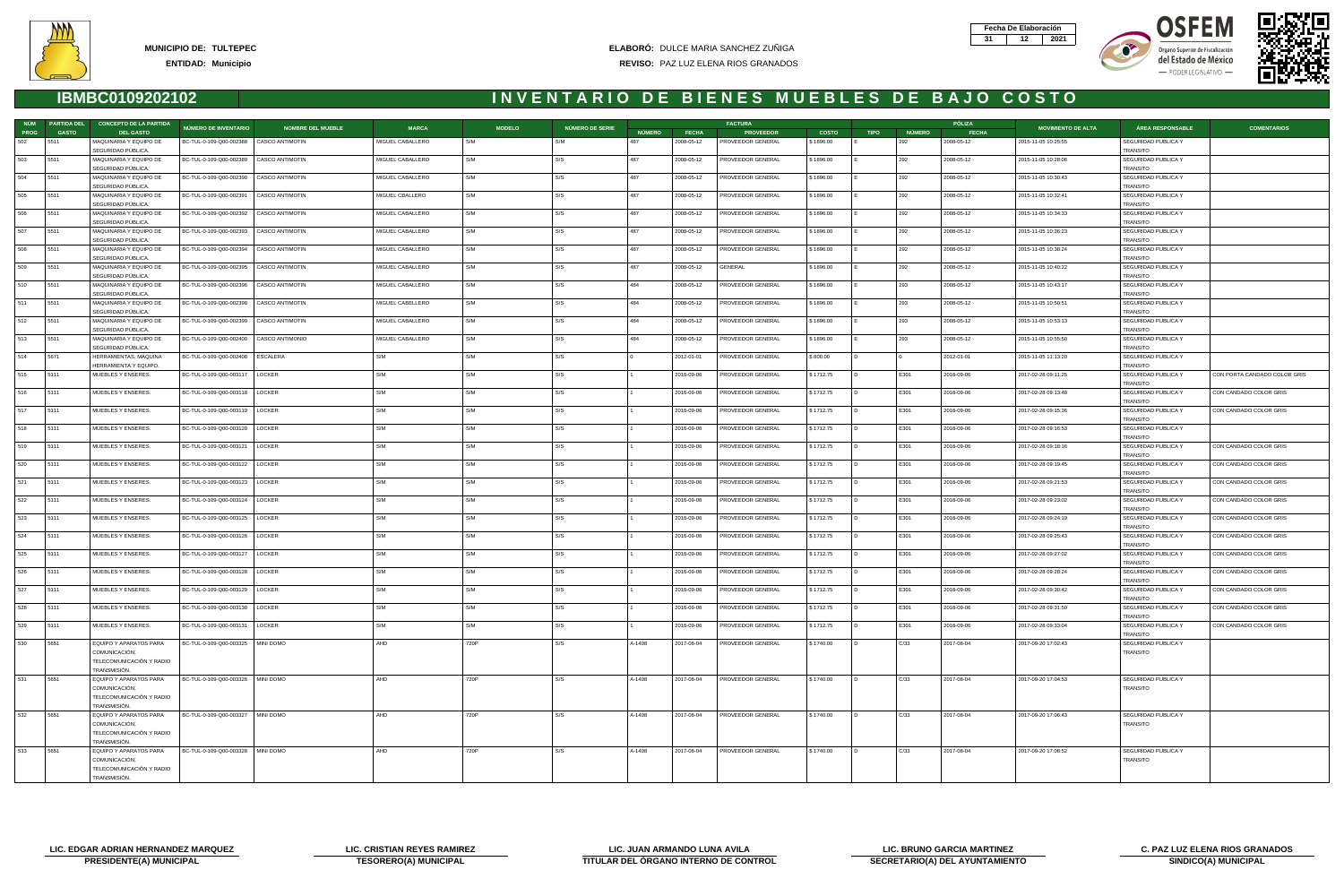



- PODER LEGISLATIVO -





|             | NÚM PARTIDA DEL | <b>CONCEPTO DE LA PARTIDA</b>                                                       |                                           |                          |                  |               |                 |               |              | <b>FACTURA</b>           |              |             |               | PÓLIZA       |                           |                                        |                              |
|-------------|-----------------|-------------------------------------------------------------------------------------|-------------------------------------------|--------------------------|------------------|---------------|-----------------|---------------|--------------|--------------------------|--------------|-------------|---------------|--------------|---------------------------|----------------------------------------|------------------------------|
| <b>PROG</b> | <b>GASTO</b>    | <b>DEL GASTO</b>                                                                    | NÚMERO DE INVENTARIO                      | <b>NOMBRE DEL MUEBLE</b> | <b>MARCA</b>     | <b>MODELO</b> | NÚMERO DE SERIE | <b>NÚMERO</b> | <b>FECHA</b> | <b>PROVEEDOR</b>         | <b>COSTO</b> | <b>TIPO</b> | <b>NÚMERO</b> | <b>FECHA</b> | <b>MOVIMIENTO DE ALTA</b> | <b>ÁREA RESPONSABLE</b>                | <b>COMENTARIOS</b>           |
| 502         | 5511            | MAQUINARIA Y EQUIPO DE<br>SEGURIDAD PÚBLICA.                                        | BC-TUL-0-109-Q00-002388   CASCO ANTIMOTIN |                          | MIGUEL CABALLERO | S/M           | S/M             | 487           | 2008-05-12   | PROVEEDOR GENERAL        | \$1896.00    |             | 292           | 2008-05-12   | 2015-11-05 10:25:55       | SEGURIDAD PUBLICA Y<br>TRANSITO        |                              |
| 503         | 5511            | MAQUINARIA Y EQUIPO DE<br>SEGURIDAD PÚBLICA.                                        | BC-TUL-0-109-Q00-002389                   | CASCO ANTIMOTIN          | MIGUEL CABALLERO | S/M           | S/S             | 487           | 2008-05-12   | PROVEEDOR GENERAL        | \$1896.00    |             | 292           | 2008-05-12   | 2015-11-05 10:28:06       | SEGURIDAD PUBLICA Y<br>TRANSITO        |                              |
| 504         | 5511            | MAQUINARIA Y EQUIPO DE<br>SEGURIDAD PÚBLICA.                                        | BC-TUL-0-109-Q00-002390                   | <b>CASCO ANTIMOTIN</b>   | MIGUEL CABALLERO | S/M           | S/S             | 487           | 2008-05-12   | PROVEEDOR GENERAL        | \$1896.00    |             | 292           | 2008-05-12   | 2015-11-05 10:30:43       | SEGURIDAD PUBLICA Y<br><b>TRANSITO</b> |                              |
| 505         | 5511            | MAQUINARIA Y EQUIPO DE<br>SEGURIDAD PÚBLICA.                                        | BC-TUL-0-109-Q00-002391                   | CASCO ANTIMOTIN          | MIGUEL CBALLERO  | S/M           | S/S             | 487           | 2008-05-12   | PROVEEDOR GENERAL        | \$1896.00    |             | 292           | 2008-05-12   | 2015-11-05 10:32:41       | SEGURIDAD PUBLICA Y<br>TRANSITO        |                              |
| 506         | 5511            | MAQUINARIA Y EQUIPO DE<br>SEGURIDAD PÚBLICA.                                        | BC-TUL-0-109-Q00-002392                   | <b>CASCO ANTIMOTIN</b>   | MIGUEL CABALLERO | S/M           | S/S             | 487           | 2008-05-12   | PROVEEDOR GENERAL        | \$1896.00    |             | 292           | 2008-05-12   | 2015-11-05 10:34:33       | SEGURIDAD PUBLICA Y<br>TRANSITO        |                              |
| 507         | 5511            | MAQUINARIA Y EQUIPO DE                                                              | BC-TUL-0-109-Q00-002393                   | CASCO ANTIMOTIN          | MIGUEL CABALLERO | S/M           | S/S             | 487           | 2008-05-12   | PROVEEDOR GENERAL        | \$1896.00    |             | 292           | 2008-05-12   | 2015-11-05 10:36:23       | SEGURIDAD PUBLICA Y                    |                              |
| 508         | 5511            | SEGURIDAD PÚBLICA.<br>MAQUINARIA Y EQUIPO DE                                        | BC-TUL-0-109-Q00-002394                   | <b>CASCO ANTIMOTIN</b>   | MIGUEL CABALLERO | S/M           | S/S             | 487           | 2008-05-12   | PROVEEDOR GENERAL        | \$1896.00    |             | 292           | 2008-05-12   | 2015-11-05 10:38:24       | <b>TRANSITO</b><br>SEGURIDAD PUBLICA Y |                              |
| 509         | 5511            | SEGURIDAD PÚBLICA.<br>MAQUINARIA Y EQUIPO DE                                        | BC-TUL-0-109-Q00-002395                   | CASCO ANTIMOTIN          | MIGUEL CABALLERO | S/M           | S/S             | 487           | 2008-05-12   | GENERAL                  | \$1896.00    |             | 292           | 2008-05-12   | 2015-11-05 10:40:22       | TRANSITO<br>SEGURIDAD PUBLICA Y        |                              |
| 510         | 5511            | SEGURIDAD PÚBLICA.<br>MAQUINARIA Y EQUIPO DE                                        | BC-TUL-0-109-Q00-002396                   | CASCO ANTIMOTIN          | MIGUEL CABALLERO | S/M           | S/S             | 484           | 2008-05-12   | PROVEEDOR GENERAL        | \$1896.00    |             | 293           | 2008-05-12   | 2015-11-05 10:43:17       | TRANSITO<br>SEGURIDAD PUBLICA Y        |                              |
| 511         | 5511            | SEGURIDAD PÚBLICA.<br>MAQUINARIA Y EQUIPO DE                                        | BC-TUL-0-109-Q00-002398                   | <b>CASCO ANTIMOTIN</b>   | MIGUEL CABELLERO | S/M           | S/S             | 484           | 2008-05-12   | PROVEEDOR GENERAL        | \$1896.00    |             | 293           | 2008-05-12   | 2015-11-05 10:50:51       | <b>TRANSITO</b><br>SEGURIDAD PUBLICA Y |                              |
| 512         | 5511            | SEGURIDAD PÚBLICA.<br>MAQUINARIA Y EQUIPO DE                                        | BC-TUL-0-109-Q00-002399                   | <b>CASCO ANTIMOTIN</b>   | MIGUEL CABALLERO | S/M           | S/S             | 484           | 2008-05-12   | PROVEEDOR GENERAL        | \$1896.00    |             | 293           | 2008-05-12   | 2015-11-05 10:53:13       | TRANSITO<br>SEGURIDAD PUBLICA Y        |                              |
| 513         | 5511            | SEGURIDAD PÚBLICA.<br>MAQUINARIA Y EQUIPO DE                                        | BC-TUL-0-109-Q00-002400                   | CASCO ANTIMONIO          | MIGUEL CABALLERO | S/M           | S/S             | 484           | 2008-05-12   | PROVEEDOR GENERAL        | \$1896.00    |             | 293           | 2008-05-12   | 2015-11-05 10:55:50       | TRANSITO<br>SEGURIDAD PUBLICA Y        |                              |
| 514         | 5671            | SEGURIDAD PÚBLICA.<br>HERRAMIENTAS, MÁQUINA                                         | BC-TUL-0-109-Q00-002408                   | ESCALERA                 | S/M              | S/M           | S/S             |               | 2012-01-01   | PROVEEDOR GENERAL        | \$800.00     |             |               | 2012-01-01   | 2015-11-05 11:13:20       | <b>TRANSITO</b><br>SEGURIDAD PUBLICA Y |                              |
| 515         | 5111            | HERRAMIENTA Y EQUIPO.<br>MUEBLES Y ENSERES.                                         | BC-TUL-0-109-Q00-003117                   | LOCKER                   | S/M              | S/M           | S/S             |               | 2016-09-06   | PROVEEDOR GENERAL        | \$1712.75    | I D.        | E301          | 2016-09-06   | 2017-02-28 09:11:25       | TRANSITO<br>SEGURIDAD PUBLICA Y        | CON PORTA CANDADO COLOR GRIS |
| 516         | 5111            | MUEBLES Y ENSERES.                                                                  | BC-TUL-0-109-Q00-003118                   | LOCKER                   | S/M              | S/M           | S/S             |               | 2016-09-06   | PROVEEDOR GENERAL        | \$1712.75    |             | E301          | 2016-09-06   | 2017-02-28 09:13:48       | TRANSITO<br>SEGURIDAD PUBLICA Y        | CON CANDADO COLOR GRIS       |
| 517         | 5111            | MUEBLES Y ENSERES.                                                                  | BC-TUL-0-109-Q00-003119                   | LOCKER                   | S/M              | S/M           | S/S             |               | 2016-09-06   | PROVEEDOR GENERAL        | \$1712.75    |             | E301          | 2016-09-06   | 2017-02-28 09:15:36       | TRANSITO<br>SEGURIDAD PUBLICA Y        | CON CANDADO COLOR GRIS       |
| 518         | 5111            | MUEBLES Y ENSERES.                                                                  | BC-TUL-0-109-Q00-003120                   | LOCKER                   | S/M              | S/M           | S/S             |               | 2016-09-06   | PROVEEDOR GENERAL        | \$1712.75    |             | E301          | 2016-09-06   | 2017-02-28 09:16:53       | TRANSITO<br>SEGURIDAD PUBLICA Y        |                              |
| 519         | 5111            | MUEBLES Y ENSERES.                                                                  | BC-TUL-0-109-Q00-003121                   | LOCKER                   | S/M              | S/M           | S/S             |               | 2016-09-06   | PROVEEDOR GENERAL        | \$1712.75    |             | E301          | 2016-09-06   | 2017-02-28 09:18:16       | <b>TRANSITO</b><br>SEGURIDAD PUBLICA Y | CON CANDADO COLOR GRIS       |
| 520         | 5111            | MUEBLES Y ENSERES.                                                                  | BC-TUL-0-109-Q00-003122                   | LOCKER                   | S/M              | S/M           | S/S             |               | 2016-09-06   | PROVEEDOR GENERAL        | \$1712.75    |             | E301          | 2016-09-06   | 2017-02-28 09:19:45       | <b>TRANSITO</b><br>SEGURIDAD PUBLICA Y | CON CANDADO COLOR GRIS       |
| 521         | 5111            | MUEBLES Y ENSERES.                                                                  | BC-TUL-0-109-Q00-003123                   | LOCKER                   | S/M              | S/M           | S/S             |               | 2016-09-06   | PROVEEDOR GENERAL        | \$1712.75    |             | E301          | 2016-09-06   | 2017-02-28 09:21:53       | TRANSITO<br>SEGURIDAD PUBLICA Y        | CON CANDADO COLOR GRIS       |
| 522         | 5111            | MUEBLES Y ENSERES.                                                                  | BC-TUL-0-109-Q00-003124                   | LOCKER                   | S/M              | S/M           | S/S             |               | 2016-09-06   | PROVEEDOR GENERAL        | \$1712.75    |             | E301          | 2016-09-06   | 2017-02-28 09:23:02       | TRANSITO<br>SEGURIDAD PUBLICA Y        | CON CANDADO COLOR GRIS       |
| 523         | 5111            | MUEBLES Y ENSERES.                                                                  | BC-TUL-0-109-Q00-003125                   | LOCKER                   | S/M              | S/M           | S/S             |               | 2016-09-06   | PROVEEDOR GENERAL        | \$1712.75    |             | E301          | 2016-09-06   | 2017-02-28 09:24:19       | <b>TRANSITO</b><br>SEGURIDAD PUBLICA Y | CON CANDADO COLOR GRIS       |
| 524         | 5111            | MUEBLES Y ENSERES.                                                                  | BC-TUL-0-109-Q00-003126                   | LOCKER                   | S/M              | S/M           | S/S             |               | 2016-09-06   | PROVEEDOR GENERAL        | \$1712.75    |             | E301          | 2016-09-06   | 2017-02-28 09:25:43       | TRANSITO<br>SEGURIDAD PUBLICA Y        | CON CANDADO COLOR GRIS       |
| 525         | 5111            | MUEBLES Y ENSERES.                                                                  | BC-TUL-0-109-Q00-003127                   | LOCKER                   | S/M              | S/M           | S/S             |               | 2016-09-06   | PROVEEDOR GENERAL        | \$1712.75    |             | E301          | 2016-09-06   | 2017-02-28 09:27:02       | <b>TRANSITO</b><br>SEGURIDAD PUBLICA Y | CON CANDADO COLOR GRIS       |
| 526         | 5111            | MUEBLES Y ENSERES.                                                                  | BC-TUL-0-109-Q00-003128                   | LOCKER                   | S/M              | S/M           | S/S             |               | 2016-09-06   | <b>PROVEEDOR GENERAL</b> | \$1712.75    |             | E301          | 2016-09-06   | 2017-02-28 09:28:24       | <b>TRANSITO</b><br>SEGURIDAD PUBLICA Y | CON CANDADO COLOR GRIS       |
| 527 5111    |                 | MUEBLES Y ENSERES.                                                                  | BC-TUL-0-109-Q00-003129   LOCKER          |                          |                  | 5/M           |                 |               | 2016-09-06   | <b>PROVEEDOR GENERAL</b> | \$1712.75    |             | E301          | 2016-09-06   | 2017-02-28 09:30:42       | TRANSITO<br>SEGURIDAD PUBLICA Y        | CON CANDADO COLOR GRIS       |
| 528         | 5111            | MUEBLES Y ENSERES.                                                                  | BC-TUL-0-109-Q00-003130                   | LOCKER                   | S/M              | S/M           | S/S             |               | 2016-09-06   | PROVEEDOR GENERAL        | \$1712.75    |             | E301          | 2016-09-06   | 2017-02-28 09:31:50       | TRANSITO<br>SEGURIDAD PUBLICA Y        | CON CANDADO COLOR GRIS       |
| 529         | 5111            | MUEBLES Y ENSERES.                                                                  | BC-TUL-0-109-Q00-003131                   | LOCKER                   | S/M              | S/M           | S/S             |               | 2016-09-06   | PROVEEDOR GENERAL        | \$1712.75    |             | E301          | 2016-09-06   | 2017-02-28 09:33:04       | <b>TRANSITO</b><br>SEGURIDAD PUBLICA Y | CON CANDADO COLOR GRIS       |
| 530         | 5651            | EQUIPO Y APARATOS PARA                                                              | BC-TUL-0-109-Q00-003325 MINI DOMO         |                          | AHD              | 720P          | S/S             | A-1408        | 2017-08-04   | PROVEEDOR GENERAL        | \$1740.00    |             | C/33          | 2017-08-04   | 2017-09-20 17:02:43       | <b>TRANSITO</b><br>SEGURIDAD PUBLICA Y |                              |
|             |                 | COMUNICACIÓN,<br>TELECOMUNICACIÓN Y RADIO<br>TRANSMISIÓN.                           |                                           |                          |                  |               |                 |               |              |                          |              |             |               |              |                           | TRANSITO                               |                              |
| 531         | 5651            | EQUIPO Y APARATOS PARA<br>COMUNICACIÓN,<br>TELECOMUNICACIÓN Y RADIO<br>TRANSMISIÓN. | BC-TUL-0-109-Q00-003326   MINI DOMO       |                          | AHD              | 720P          | S/S             | A-1408        | 2017-08-04   | PROVEEDOR GENERAL        | \$1740.00    |             | C/33          | 2017-08-04   | 2017-09-20 17:04:53       | SEGURIDAD PUBLICA Y<br>TRANSITO        |                              |
| 532         | 5651            | EQUIPO Y APARATOS PARA<br>COMUNICACIÓN,<br>TELECOMUNICACIÓN Y RADIO<br>TRANSMISIÓN. | BC-TUL-0-109-Q00-003327   MINI DOMO       |                          | AHD              | 720P          | S/S             | A-1408        | 2017-08-04   | PROVEEDOR GENERAL        | \$1740.00    |             | C/33          | 2017-08-04   | 2017-09-20 17:06:43       | SEGURIDAD PUBLICA Y<br><b>TRANSITO</b> |                              |
| 533         | 5651            | EQUIPO Y APARATOS PARA<br>COMUNICACIÓN,<br>TELECOMUNICACIÓN Y RADIO<br>TRANSMISIÓN. | BC-TUL-0-109-Q00-003328   MINI DOMO       |                          | AHD              | 720P          | S/S             | A-1408        | 2017-08-04   | PROVEEDOR GENERAL        | \$1740.00    | I D.        | C/33          | 2017-08-04   | 2017-09-20 17:08:52       | SEGURIDAD PUBLICA Y<br>TRANSITO        |                              |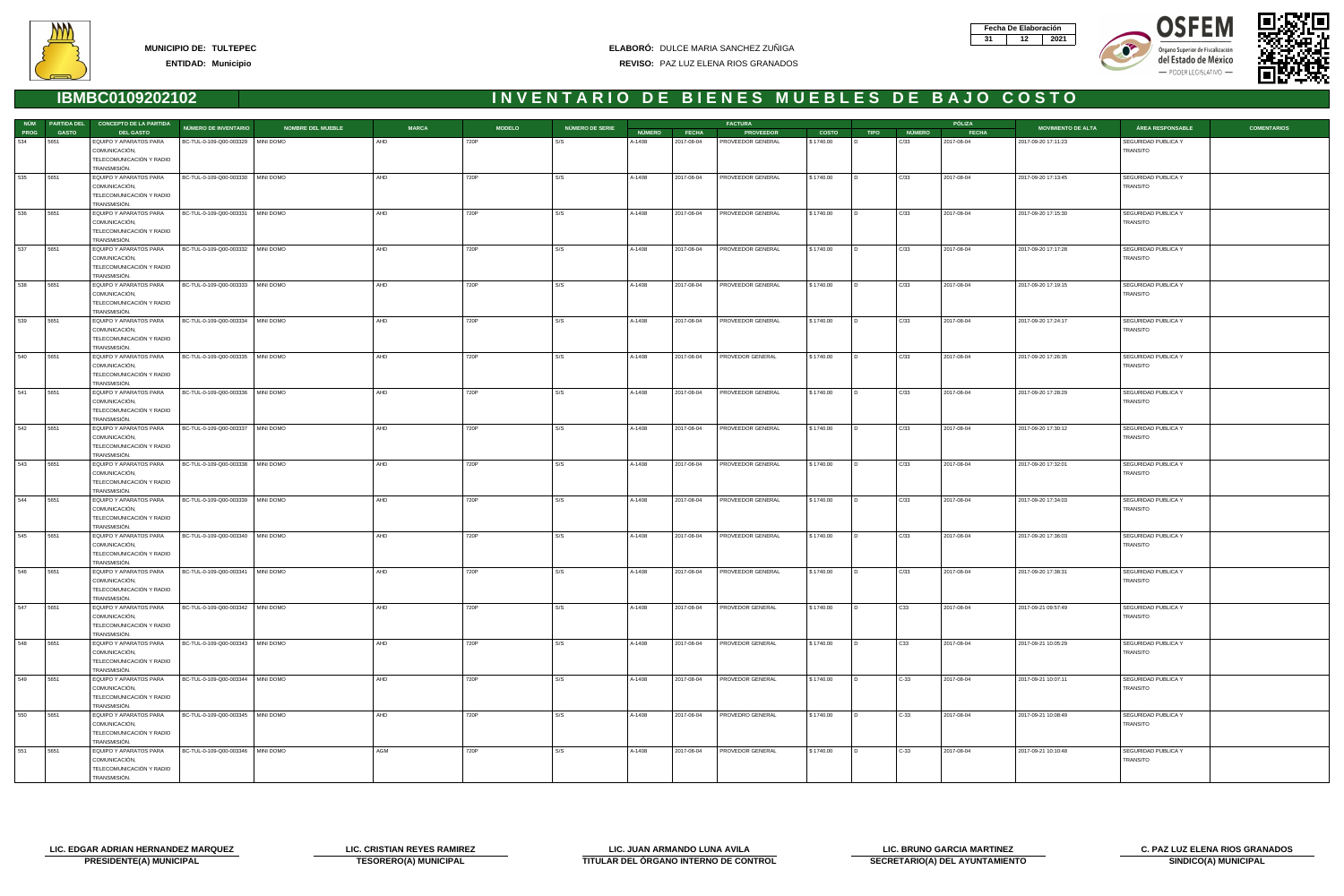







|      |              | NÚM PARTIDA DEL CONCEPTO DE LA PARTIDA    |                                     |                          |              |               |                 |               |            | <b>FACTURA</b>    |              |             |               | PÓLIZA       |                           |                     |                    |
|------|--------------|-------------------------------------------|-------------------------------------|--------------------------|--------------|---------------|-----------------|---------------|------------|-------------------|--------------|-------------|---------------|--------------|---------------------------|---------------------|--------------------|
| PROG | <b>GASTO</b> | <b>DEL GASTO</b>                          | <b>NÚMERO DE INVENTARIO</b>         | <b>NOMBRE DEL MUEBLE</b> | <b>MARCA</b> | <b>MODELO</b> | NÚMERO DE SERIE | <b>NÚMERO</b> | FECHA      | <b>PROVEEDOR</b>  | <b>COSTO</b> | <b>TIPO</b> | <b>NÚMERO</b> | <b>FECHA</b> | <b>MOVIMIENTO DE ALTA</b> | ÁREA RESPONSABLE    | <b>COMENTARIOS</b> |
| 534  | 5651         | EQUIPO Y APARATOS PARA                    | BC-TUL-0-109-Q00-003329   MINI DOMO |                          | AHD          | 720P          | S/S             | A-1408        | 2017-08-04 | PROVEEDOR GENERAL | \$1740.00    |             | C/33          | 2017-08-04   | 2017-09-20 17:11:23       | SEGURIDAD PUBLICA Y |                    |
|      |              | COMUNICACIÓN,                             |                                     |                          |              |               |                 |               |            |                   |              |             |               |              |                           | TRANSITO            |                    |
|      |              | TELECOMUNICACIÓN Y RADIO                  |                                     |                          |              |               |                 |               |            |                   |              |             |               |              |                           |                     |                    |
|      |              | TRANSMISIÓN.                              |                                     |                          |              |               |                 |               |            |                   |              |             |               |              |                           |                     |                    |
| 535  | 5651         | EQUIPO Y APARATOS PARA                    | BC-TUL-0-109-Q00-003330 MINI DOMO   |                          | AHD          | 720P          | S/S             | A-1408        | 2017-08-04 | PROVEEDOR GENERAL | \$1740.00    |             | C/33          | 2017-08-04   | 2017-09-20 17:13:45       | SEGURIDAD PUBLICA Y |                    |
|      |              | COMUNICACIÓN,<br>TELECOMUNICACIÓN Y RADIO |                                     |                          |              |               |                 |               |            |                   |              |             |               |              |                           | TRANSITO            |                    |
|      |              | TRANSMISIÓN.                              |                                     |                          |              |               |                 |               |            |                   |              |             |               |              |                           |                     |                    |
| 536  | 5651         | EQUIPO Y APARATOS PARA                    | BC-TUL-0-109-Q00-003331 MINI DOMO   |                          | AHD          | 720P          | S/S             | A-1408        | 2017-08-04 | PROVEEDOR GENERAL | \$1740.00    |             | C/33          | 2017-08-04   | 2017-09-20 17:15:30       | SEGURIDAD PUBLICA Y |                    |
|      |              | COMUNICACIÓN,                             |                                     |                          |              |               |                 |               |            |                   |              |             |               |              |                           | TRANSITO            |                    |
|      |              | TELECOMUNICACIÓN Y RADIO                  |                                     |                          |              |               |                 |               |            |                   |              |             |               |              |                           |                     |                    |
|      |              | TRANSMISIÓN.                              |                                     |                          |              |               |                 |               |            |                   |              |             |               |              |                           |                     |                    |
| 537  | 5651         | EQUIPO Y APARATOS PARA                    | BC-TUL-0-109-Q00-003332 MINI DOMO   |                          | AHD          | 720P          | S/S             | A-1408        | 2017-08-04 | PROVEEDOR GENERAL | \$1740.00    |             | C/33          | 2017-08-04   | 2017-09-20 17:17:28       | SEGURIDAD PUBLICA Y |                    |
|      |              | COMUNICACIÓN,                             |                                     |                          |              |               |                 |               |            |                   |              |             |               |              |                           | TRANSITO            |                    |
|      |              | TELECOMUNICACIÓN Y RADIO                  |                                     |                          |              |               |                 |               |            |                   |              |             |               |              |                           |                     |                    |
|      |              | TRANSMISIÓN.                              |                                     |                          |              |               |                 |               |            |                   |              |             |               |              |                           |                     |                    |
| 538  | 5651         | EQUIPO Y APARATOS PARA                    | BC-TUL-0-109-Q00-003333   MINI DOMO |                          | AHD          | 720P          | S/S             | A-1408        | 2017-08-04 | PROVEEDOR GENERAL | \$1740.00    |             | C/33          | 2017-08-04   | 2017-09-20 17:19:15       | SEGURIDAD PUBLICA Y |                    |
|      |              | COMUNICACIÓN,                             |                                     |                          |              |               |                 |               |            |                   |              |             |               |              |                           | TRANSITO            |                    |
|      |              | TELECOMUNICACIÓN Y RADIO                  |                                     |                          |              |               |                 |               |            |                   |              |             |               |              |                           |                     |                    |
|      |              | TRANSMISIÓN.                              |                                     |                          |              |               |                 |               |            |                   |              |             |               |              |                           |                     |                    |
| 539  | 5651         | EQUIPO Y APARATOS PARA                    | BC-TUL-0-109-Q00-003334   MINI DOMO |                          | AHD          | 720P          | S/S             | A-1408        | 2017-08-04 | PROVEEDOR GENERAL | \$1740.00    |             | C/33          | 2017-08-04   | 2017-09-20 17:24:17       | SEGURIDAD PUBLICA Y |                    |
|      |              | COMUNICACIÓN,                             |                                     |                          |              |               |                 |               |            |                   |              |             |               |              |                           | TRANSITO            |                    |
|      |              | TELECOMUNICACIÓN Y RADIO                  |                                     |                          |              |               |                 |               |            |                   |              |             |               |              |                           |                     |                    |
| 540  | 5651         | TRANSMISIÓN.<br>EQUIPO Y APARATOS PARA    | BC-TUL-0-109-Q00-003335 MINI DOMO   |                          | AHD          | 720P          | S/S             | A-1408        | 2017-08-04 | PROVEDOR GENERAL  | \$1740.00    |             | C/33          | 2017-08-04   | 2017-09-20 17:26:35       | SEGURIDAD PUBLICA Y |                    |
|      |              | COMUNICACIÓN,                             |                                     |                          |              |               |                 |               |            |                   |              |             |               |              |                           | TRANSITO            |                    |
|      |              | TELECOMUNICACIÓN Y RADIO                  |                                     |                          |              |               |                 |               |            |                   |              |             |               |              |                           |                     |                    |
|      |              | TRANSMISIÓN.                              |                                     |                          |              |               |                 |               |            |                   |              |             |               |              |                           |                     |                    |
| 541  | 5651         | EQUIPO Y APARATOS PARA                    | BC-TUL-0-109-Q00-003336   MINI DOMO |                          | AHD          | 720P          | S/S             | A-1408        | 2017-08-04 | PROVEEDOR GENERAL | \$1740.00    |             | C/33          | 2017-08-04   | 2017-09-20 17:28:29       | SEGURIDAD PUBLICA Y |                    |
|      |              | COMUNICACIÓN,                             |                                     |                          |              |               |                 |               |            |                   |              |             |               |              |                           | TRANSITO            |                    |
|      |              | TELECOMUNICACIÓN Y RADIO                  |                                     |                          |              |               |                 |               |            |                   |              |             |               |              |                           |                     |                    |
|      |              | TRANSMISIÓN.                              |                                     |                          |              |               |                 |               |            |                   |              |             |               |              |                           |                     |                    |
| 542  | 5651         | EQUIPO Y APARATOS PARA                    | BC-TUL-0-109-Q00-003337 MINI DOMO   |                          | AHD          | 720P          | S/S             | A-1408        | 2017-08-04 | PROVEEDOR GENERAL | \$1740.00    |             | C/33          | 2017-08-04   | 2017-09-20 17:30:12       | SEGURIDAD PUBLICA Y |                    |
|      |              | COMUNICACIÓN,                             |                                     |                          |              |               |                 |               |            |                   |              |             |               |              |                           | <b>TRANSITO</b>     |                    |
|      |              | TELECOMUNICACIÓN Y RADIO                  |                                     |                          |              |               |                 |               |            |                   |              |             |               |              |                           |                     |                    |
|      |              | TRANSMISIÓN.                              |                                     |                          |              |               |                 |               |            |                   |              |             |               |              |                           |                     |                    |
| 543  | 5651         | EQUIPO Y APARATOS PARA                    | BC-TUL-0-109-Q00-003338   MINI DOMO |                          | AHD          | 720P          | S/S             | A-1408        | 2017-08-04 | PROVEEDOR GENERAL | \$1740.00    | I D.        | C/33          | 2017-08-04   | 2017-09-20 17:32:01       | SEGURIDAD PUBLICA Y |                    |
|      |              | COMUNICACIÓN,                             |                                     |                          |              |               |                 |               |            |                   |              |             |               |              |                           | <b>TRANSITO</b>     |                    |
|      |              | TELECOMUNICACIÓN Y RADIO                  |                                     |                          |              |               |                 |               |            |                   |              |             |               |              |                           |                     |                    |
| 544  | 5651         | TRANSMISIÓN.                              | BC-TUL-0-109-Q00-003339 MINI DOMO   |                          | AHD          | 720P          | S/S             | A-1408        |            | PROVEEDOR GENERAL | \$1740.00    |             | C/33          | 2017-08-04   | 2017-09-20 17:34:03       | SEGURIDAD PUBLICA Y |                    |
|      |              | EQUIPO Y APARATOS PARA<br>COMUNICACIÓN,   |                                     |                          |              |               |                 |               | 2017-08-04 |                   |              |             |               |              |                           | TRANSITO            |                    |
|      |              | TELECOMUNICACIÓN Y RADIO                  |                                     |                          |              |               |                 |               |            |                   |              |             |               |              |                           |                     |                    |
|      |              | TRANSMISIÓN.                              |                                     |                          |              |               |                 |               |            |                   |              |             |               |              |                           |                     |                    |
| 545  | 5651         | EQUIPO Y APARATOS PARA                    | BC-TUL-0-109-Q00-003340 MINI DOMO   |                          | AHD          | 720P          | S/S             | A-1408        | 2017-08-04 | PROVEEDOR GENERAL | \$1740.00    |             | C/33          | 2017-08-04   | 2017-09-20 17:36:03       | SEGURIDAD PUBLICA Y |                    |
|      |              | COMUNICACIÓN,                             |                                     |                          |              |               |                 |               |            |                   |              |             |               |              |                           | TRANSITO            |                    |
|      |              | TELECOMUNICACIÓN Y RADIO                  |                                     |                          |              |               |                 |               |            |                   |              |             |               |              |                           |                     |                    |
|      |              | TRANSMISIÓN.                              |                                     |                          |              |               |                 |               |            |                   |              |             |               |              |                           |                     |                    |
| 546  | 5651         | EQUIPO Y APARATOS PARA                    | BC-TUL-0-109-Q00-003341   MINI DOMO |                          | AHD          | 720P          | S/S             | A-1408        | 2017-08-04 | PROVEEDOR GENERAL | \$1740.00    |             | C/33          | 2017-08-04   | 2017-09-20 17:38:31       | SEGURIDAD PUBLICA Y |                    |
|      |              | COMUNICACIÓN,                             |                                     |                          |              |               |                 |               |            |                   |              |             |               |              |                           | TRANSITO            |                    |
|      |              | TELECOMUNICACIÓN Y RADIO                  |                                     |                          |              |               |                 |               |            |                   |              |             |               |              |                           |                     |                    |
|      |              | TRANSMISIÓN.                              |                                     |                          |              |               |                 |               |            |                   |              |             |               |              |                           |                     |                    |
| 547  | 5651         | EQUIPO Y APARATOS PARA                    | BC-TUL-0-109-Q00-003342   MINI DOMO |                          | AHD          | 720P          | S/S             | A-1408        | 2017-08-04 | PROVEDOR GENERAL  | \$1740.00    |             | C33           | 2017-08-04   | 2017-09-21 09:57:49       | SEGURIDAD PUBLICA Y |                    |
|      |              | COMUNICACIÓN,                             |                                     |                          |              |               |                 |               |            |                   |              |             |               |              |                           | TRANSITO            |                    |
|      |              | TELECOMUNICACIÓN Y RADIO                  |                                     |                          |              |               |                 |               |            |                   |              |             |               |              |                           |                     |                    |
| 548  | 5651         | TRANSMISIÓN.<br>EQUIPO Y APARATOS PARA    | BC-TUL-0-109-Q00-003343   MINI DOMO |                          | AHD          | 720P          | S/S             | A-1408        | 2017-08-04 | PROVEDOR GENERAL  | \$1740.00    |             | C33           | 2017-08-04   | 2017-09-21 10:05:29       | SEGURIDAD PUBLICA Y |                    |
|      |              | COMUNICACIÓN,                             |                                     |                          |              |               |                 |               |            |                   |              |             |               |              |                           | TRANSITO            |                    |
|      |              | TELECOMUNICACIÓN Y RADIO                  |                                     |                          |              |               |                 |               |            |                   |              |             |               |              |                           |                     |                    |
|      |              | TRANSMISIÓN.                              |                                     |                          |              |               |                 |               |            |                   |              |             |               |              |                           |                     |                    |
| 549  | 5651         | EQUIPO Y APARATOS PARA                    | BC-TUL-0-109-Q00-003344   MINI DOMO |                          | AHD          | 720P          | S/S             | A-1408        | 2017-08-04 | PROVEDOR GENERAL  | \$1740.00    |             | $C-33$        | 2017-08-04   | 2017-09-21 10:07:11       | SEGURIDAD PUBLICA Y |                    |
|      |              | COMUNICACIÓN,                             |                                     |                          |              |               |                 |               |            |                   |              |             |               |              |                           | TRANSITO            |                    |
|      |              | TELECOMUNICACIÓN Y RADIO                  |                                     |                          |              |               |                 |               |            |                   |              |             |               |              |                           |                     |                    |
|      |              | TRANSMISIÓN.                              |                                     |                          |              |               |                 |               |            |                   |              |             |               |              |                           |                     |                    |
| 550  | 5651         | EQUIPO Y APARATOS PARA                    | BC-TUL-0-109-Q00-003345   MINI DOMO |                          | AHD          | 720P          | S/S             | A-1408        | 2017-08-04 | PROVEDRO GENERAL  | \$1740.00    |             | $C-33$        | 2017-08-04   | 2017-09-21 10:08:49       | SEGURIDAD PUBLICA Y |                    |
|      |              | COMUNICACIÓN,                             |                                     |                          |              |               |                 |               |            |                   |              |             |               |              |                           | TRANSITO            |                    |
|      |              | TELECOMUNICACIÓN Y RADIO                  |                                     |                          |              |               |                 |               |            |                   |              |             |               |              |                           |                     |                    |
|      |              | TRANSMISIÓN.                              |                                     |                          |              |               |                 |               |            |                   |              |             |               |              |                           |                     |                    |
| 551  | 5651         | EQUIPO Y APARATOS PARA                    | BC-TUL-0-109-Q00-003346 MINI DOMO   |                          | AGM          | 720P          | S/S             | A-1408        | 2017-08-04 | PROVEDOR GENERAL  | \$1740.00    |             | $C-33$        | 2017-08-04   | 2017-09-21 10:10:48       | SEGURIDAD PUBLICA Y |                    |
|      |              | COMUNICACIÓN,                             |                                     |                          |              |               |                 |               |            |                   |              |             |               |              |                           | <b>TRANSITO</b>     |                    |
|      |              | TELECOMUNICACIÓN Y RADIO<br>TRANSMISIÓN.  |                                     |                          |              |               |                 |               |            |                   |              |             |               |              |                           |                     |                    |
|      |              |                                           |                                     |                          |              |               |                 |               |            |                   |              |             |               |              |                           |                     |                    |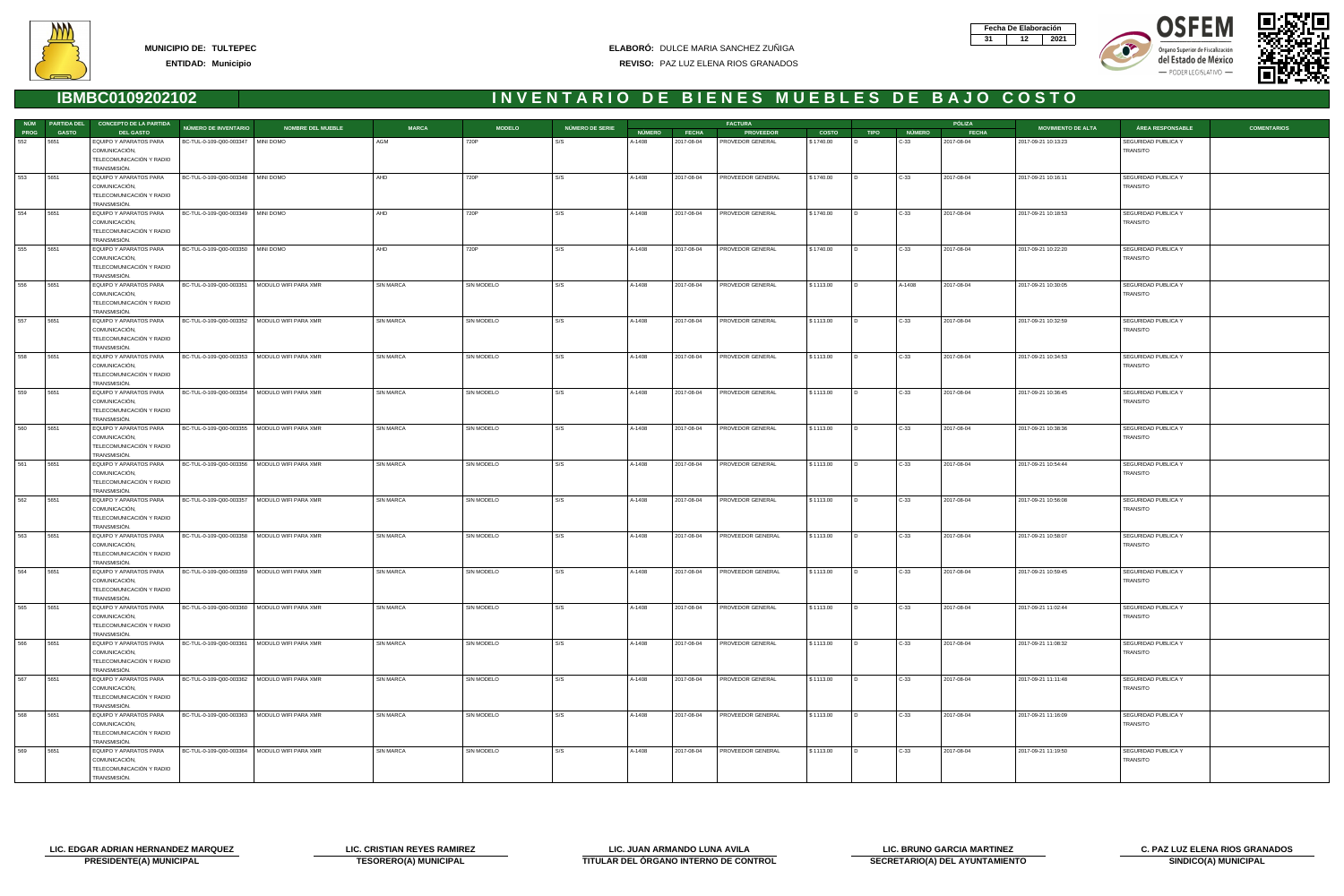







|             |              | NÚM PARTIDA DEL CONCEPTO DE LA PARTIDA                                              | <b>NÚMERO DE INVENTARIO</b>                    | <b>NOMBRE DEL MUEBLE</b> | <b>MARCA</b>     | <b>MODELO</b>     | NÚMERO DE SERIE |               |              | <b>FACTURA</b>    |              |                |               | PÓLIZA       | <b>MOVIMIENTO DE ALTA</b> | ÁREA RESPONSABLE                       | <b>COMENTARIOS</b> |
|-------------|--------------|-------------------------------------------------------------------------------------|------------------------------------------------|--------------------------|------------------|-------------------|-----------------|---------------|--------------|-------------------|--------------|----------------|---------------|--------------|---------------------------|----------------------------------------|--------------------|
| <b>PROG</b> | <b>GASTO</b> | <b>DEL GASTO</b>                                                                    |                                                |                          |                  |                   |                 | <b>NÚMERO</b> | <b>FECHA</b> | <b>PROVEEDOR</b>  | <b>COSTO</b> | <b>TIPO</b>    | <b>NÚMERO</b> | <b>FECHA</b> |                           |                                        |                    |
| 552         | 5651         | EQUIPO Y APARATOS PARA<br>COMUNICACIÓN,<br>TELECOMUNICACIÓN Y RADIO                 | BC-TUL-0-109-Q00-003347   MINI DOMO            |                          | AGM              | 720P              |                 | A-1408        | 2017-08-04   | PROVEDOR GENERAL  | \$1740.00    |                | C-33          | 2017-08-04   | 2017-09-21 10:13:23       | SEGURIDAD PUBLICA Y<br>TRANSITO        |                    |
| 553         | 5651         | TRANSMISIÓN.<br>EQUIPO Y APARATOS PARA                                              | BC-TUL-0-109-Q00-003348   MINI DOMO            |                          | AHD              | 720P              | l s/s           | A-1408        | 2017-08-04   | PROVEEDOR GENERAL | \$1740.00    | $\overline{D}$ | $C-33$        | 2017-08-04   | 2017-09-21 10:16:11       | SEGURIDAD PUBLICA Y                    |                    |
|             |              | COMUNICACIÓN,<br>TELECOMUNICACIÓN Y RADIO<br>TRANSMISIÓN.                           |                                                |                          |                  |                   |                 |               |              |                   |              |                |               |              |                           | TRANSITO                               |                    |
| 554         | 5651         | EQUIPO Y APARATOS PARA                                                              | BC-TUL-0-109-Q00-003349   MINI DOMO            |                          | AHD              | 720P              | S/S             | A-1408        | 2017-08-04   | PROVEDOR GENERAL  | \$1740.00    |                | $C-33$        | 2017-08-04   | 2017-09-21 10:18:53       | SEGURIDAD PUBLICA Y                    |                    |
|             |              | COMUNICACIÓN,<br>TELECOMUNICACIÓN Y RADIO<br>TRANSMISIÓN.                           |                                                |                          |                  |                   |                 |               |              |                   |              |                |               |              |                           | <b>TRANSITO</b>                        |                    |
| 555         | 5651         | EQUIPO Y APARATOS PARA                                                              | BC-TUL-0-109-Q00-003350 MINI DOMO              |                          | AHD              | 720P              | S/S             | A-1408        | 2017-08-04   | PROVEDOR GENERAL  | \$1740.00    |                | $C-33$        | 2017-08-04   | 2017-09-21 10:22:20       | SEGURIDAD PUBLICA Y                    |                    |
|             |              | COMUNICACIÓN,<br>TELECOMUNICACIÓN Y RADIO<br>TRANSMISIÓN.                           |                                                |                          |                  |                   |                 |               |              |                   |              |                |               |              |                           | TRANSITO                               |                    |
| 556         | 5651         | EQUIPO Y APARATOS PARA                                                              | BC-TUL-0-109-Q00-003351   MODULO WIFI PARA XMR |                          | SIN MARCA        | SIN MODELO        | S/S             | A-1408        | 2017-08-04   | PROVEDOR GENERAL  | \$1113.00    | $\overline{D}$ | A-1408        | 2017-08-04   | 2017-09-21 10:30:05       | SEGURIDAD PUBLICA Y                    |                    |
|             |              | COMUNICACIÓN,<br>TELECOMUNICACIÓN Y RADIO<br>TRANSMISIÓN.                           |                                                |                          |                  |                   |                 |               |              |                   |              |                |               |              |                           | TRANSITO                               |                    |
| 557         | 5651         | EQUIPO Y APARATOS PARA                                                              | BC-TUL-0-109-Q00-003352   MODULO WIFI PARA XMR |                          | <b>SIN MARCA</b> | SIN MODELO        | S/S             | A-1408        | 2017-08-04   | PROVEDOR GENERAL  | \$1113.00    |                | C-33          | 2017-08-04   | 2017-09-21 10:32:59       | SEGURIDAD PUBLICA Y                    |                    |
|             |              | COMUNICACIÓN,<br>TELECOMUNICACIÓN Y RADIO<br>TRANSMISIÓN.                           |                                                |                          |                  |                   |                 |               |              |                   |              |                |               |              |                           | TRANSITO                               |                    |
| 558         | 5651         | EQUIPO Y APARATOS PARA                                                              | BC-TUL-0-109-Q00-003353   MODULO WIFI PARA XMR |                          | SIN MARCA        | SIN MODELO        | S/S             | A-1408        | 2017-08-04   | PROVEDOR GENERAL  | \$1113.00    |                | $C-33$        | 2017-08-04   | 2017-09-21 10:34:53       | SEGURIDAD PUBLICA Y                    |                    |
|             |              | COMUNICACIÓN,<br>TELECOMUNICACIÓN Y RADIO<br>TRANSMISIÓN.                           |                                                |                          |                  |                   |                 |               |              |                   |              |                |               |              |                           | <b>TRANSITO</b>                        |                    |
| 559         | 5651         | EQUIPO Y APARATOS PARA<br>COMUNICACIÓN,                                             | BC-TUL-0-109-Q00-003354   MODULO WIFI PARA XMR |                          | SIN MARCA        | SIN MODELO        | S/S             | A-1408        | 2017-08-04   | PROVEDOR GENERAL  | \$1113.00    | $\overline{D}$ | $C-33$        | 2017-08-04   | 2017-09-21 10:36:45       | SEGURIDAD PUBLICA Y<br>TRANSITO        |                    |
|             |              | TELECOMUNICACIÓN Y RADIO<br>TRANSMISIÓN.                                            |                                                |                          |                  |                   |                 |               |              |                   |              |                |               |              |                           |                                        |                    |
| 560         | 5651         | EQUIPO Y APARATOS PARA<br>COMUNICACIÓN,                                             | BC-TUL-0-109-Q00-003355   MODULO WIFI PARA XMR |                          | <b>SIN MARCA</b> | SIN MODELO        | S/S             | A-1408        | 2017-08-04   | PROVEDOR GENERAL  | \$1113.00    |                | $C-33$        | 2017-08-04   | 2017-09-21 10:38:36       | SEGURIDAD PUBLICA Y<br>TRANSITO        |                    |
|             |              | TELECOMUNICACIÓN Y RADIO<br>TRANSMISIÓN.                                            |                                                |                          |                  |                   |                 |               |              |                   |              |                |               |              |                           |                                        |                    |
| 561         | 5651         | EQUIPO Y APARATOS PARA<br>COMUNICACIÓN,<br>TELECOMUNICACIÓN Y RADIO<br>TRANSMISIÓN. | BC-TUL-0-109-Q00-003356   MODULO WIFI PARA XMR |                          | SIN MARCA        | SIN MODELO        | S/S             | A-1408        | 2017-08-04   | PROVEDOR GENERAL  | \$1113.00    |                | $C-33$        | 2017-08-04   | 2017-09-21 10:54:44       | SEGURIDAD PUBLICA Y<br><b>TRANSITO</b> |                    |
| 562         | 5651         | EQUIPO Y APARATOS PARA                                                              | BC-TUL-0-109-Q00-003357   MODULO WIFI PARA XMR |                          | SIN MARCA        | SIN MODELO        | S/S             | A-1408        | 2017-08-04   | PROVEDOR GENERAL  | \$1113.00    | $\overline{D}$ | $C-33$        | 2017-08-04   | 2017-09-21 10:56:08       | SEGURIDAD PUBLICA Y                    |                    |
|             |              | COMUNICACIÓN,<br>TELECOMUNICACIÓN Y RADIO<br>TRANSMISIÓN.                           |                                                |                          |                  |                   |                 |               |              |                   |              |                |               |              |                           | TRANSITO                               |                    |
| 563         | 5651         | EQUIPO Y APARATOS PARA                                                              | BC-TUL-0-109-Q00-003358   MODULO WIFI PARA XMR |                          | <b>SIN MARCA</b> | SIN MODELO        | S/S             | A-1408        | 2017-08-04   | PROVEEDOR GENERAL | \$1113.00    |                | C-33          | 2017-08-04   | 2017-09-21 10:58:07       | SEGURIDAD PUBLICA Y                    |                    |
|             |              | COMUNICACIÓN,<br>TELECOMUNICACIÓN Y RADIO<br>TRANSMISIÓN.                           |                                                |                          |                  |                   |                 |               |              |                   |              |                |               |              |                           | TRANSITO                               |                    |
| 564         | 5651         | EQUIPO Y APARATOS PARA                                                              | BC-TUL-0-109-Q00-003359   MODULO WIFI PARA XMR |                          | <b>SIN MARCA</b> | <b>SIN MODELO</b> | S/S             | A-1408        | 2017-08-04   | PROVEEDOR GENERAL | \$1113.00    |                | $C-33$        | 2017-08-04   | 2017-09-21 10:59:45       | SEGURIDAD PUBLICA Y<br>TRANSITO        |                    |
|             |              | COMUNICACIÓN,<br>TELECOMUNICACIÓN Y RADIO<br>TRANSMISIÓN.                           |                                                |                          |                  |                   |                 |               |              |                   |              |                |               |              |                           |                                        |                    |
| 565         | 5651         | EQUIPO Y APARATOS PARA                                                              | BC-TUL-0-109-Q00-003360   MODULO WIFI PARA XMR |                          | SIN MARCA        | SIN MODELO        | S/S             | A-1408        | 2017-08-04   | PROVEDOR GENERAL  | \$1113.00    | I D.           | $C-33$        | 2017-08-04   | 2017-09-21 11:02:44       | SEGURIDAD PUBLICA Y                    |                    |
|             |              | COMUNICACIÓN,<br>TELECOMUNICACIÓN Y RADIO<br>TRANSMISIÓN.                           |                                                |                          |                  |                   |                 |               |              |                   |              |                |               |              |                           | TRANSITO                               |                    |
| 566         | 5651         | EQUIPO Y APARATOS PARA                                                              | BC-TUL-0-109-Q00-003361   MODULO WIFI PARA XMR |                          | SIN MARCA        | SIN MODELO        | S/S             | A-1408        | 2017-08-04   | PROVEDOR GENERAL  | \$1113.00    |                | C-33          | 2017-08-04   | 2017-09-21 11:08:32       | SEGURIDAD PUBLICA Y                    |                    |
|             |              | COMUNICACIÓN,<br>TELECOMUNICACIÓN Y RADIO<br>TRANSMISIÓN.                           |                                                |                          |                  |                   |                 |               |              |                   |              |                |               |              |                           | TRANSITO                               |                    |
| 567         | 5651         | EQUIPO Y APARATOS PARA                                                              | BC-TUL-0-109-Q00-003362   MODULO WIFI PARA XMR |                          | SIN MARCA        | SIN MODELO        | S/S             | A-1408        | 2017-08-04   | PROVEDOR GENERAL  | \$1113.00    |                | $C-33$        | 2017-08-04   | 2017-09-21 11:11:48       | SEGURIDAD PUBLICA Y                    |                    |
|             |              | COMUNICACIÓN,<br>TELECOMUNICACIÓN Y RADIO<br>TRANSMISIÓN.                           |                                                |                          |                  |                   |                 |               |              |                   |              |                |               |              |                           | TRANSITO                               |                    |
| 568         | 5651         | EQUIPO Y APARATOS PARA                                                              | BC-TUL-0-109-Q00-003363   MODULO WIFI PARA XMR |                          | SIN MARCA        | SIN MODELO        | S/S             | A-1408        | 2017-08-04   | PROVEEDOR GENERAL | \$1113.00    | $\overline{D}$ | $C-33$        | 2017-08-04   | 2017-09-21 11:16:09       | SEGURIDAD PUBLICA Y                    |                    |
|             |              | COMUNICACIÓN,<br>TELECOMUNICACIÓN Y RADIO<br>TRANSMISIÓN.                           |                                                |                          |                  |                   |                 |               |              |                   |              |                |               |              |                           | TRANSITO                               |                    |
| 569         | 5651         | EQUIPO Y APARATOS PARA                                                              | BC-TUL-0-109-Q00-003364   MODULO WIFI PARA XMR |                          | SIN MARCA        | SIN MODELO        | S/S             | A-1408        | 2017-08-04   | PROVEEDOR GENERAL | \$1113.00    |                | $C-33$        | 2017-08-04   | 2017-09-21 11:19:50       | SEGURIDAD PUBLICA Y                    |                    |
|             |              | COMUNICACIÓN,<br>TELECOMUNICACIÓN Y RADIO                                           |                                                |                          |                  |                   |                 |               |              |                   |              |                |               |              |                           | <b>TRANSITO</b>                        |                    |
|             |              | TRANSMISIÓN.                                                                        |                                                |                          |                  |                   |                 |               |              |                   |              |                |               |              |                           |                                        |                    |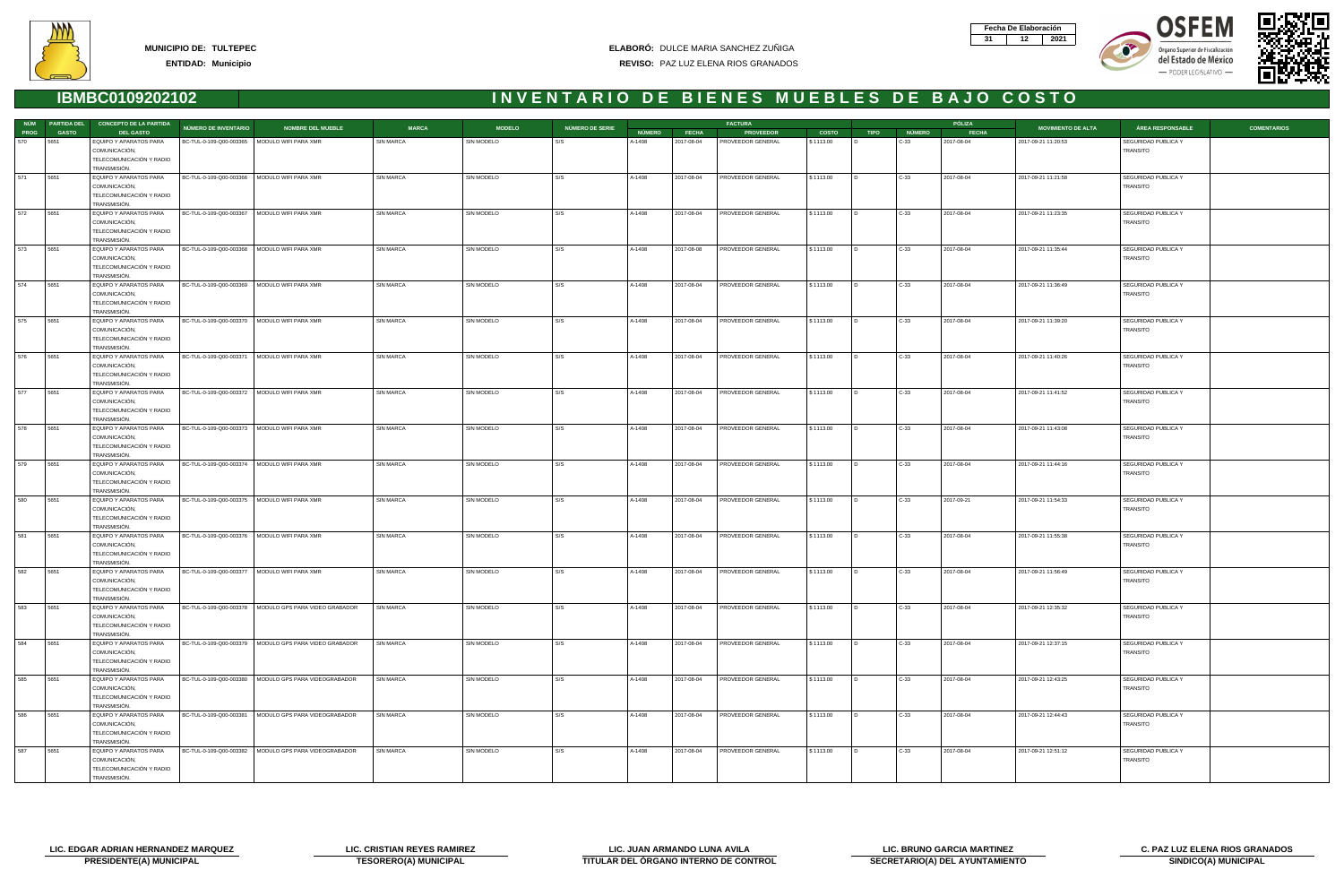







|             |              | NÚM PARTIDA DEL CONCEPTO DE LA PARTIDA                                              | <b>NÚMERO DE INVENTARIO</b>                    | <b>NOMBRE DEL MUEBLE</b>                                 | <b>MARCA</b>     | <b>MODELO</b>     | NÚMERO DE SERIE |               |              | <b>FACTURA</b>    |              |                |               | PÓLIZA       | <b>MOVIMIENTO DE ALTA</b> | <b>COMENTARIOS</b><br>ÁREA RESPONSABLE |  |
|-------------|--------------|-------------------------------------------------------------------------------------|------------------------------------------------|----------------------------------------------------------|------------------|-------------------|-----------------|---------------|--------------|-------------------|--------------|----------------|---------------|--------------|---------------------------|----------------------------------------|--|
| <b>PROG</b> | <b>GASTO</b> | <b>DEL GASTO</b>                                                                    |                                                |                                                          |                  |                   |                 | <b>NÚMERO</b> | <b>FECHA</b> | <b>PROVEEDOR</b>  | <b>COSTO</b> | <b>TIPO</b>    | <b>NÚMERO</b> | <b>FECHA</b> |                           |                                        |  |
| 570         | 5651         | EQUIPO Y APARATOS PARA<br>COMUNICACIÓN,<br>TELECOMUNICACIÓN Y RADIO<br>TRANSMISIÓN. | BC-TUL-0-109-Q00-003365   MODULO WIFI PARA XMR |                                                          | <b>SIN MARCA</b> | SIN MODELO        |                 | A-1408        | 2017-08-04   | PROVEEDOR GENERAL | \$1113.00    |                | C-33          | 2017-08-04   | 2017-09-21 11:20:53       | SEGURIDAD PUBLICA Y<br>TRANSITO        |  |
| 571         | 5651         | EQUIPO Y APARATOS PARA<br>COMUNICACIÓN,<br>TELECOMUNICACIÓN Y RADIO                 | BC-TUL-0-109-Q00-003366   MODULO WIFI PARA XMR |                                                          | SIN MARCA        | SIN MODELO        | S/S             | A-1408        | 2017-08-04   | PROVEEDOR GENERAL | \$1113.00    | $\overline{D}$ | $C-33$        | 2017-08-04   | 2017-09-21 11:21:58       | SEGURIDAD PUBLICA Y<br>TRANSITO        |  |
|             |              | TRANSMISIÓN.                                                                        |                                                |                                                          |                  |                   |                 |               |              |                   |              |                |               |              |                           |                                        |  |
| 572         | 5651         | EQUIPO Y APARATOS PARA<br>COMUNICACIÓN,<br>TELECOMUNICACIÓN Y RADIO<br>TRANSMISIÓN. | BC-TUL-0-109-Q00-003367   MODULO WIFI PARA XMR |                                                          | SIN MARCA        | SIN MODELO        | S/S             | A-1408        | 2017-08-04   | PROVEEDOR GENERAL | \$1113.00    |                | $C-33$        | 2017-08-04   | 2017-09-21 11:23:35       | SEGURIDAD PUBLICA Y<br><b>TRANSITO</b> |  |
| 573         | 5651         | EQUIPO Y APARATOS PARA<br>COMUNICACIÓN,<br>TELECOMUNICACIÓN Y RADIO<br>TRANSMISIÓN. | BC-TUL-0-109-Q00-003368   MODULO WIFI PARA XMR |                                                          | SIN MARCA        | SIN MODELO        | S/S             | A-1408        | 2017-08-08   | PROVEEDOR GENERAL | \$1113.00    |                | $C-33$        | 2017-08-04   | 2017-09-21 11:35:44       | SEGURIDAD PUBLICA Y<br>TRANSITO        |  |
| 574         | 5651         | EQUIPO Y APARATOS PARA<br>COMUNICACIÓN,<br>TELECOMUNICACIÓN Y RADIO<br>TRANSMISIÓN. | BC-TUL-0-109-Q00-003369   MODULO WIFI PARA XMR |                                                          | <b>SIN MARCA</b> | SIN MODELO        | l s/s           | A-1408        | 2017-08-04   | PROVEEDOR GENERAL | \$1113.00    | $\overline{D}$ | $C-33$        | 2017-08-04   | 2017-09-21 11:36:49       | SEGURIDAD PUBLICA Y<br>TRANSITO        |  |
| 575         | 5651         | EQUIPO Y APARATOS PARA<br>COMUNICACIÓN,<br>TELECOMUNICACIÓN Y RADIO<br>TRANSMISIÓN. | BC-TUL-0-109-Q00-003370                        | MODULO WIFI PARA XMR                                     | <b>SIN MARCA</b> | SIN MODELO        | S/S             | A-1408        | 2017-08-04   | PROVEEDOR GENERAL | \$1113.00    |                | C-33          | 2017-08-04   | 2017-09-21 11:39:20       | SEGURIDAD PUBLICA Y<br>TRANSITO        |  |
| 576         | 5651         | EQUIPO Y APARATOS PARA<br>COMUNICACIÓN,<br>TELECOMUNICACIÓN Y RADIO<br>TRANSMISIÓN. | BC-TUL-0-109-Q00-003371                        | MODULO WIFI PARA XMR                                     | SIN MARCA        | SIN MODELO        | S/S             | A-1408        | 2017-08-04   | PROVEEDOR GENERAL | \$1113.00    |                | $C-33$        | 2017-08-04   | 2017-09-21 11:40:26       | SEGURIDAD PUBLICA Y<br><b>TRANSITO</b> |  |
| 577         | 5651         | EQUIPO Y APARATOS PARA<br>COMUNICACIÓN,<br>TELECOMUNICACIÓN Y RADIO<br>TRANSMISIÓN. | BC-TUL-0-109-Q00-003372   MODULO WIFI PARA XMR |                                                          | SIN MARCA        | SIN MODELO        | S/S             | A-1408        | 2017-08-04   | PROVEEDOR GENERAL | \$1113.00    | $\overline{D}$ | $C-33$        | 2017-08-04   | 2017-09-21 11:41:52       | SEGURIDAD PUBLICA Y<br>TRANSITO        |  |
| 578         | 5651         | EQUIPO Y APARATOS PARA<br>COMUNICACIÓN,<br>TELECOMUNICACIÓN Y RADIO<br>TRANSMISIÓN. | BC-TUL-0-109-Q00-003373   MODULO WIFI PARA XMR |                                                          | <b>SIN MARCA</b> | SIN MODELO        | S/S             | A-1408        | 2017-08-04   | PROVEEDOR GENERAL | \$1113.00    |                | $C-33$        | 2017-08-04   | 2017-09-21 11:43:08       | SEGURIDAD PUBLICA Y<br>TRANSITO        |  |
| 579         | 5651         | EQUIPO Y APARATOS PARA<br>COMUNICACIÓN,<br>TELECOMUNICACIÓN Y RADIO<br>TRANSMISIÓN. | BC-TUL-0-109-Q00-003374   MODULO WIFI PARA XMR |                                                          | <b>SIN MARCA</b> | SIN MODELO        | S/S             | A-1408        | 2017-08-04   | PROVEEDOR GENERAL | \$1113.00    |                | $C-33$        | 2017-08-04   | 2017-09-21 11:44:16       | SEGURIDAD PUBLICA Y<br>TRANSITO        |  |
| 580         | 5651         | EQUIPO Y APARATOS PARA<br>COMUNICACIÓN,<br>TELECOMUNICACIÓN Y RADIO<br>TRANSMISIÓN. | BC-TUL-0-109-Q00-003375   MODULO WIFI PARA XMR |                                                          | <b>SIN MARCA</b> | SIN MODELO        | S/S             | A-1408        | 2017-08-04   | PROVEEDOR GENERAL | \$1113.00    | $\overline{D}$ | $C-33$        | 2017-09-21   | 2017-09-21 11:54:33       | SEGURIDAD PUBLICA Y<br>TRANSITO        |  |
| 581         | 5651         | EQUIPO Y APARATOS PARA<br>COMUNICACIÓN,<br>TELECOMUNICACIÓN Y RADIO<br>TRANSMISIÓN. | BC-TUL-0-109-Q00-003376   MODULO WIFI PARA XMR |                                                          | <b>SIN MARCA</b> | SIN MODELO        | S/S             | A-1408        | 2017-08-04   | PROVEEDOR GENERAL | \$1113.00    |                | C-33          | 2017-08-04   | 2017-09-21 11:55:38       | SEGURIDAD PUBLICA Y<br>TRANSITO        |  |
| 582         | 5651         | EQUIPO Y APARATOS PARA<br>COMUNICACIÓN,<br>TELECOMUNICACIÓN Y RADIO<br>TRANSMISIÓN. | BC-TUL-0-109-Q00-003377   MODULO WIFI PARA XMR |                                                          | <b>SIN MARCA</b> | <b>SIN MODELO</b> | S/S             | A-1408        | 2017-08-04   | PROVEEDOR GENERAL | \$1113.00    |                | $C-33$        | 2017-08-04   | 2017-09-21 11:56:49       | SEGURIDAD PUBLICA Y<br>TRANSITO        |  |
| 583         | 5651         | EQUIPO Y APARATOS PARA<br>COMUNICACIÓN,<br>TELECOMUNICACIÓN Y RADIO<br>TRANSMISIÓN. |                                                | BC-TUL-0-109-Q00-003378   MODULO GPS PARA VIDEO GRABADOR | SIN MARCA        | SIN MODELO        | S/S             | A-1408        | 2017-08-04   | PROVEEDOR GENERAL | \$1113.00    | I D.           | $C-33$        | 2017-08-04   | 2017-09-21 12:35:32       | SEGURIDAD PUBLICA Y<br>TRANSITO        |  |
| 584         | 5651         | EQUIPO Y APARATOS PARA<br>COMUNICACIÓN,<br>TELECOMUNICACIÓN Y RADIO<br>TRANSMISIÓN. |                                                | BC-TUL-0-109-Q00-003379   MODULO GPS PARA VIDEO GRABADOR | SIN MARCA        | SIN MODELO        | S/S             | A-1408        | 2017-08-04   | PROVEEDOR GENERAL | \$1113.00    |                | C-33          | 2017-08-04   | 2017-09-21 12:37:15       | SEGURIDAD PUBLICA Y<br>TRANSITO        |  |
| 585         | 5651         | EQUIPO Y APARATOS PARA<br>COMUNICACIÓN,<br>TELECOMUNICACIÓN Y RADIO<br>TRANSMISIÓN. |                                                | BC-TUL-0-109-Q00-003380   MODULO GPS PARA VIDEOGRABADOR  | SIN MARCA        | SIN MODELO        | S/S             | A-1408        | 2017-08-04   | PROVEEDOR GENERAL | \$1113.00    |                | $C-33$        | 2017-08-04   | 2017-09-21 12:43:25       | SEGURIDAD PUBLICA Y<br>TRANSITO        |  |
| 586         | 5651         | EQUIPO Y APARATOS PARA<br>COMUNICACIÓN,<br>TELECOMUNICACIÓN Y RADIO<br>TRANSMISIÓN. |                                                | BC-TUL-0-109-Q00-003381   MODULO GPS PARA VIDEOGRABADOR  | SIN MARCA        | SIN MODELO        | S/S             | A-1408        | 2017-08-04   | PROVEEDOR GENERAL | \$1113.00    | $\overline{D}$ | $C-33$        | 2017-08-04   | 2017-09-21 12:44:43       | SEGURIDAD PUBLICA Y<br>TRANSITO        |  |
| 587         | 5651         | EQUIPO Y APARATOS PARA<br>COMUNICACIÓN,<br>TELECOMUNICACIÓN Y RADIO<br>TRANSMISIÓN. |                                                | BC-TUL-0-109-Q00-003382   MODULO GPS PARA VIDEOGRABADOR  | SIN MARCA        | SIN MODELO        | S/S             | A-1408        | 2017-08-04   | PROVEEDOR GENERAL | \$1113.00    |                | $C-33$        | 2017-08-04   | 2017-09-21 12:51:12       | SEGURIDAD PUBLICA Y<br><b>TRANSITO</b> |  |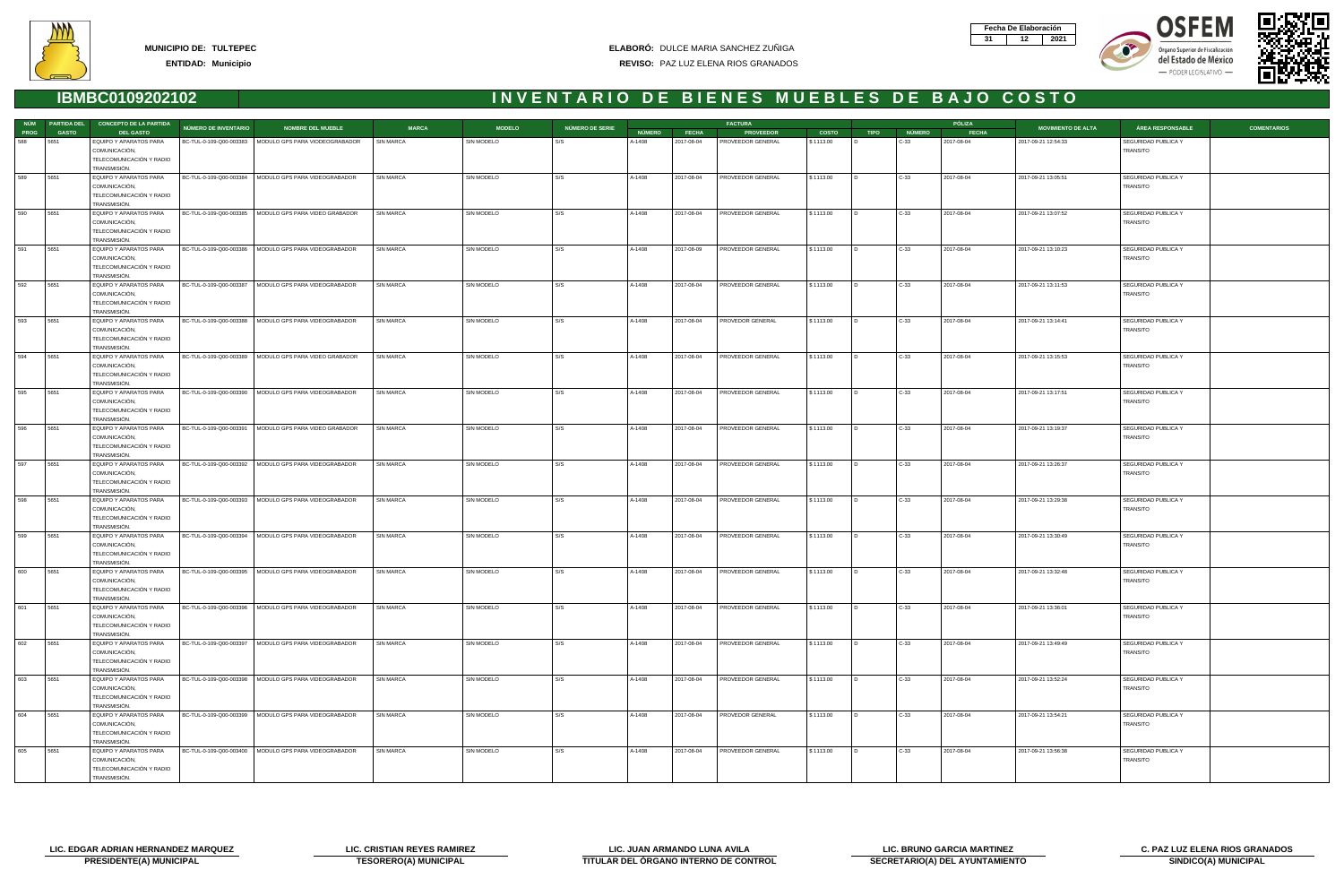







|             |              | NÚM PARTIDA DEL CONCEPTO DE LA PARTIDA                              | NÚMERO DE INVENTARIO | <b>NOMBRE DEL MUEBLE</b>                                 | <b>MARCA</b>     | <b>MODELO</b> | NÚMERO DE SERIE |               |              | <b>FACTURA</b>    |              |                |               | PÓLIZA       | <b>MOVIMIENTO DE ALTA</b> | <b>COMENTARIOS</b><br>ÁREA RESPONSABLE |  |
|-------------|--------------|---------------------------------------------------------------------|----------------------|----------------------------------------------------------|------------------|---------------|-----------------|---------------|--------------|-------------------|--------------|----------------|---------------|--------------|---------------------------|----------------------------------------|--|
| <b>PROG</b> | <b>GASTO</b> | <b>DEL GASTO</b>                                                    |                      |                                                          |                  |               |                 | <b>NÚMERO</b> | <b>FECHA</b> | <b>PROVEEDOR</b>  | <b>COSTO</b> | <b>TIPO</b>    | <b>NÚMERO</b> | <b>FECHA</b> |                           |                                        |  |
| 588         | 5651         | EQUIPO Y APARATOS PARA<br>COMUNICACIÓN,<br>TELECOMUNICACIÓN Y RADIO |                      | BC-TUL-0-109-Q00-003383   MODULO GPS PARA VIODEOGRABADOR | <b>SIN MARCA</b> | SIN MODELO    |                 | A-1408        | 2017-08-04   | PROVEEDOR GENERAL | \$1113.00    |                | C-33          | 2017-08-04   | 2017-09-21 12:54:33       | SEGURIDAD PUBLICA Y<br>TRANSITO        |  |
|             |              | TRANSMISIÓN.                                                        |                      |                                                          |                  |               |                 |               |              |                   |              |                |               |              |                           |                                        |  |
| 589         | 5651         | EQUIPO Y APARATOS PARA<br>COMUNICACIÓN,<br>TELECOMUNICACIÓN Y RADIO |                      | BC-TUL-0-109-Q00-003384   MODULO GPS PARA VIDEOGRABADOR  | <b>SIN MARCA</b> | SIN MODELO    | S/S             | A-1408        | 2017-08-04   | PROVEEDOR GENERAL | \$1113.00    | $\overline{D}$ | $C-33$        | 2017-08-04   | 2017-09-21 13:05:51       | SEGURIDAD PUBLICA Y<br>TRANSITO        |  |
|             |              | TRANSMISIÓN.                                                        |                      |                                                          |                  |               |                 |               |              |                   |              |                |               |              |                           |                                        |  |
| 590         | 5651         | EQUIPO Y APARATOS PARA                                              |                      | BC-TUL-0-109-Q00-003385   MODULO GPS PARA VIDEO GRABADOR | <b>SIN MARCA</b> | SIN MODELO    | S/S             | A-1408        | 2017-08-04   | PROVEEDOR GENERAL | \$1113.00    |                | $C-33$        | 2017-08-04   | 2017-09-21 13:07:52       | SEGURIDAD PUBLICA Y                    |  |
|             |              | COMUNICACIÓN,<br>TELECOMUNICACIÓN Y RADIO                           |                      |                                                          |                  |               |                 |               |              |                   |              |                |               |              |                           | <b>TRANSITO</b>                        |  |
| 591         | 5651         | TRANSMISIÓN.                                                        |                      |                                                          | <b>SIN MARCA</b> | SIN MODELO    | S/S             |               |              | PROVEEDOR GENERAL | \$1113.00    |                |               | 2017-08-04   |                           | SEGURIDAD PUBLICA Y                    |  |
|             |              | EQUIPO Y APARATOS PARA<br>COMUNICACIÓN,                             |                      | BC-TUL-0-109-Q00-003386   MODULO GPS PARA VIDEOGRABADOR  |                  |               |                 | A-1408        | 2017-08-09   |                   |              |                | $C-33$        |              | 2017-09-21 13:10:23       | TRANSITO                               |  |
|             |              | TELECOMUNICACIÓN Y RADIO                                            |                      |                                                          |                  |               |                 |               |              |                   |              |                |               |              |                           |                                        |  |
|             |              | TRANSMISIÓN.                                                        |                      |                                                          |                  |               |                 |               |              |                   |              |                |               |              |                           |                                        |  |
| 592         | 5651         | EQUIPO Y APARATOS PARA                                              |                      | BC-TUL-0-109-Q00-003387   MODULO GPS PARA VIDEOGRABADOR  | <b>SIN MARCA</b> | SIN MODELO    | S/S             | A-1408        | 2017-08-04   | PROVEEDOR GENERAL | \$1113.00    | $\overline{D}$ | $C-33$        | 2017-08-04   | 2017-09-21 13:11:53       | SEGURIDAD PUBLICA Y                    |  |
|             |              | COMUNICACIÓN,                                                       |                      |                                                          |                  |               |                 |               |              |                   |              |                |               |              |                           | TRANSITO                               |  |
|             |              | TELECOMUNICACIÓN Y RADIO<br>TRANSMISIÓN.                            |                      |                                                          |                  |               |                 |               |              |                   |              |                |               |              |                           |                                        |  |
| 593         | 5651         | EQUIPO Y APARATOS PARA                                              |                      | BC-TUL-0-109-Q00-003388   MODULO GPS PARA VIDEOGRABADOR  | <b>SIN MARCA</b> | SIN MODELO    | S/S             | A-1408        | 2017-08-04   | PROVEDOR GENERAL  | \$1113.00    |                | C-33          | 2017-08-04   | 2017-09-21 13:14:41       | SEGURIDAD PUBLICA Y                    |  |
|             |              | COMUNICACIÓN,                                                       |                      |                                                          |                  |               |                 |               |              |                   |              |                |               |              |                           | TRANSITO                               |  |
|             |              | TELECOMUNICACIÓN Y RADIO                                            |                      |                                                          |                  |               |                 |               |              |                   |              |                |               |              |                           |                                        |  |
|             |              | TRANSMISIÓN.                                                        |                      |                                                          |                  |               |                 |               |              |                   |              |                |               |              |                           |                                        |  |
| 594         | 5651         | EQUIPO Y APARATOS PARA<br>COMUNICACIÓN,                             |                      | BC-TUL-0-109-Q00-003389   MODULO GPS PARA VIDEO GRABADOR | <b>SIN MARCA</b> | SIN MODELO    | S/S             | A-1408        | 2017-08-04   | PROVEEDOR GENERAL | \$1113.00    |                | $C-33$        | 2017-08-04   | 2017-09-21 13:15:53       | SEGURIDAD PUBLICA Y<br><b>TRANSITO</b> |  |
|             |              | TELECOMUNICACIÓN Y RADIO                                            |                      |                                                          |                  |               |                 |               |              |                   |              |                |               |              |                           |                                        |  |
|             |              | TRANSMISIÓN.                                                        |                      |                                                          |                  |               |                 |               |              |                   |              |                |               |              |                           |                                        |  |
| 595         | 5651         | EQUIPO Y APARATOS PARA                                              |                      | BC-TUL-0-109-Q00-003390   MODULO GPS PARA VIDEOGRABADOR  | <b>SIN MARCA</b> | SIN MODELO    | S/S             | A-1408        | 2017-08-04   | PROVEEDOR GENERAL | \$1113.00    | $\overline{D}$ | $C-33$        | 2017-08-04   | 2017-09-21 13:17:51       | SEGURIDAD PUBLICA Y                    |  |
|             |              | COMUNICACIÓN,                                                       |                      |                                                          |                  |               |                 |               |              |                   |              |                |               |              |                           | <b>TRANSITO</b>                        |  |
|             |              | TELECOMUNICACIÓN Y RADIO<br>TRANSMISIÓN.                            |                      |                                                          |                  |               |                 |               |              |                   |              |                |               |              |                           |                                        |  |
| 596         | 5651         | EQUIPO Y APARATOS PARA                                              |                      | BC-TUL-0-109-Q00-003391   MODULO GPS PARA VIDEO GRABADOR | <b>SIN MARCA</b> | SIN MODELO    | S/S             | A-1408        | 2017-08-04   | PROVEEDOR GENERAL | \$1113.00    |                | $C-33$        | 2017-08-04   | 2017-09-21 13:19:37       | SEGURIDAD PUBLICA Y                    |  |
|             |              | COMUNICACIÓN,                                                       |                      |                                                          |                  |               |                 |               |              |                   |              |                |               |              |                           | TRANSITO                               |  |
|             |              | TELECOMUNICACIÓN Y RADIO                                            |                      |                                                          |                  |               |                 |               |              |                   |              |                |               |              |                           |                                        |  |
|             |              | TRANSMISIÓN.                                                        |                      |                                                          |                  |               |                 |               |              |                   |              |                |               |              |                           |                                        |  |
| 597         | 5651         | EQUIPO Y APARATOS PARA<br>COMUNICACIÓN,                             |                      | BC-TUL-0-109-Q00-003392   MODULO GPS PARA VIDEOGRABADOR  | <b>SIN MARCA</b> | SIN MODELO    | S/S             | A-1408        | 2017-08-04   | PROVEEDOR GENERAL | \$1113.00    |                | $C-33$        | 2017-08-04   | 2017-09-21 13:26:37       | SEGURIDAD PUBLICA Y<br>TRANSITO        |  |
|             |              | TELECOMUNICACIÓN Y RADIO                                            |                      |                                                          |                  |               |                 |               |              |                   |              |                |               |              |                           |                                        |  |
|             |              | TRANSMISIÓN.                                                        |                      |                                                          |                  |               |                 |               |              |                   |              |                |               |              |                           |                                        |  |
| 598         | 5651         | EQUIPO Y APARATOS PARA                                              |                      | BC-TUL-0-109-Q00-003393   MODULO GPS PARA VIDEOGRABADOR  | <b>SIN MARCA</b> | SIN MODELO    | S/S             | A-1408        | 2017-08-04   | PROVEEDOR GENERAL | \$1113.00    | $\overline{D}$ | $C-33$        | 2017-08-04   | 2017-09-21 13:29:38       | SEGURIDAD PUBLICA Y                    |  |
|             |              | COMUNICACIÓN,                                                       |                      |                                                          |                  |               |                 |               |              |                   |              |                |               |              |                           | TRANSITO                               |  |
|             |              | TELECOMUNICACIÓN Y RADIO<br>TRANSMISIÓN.                            |                      |                                                          |                  |               |                 |               |              |                   |              |                |               |              |                           |                                        |  |
| 599         | 5651         | EQUIPO Y APARATOS PARA                                              |                      | BC-TUL-0-109-Q00-003394   MODULO GPS PARA VIDEOGRABADOR  | <b>SIN MARCA</b> | SIN MODELO    | S/S             | A-1408        | 2017-08-04   | PROVEEDOR GENERAL | \$1113.00    |                | C-33          | 2017-08-04   | 2017-09-21 13:30:49       | SEGURIDAD PUBLICA Y                    |  |
|             |              | COMUNICACIÓN,                                                       |                      |                                                          |                  |               |                 |               |              |                   |              |                |               |              |                           | TRANSITO                               |  |
|             |              | TELECOMUNICACIÓN Y RADIO                                            |                      |                                                          |                  |               |                 |               |              |                   |              |                |               |              |                           |                                        |  |
| 600         | 5651         | TRANSMISIÓN.<br>EQUIPO Y APARATOS PARA                              |                      | BC-TUL-0-109-Q00-003395   MODULO GPS PARA VIDEOGRABADOR  | <b>SIN MARCA</b> | SIN MODELO    | S/S             | A-1408        | 2017-08-04   | PROVEEDOR GENERAL | \$1113.00    |                | C-33          | 2017-08-04   | 2017-09-21 13:32:48       | SEGURIDAD PUBLICA Y                    |  |
|             |              | COMUNICACIÓN,                                                       |                      |                                                          |                  |               |                 |               |              |                   |              |                |               |              |                           | TRANSITO                               |  |
|             |              | TELECOMUNICACIÓN Y RADIO                                            |                      |                                                          |                  |               |                 |               |              |                   |              |                |               |              |                           |                                        |  |
|             |              | TRANSMISIÓN.                                                        |                      |                                                          |                  |               |                 |               |              |                   |              |                |               |              |                           |                                        |  |
| 601         | 5651         | EQUIPO Y APARATOS PARA                                              |                      | BC-TUL-0-109-Q00-003396   MODULO GPS PARA VIDEOGRABADOR  | <b>SIN MARCA</b> | SIN MODELO    | S/S             | A-1408        | 2017-08-04   | PROVEEDOR GENERAL | \$1113.00    | $\overline{D}$ | $C-33$        | 2017-08-04   | 2017-09-21 13:36:01       | SEGURIDAD PUBLICA Y                    |  |
|             |              | COMUNICACIÓN,<br>TELECOMUNICACIÓN Y RADIO                           |                      |                                                          |                  |               |                 |               |              |                   |              |                |               |              |                           | TRANSITO                               |  |
|             |              | TRANSMISIÓN.                                                        |                      |                                                          |                  |               |                 |               |              |                   |              |                |               |              |                           |                                        |  |
| 602         | 5651         | EQUIPO Y APARATOS PARA                                              |                      | BC-TUL-0-109-Q00-003397   MODULO GPS PARA VIDEOGRABADOR  | <b>SIN MARCA</b> | SIN MODELO    | S/S             | A-1408        | 2017-08-04   | PROVEEDOR GENERAL | \$1113.00    |                | C-33          | 2017-08-04   | 2017-09-21 13:49:49       | SEGURIDAD PUBLICA Y                    |  |
|             |              | COMUNICACIÓN,                                                       |                      |                                                          |                  |               |                 |               |              |                   |              |                |               |              |                           | TRANSITO                               |  |
|             |              | TELECOMUNICACIÓN Y RADIO                                            |                      |                                                          |                  |               |                 |               |              |                   |              |                |               |              |                           |                                        |  |
| 603         | 5651         | TRANSMISIÓN.<br>EQUIPO Y APARATOS PARA                              |                      | BC-TUL-0-109-Q00-003398   MODULO GPS PARA VIDEOGRABADOR  | <b>SIN MARCA</b> | SIN MODELO    | S/S             | A-1408        | 2017-08-04   | PROVEEDOR GENERAL | \$1113.00    |                | $C-33$        | 2017-08-04   | 2017-09-21 13:52:24       | SEGURIDAD PUBLICA Y                    |  |
|             |              | COMUNICACIÓN,                                                       |                      |                                                          |                  |               |                 |               |              |                   |              |                |               |              |                           | TRANSITO                               |  |
|             |              | TELECOMUNICACIÓN Y RADIO                                            |                      |                                                          |                  |               |                 |               |              |                   |              |                |               |              |                           |                                        |  |
|             |              | TRANSMISIÓN.                                                        |                      |                                                          |                  |               |                 |               |              |                   |              |                |               |              |                           |                                        |  |
| 604         | 5651         | EQUIPO Y APARATOS PARA                                              |                      | BC-TUL-0-109-Q00-003399   MODULO GPS PARA VIDEOGRABADOR  | <b>SIN MARCA</b> | SIN MODELO    | S/S             | A-1408        | 2017-08-04   | PROVEDOR GENERAL  | \$1113.00    | $\overline{D}$ | $C-33$        | 2017-08-04   | 2017-09-21 13:54:21       | SEGURIDAD PUBLICA Y                    |  |
|             |              | COMUNICACIÓN,<br>TELECOMUNICACIÓN Y RADIO                           |                      |                                                          |                  |               |                 |               |              |                   |              |                |               |              |                           | TRANSITO                               |  |
|             |              | TRANSMISIÓN.                                                        |                      |                                                          |                  |               |                 |               |              |                   |              |                |               |              |                           |                                        |  |
| 605         | 5651         | EQUIPO Y APARATOS PARA                                              |                      | BC-TUL-0-109-Q00-003400   MODULO GPS PARA VIDEOGRABADOR  | <b>SIN MARCA</b> | SIN MODELO    | S/S             | A-1408        | 2017-08-04   | PROVEEDOR GENERAL | \$1113.00    |                | C-33          | 2017-08-04   | 2017-09-21 13:56:38       | SEGURIDAD PUBLICA Y                    |  |
|             |              | COMUNICACIÓN,                                                       |                      |                                                          |                  |               |                 |               |              |                   |              |                |               |              |                           | <b>TRANSITO</b>                        |  |
|             |              | TELECOMUNICACIÓN Y RADIO<br>TRANSMISIÓN.                            |                      |                                                          |                  |               |                 |               |              |                   |              |                |               |              |                           |                                        |  |
|             |              |                                                                     |                      |                                                          |                  |               |                 |               |              |                   |              |                |               |              |                           |                                        |  |